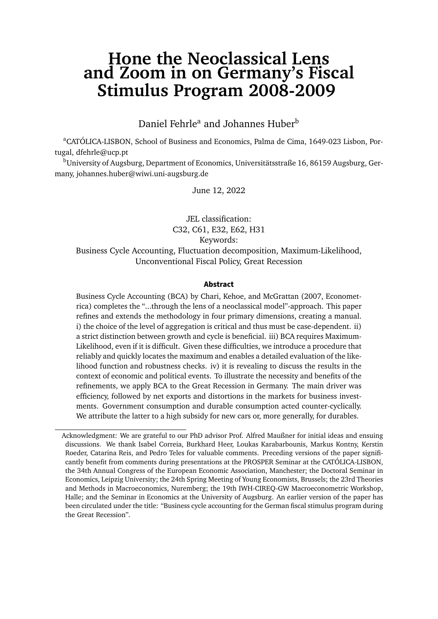## <span id="page-0-0"></span>**Hone the Neoclassical Lens and Zoom in on Germany's Fiscal Stimulus Program 2008-2009**

Daniel Fehrle<sup>a</sup> and Johannes Huber<sup>b</sup>

<sup>a</sup>CATÓLICA-LISBON, School of Business and Economics, Palma de Cima, 1649-023 Lisbon, Portugal, dfehrle@ucp.pt

<sup>b</sup>University of Augsburg, Department of Economics, Universitätsstraße 16, 86159 Augsburg, Germany, johannes.huber@wiwi.uni-augsburg.de

June 12, 2022

JEL classification: C32, C61, E32, E62, H31 Keywords: Business Cycle Accounting, Fluctuation decomposition, Maximum-Likelihood, Unconventional Fiscal Policy, Great Recession

#### **Abstract**

Business Cycle Accounting (BCA) by Chari, Kehoe, and McGrattan (2007, Econometrica) completes the "...through the lens of a neoclassical model"-approach. This paper refines and extends the methodology in four primary dimensions, creating a manual. i) the choice of the level of aggregation is critical and thus must be case-dependent. ii) a strict distinction between growth and cycle is beneficial. iii) BCA requires Maximum-Likelihood, even if it is difficult. Given these difficulties, we introduce a procedure that reliably and quickly locates the maximum and enables a detailed evaluation of the likelihood function and robustness checks. iv) it is revealing to discuss the results in the context of economic and political events. To illustrate the necessity and benefits of the refinements, we apply BCA to the Great Recession in Germany. The main driver was efficiency, followed by net exports and distortions in the markets for business investments. Government consumption and durable consumption acted counter-cyclically. We attribute the latter to a high subsidy for new cars or, more generally, for durables.

Acknowledgment: We are grateful to our PhD advisor Prof. Alfred Maußner for initial ideas and ensuing discussions. We thank Isabel Correia, Burkhard Heer, Loukas Karabarbounis, Markus Kontny, Kerstin Roeder, Catarina Reis, and Pedro Teles for valuable comments. Preceding versions of the paper significantly benefit from comments during presentations at the PROSPER Seminar at the CATÓLICA-LISBON, the 34th Annual Congress of the European Economic Association, Manchester; the Doctoral Seminar in Economics, Leipzig University; the 24th Spring Meeting of Young Economists, Brussels; the 23rd Theories and Methods in Macroeconomics, Nuremberg; the 19th IWH-CIREQ-GW Macroeconometric Workshop, Halle; and the Seminar in Economics at the University of Augsburg. An earlier version of the paper has been circulated under the title: "Business cycle accounting for the German fiscal stimulus program during the Great Recession".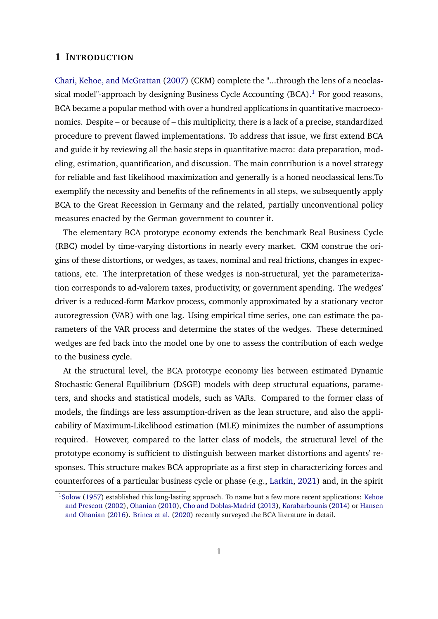## **1 INTRODUCTION**

[Chari, Kehoe, and McGrattan](#page-38-0) [\(2007\)](#page-38-0) (CKM) complete the "...through the lens of a neoclassical model"-approach by designing Business Cycle Accounting  $(BCA)^1$  $(BCA)^1$ . For good reasons, BCA became a popular method with over a hundred applications in quantitative macroeconomics. Despite – or because of – this multiplicity, there is a lack of a precise, standardized procedure to prevent flawed implementations. To address that issue, we first extend BCA and guide it by reviewing all the basic steps in quantitative macro: data preparation, modeling, estimation, quantification, and discussion. The main contribution is a novel strategy for reliable and fast likelihood maximization and generally is a honed neoclassical lens.To exemplify the necessity and benefits of the refinements in all steps, we subsequently apply BCA to the Great Recession in Germany and the related, partially unconventional policy measures enacted by the German government to counter it.

The elementary BCA prototype economy extends the benchmark Real Business Cycle (RBC) model by time-varying distortions in nearly every market. CKM construe the origins of these distortions, or wedges, as taxes, nominal and real frictions, changes in expectations, etc. The interpretation of these wedges is non-structural, yet the parameterization corresponds to ad-valorem taxes, productivity, or government spending. The wedges' driver is a reduced-form Markov process, commonly approximated by a stationary vector autoregression (VAR) with one lag. Using empirical time series, one can estimate the parameters of the VAR process and determine the states of the wedges. These determined wedges are fed back into the model one by one to assess the contribution of each wedge to the business cycle.

At the structural level, the BCA prototype economy lies between estimated Dynamic Stochastic General Equilibrium (DSGE) models with deep structural equations, parameters, and shocks and statistical models, such as VARs. Compared to the former class of models, the findings are less assumption-driven as the lean structure, and also the applicability of Maximum-Likelihood estimation (MLE) minimizes the number of assumptions required. However, compared to the latter class of models, the structural level of the prototype economy is sufficient to distinguish between market distortions and agents' responses. This structure makes BCA appropriate as a first step in characterizing forces and counterforces of a particular business cycle or phase (e.g., [Larkin,](#page-41-0) [2021\)](#page-41-0) and, in the spirit

<sup>1</sup>[Solow](#page-42-0) [\(1957\)](#page-42-0) established this long-lasting approach. To name but a few more recent applications: [Kehoe](#page-40-0) [and Prescott](#page-40-0) [\(2002\)](#page-40-0), [Ohanian](#page-41-1) [\(2010\)](#page-41-1), [Cho and Doblas-Madrid](#page-38-1) [\(2013\)](#page-38-1), [Karabarbounis](#page-40-1) [\(2014\)](#page-40-1) or [Hansen](#page-40-2) [and Ohanian](#page-40-2) [\(2016\)](#page-40-2). [Brinca et al.](#page-37-0) [\(2020\)](#page-37-0) recently surveyed the BCA literature in detail.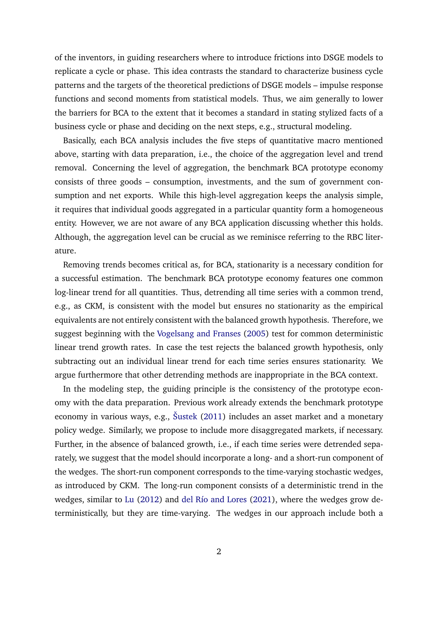of the inventors, in guiding researchers where to introduce frictions into DSGE models to replicate a cycle or phase. This idea contrasts the standard to characterize business cycle patterns and the targets of the theoretical predictions of DSGE models – impulse response functions and second moments from statistical models. Thus, we aim generally to lower the barriers for BCA to the extent that it becomes a standard in stating stylized facts of a business cycle or phase and deciding on the next steps, e.g., structural modeling.

Basically, each BCA analysis includes the five steps of quantitative macro mentioned above, starting with data preparation, i.e., the choice of the aggregation level and trend removal. Concerning the level of aggregation, the benchmark BCA prototype economy consists of three goods – consumption, investments, and the sum of government consumption and net exports. While this high-level aggregation keeps the analysis simple, it requires that individual goods aggregated in a particular quantity form a homogeneous entity. However, we are not aware of any BCA application discussing whether this holds. Although, the aggregation level can be crucial as we reminisce referring to the RBC literature.

Removing trends becomes critical as, for BCA, stationarity is a necessary condition for a successful estimation. The benchmark BCA prototype economy features one common log-linear trend for all quantities. Thus, detrending all time series with a common trend, e.g., as CKM, is consistent with the model but ensures no stationarity as the empirical equivalents are not entirely consistent with the balanced growth hypothesis. Therefore, we suggest beginning with the [Vogelsang and Franses](#page-42-1) [\(2005\)](#page-42-1) test for common deterministic linear trend growth rates. In case the test rejects the balanced growth hypothesis, only subtracting out an individual linear trend for each time series ensures stationarity. We argue furthermore that other detrending methods are inappropriate in the BCA context.

In the modeling step, the guiding principle is the consistency of the prototype economy with the data preparation. Previous work already extends the benchmark prototype economy in various ways, e.g., [Šustek](#page-42-2) [\(2011\)](#page-42-2) includes an asset market and a monetary policy wedge. Similarly, we propose to include more disaggregated markets, if necessary. Further, in the absence of balanced growth, i.e., if each time series were detrended separately, we suggest that the model should incorporate a long- and a short-run component of the wedges. The short-run component corresponds to the time-varying stochastic wedges, as introduced by CKM. The long-run component consists of a deterministic trend in the wedges, similar to [Lu](#page-41-2) [\(2012\)](#page-41-2) and [del Río and Lores](#page-38-2) [\(2021\)](#page-38-2), where the wedges grow deterministically, but they are time-varying. The wedges in our approach include both a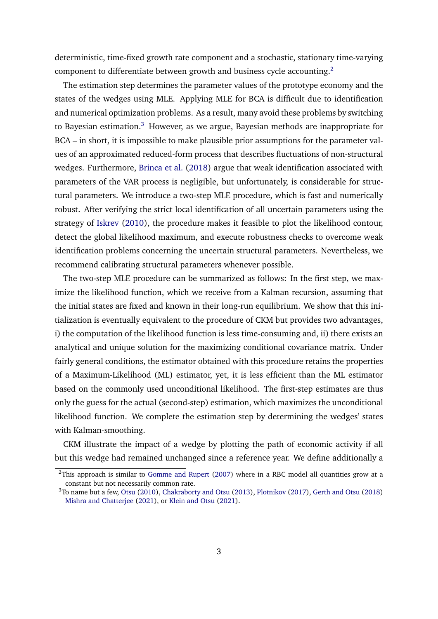deterministic, time-fixed growth rate component and a stochastic, stationary time-varying component to differentiate between growth and business cycle accounting.[2](#page-0-0)

The estimation step determines the parameter values of the prototype economy and the states of the wedges using MLE. Applying MLE for BCA is difficult due to identification and numerical optimization problems. As a result, many avoid these problems by switching to Bayesian estimation.[3](#page-0-0) However, as we argue, Bayesian methods are inappropriate for BCA – in short, it is impossible to make plausible prior assumptions for the parameter values of an approximated reduced-form process that describes fluctuations of non-structural wedges. Furthermore, [Brinca et al.](#page-37-1) [\(2018\)](#page-37-1) argue that weak identification associated with parameters of the VAR process is negligible, but unfortunately, is considerable for structural parameters. We introduce a two-step MLE procedure, which is fast and numerically robust. After verifying the strict local identification of all uncertain parameters using the strategy of [Iskrev](#page-40-3) [\(2010\)](#page-40-3), the procedure makes it feasible to plot the likelihood contour, detect the global likelihood maximum, and execute robustness checks to overcome weak identification problems concerning the uncertain structural parameters. Nevertheless, we recommend calibrating structural parameters whenever possible.

The two-step MLE procedure can be summarized as follows: In the first step, we maximize the likelihood function, which we receive from a Kalman recursion, assuming that the initial states are fixed and known in their long-run equilibrium. We show that this initialization is eventually equivalent to the procedure of CKM but provides two advantages, i) the computation of the likelihood function is less time-consuming and, ii) there exists an analytical and unique solution for the maximizing conditional covariance matrix. Under fairly general conditions, the estimator obtained with this procedure retains the properties of a Maximum-Likelihood (ML) estimator, yet, it is less efficient than the ML estimator based on the commonly used unconditional likelihood. The first-step estimates are thus only the guess for the actual (second-step) estimation, which maximizes the unconditional likelihood function. We complete the estimation step by determining the wedges' states with Kalman-smoothing.

CKM illustrate the impact of a wedge by plotting the path of economic activity if all but this wedge had remained unchanged since a reference year. We define additionally a

 $2$ This approach is similar to [Gomme and Rupert](#page-39-0) [\(2007\)](#page-39-0) where in a RBC model all quantities grow at a constant but not necessarily common rate.

<sup>3</sup>To name but a few, [Otsu](#page-41-3) [\(2010\)](#page-41-3), [Chakraborty and Otsu](#page-38-3) [\(2013\)](#page-38-3), [Plotnikov](#page-41-4) [\(2017\)](#page-41-4), [Gerth and Otsu](#page-39-1) [\(2018\)](#page-39-1) [Mishra and Chatterjee](#page-41-5) [\(2021\)](#page-41-5), or [Klein and Otsu](#page-40-4) [\(2021\)](#page-40-4).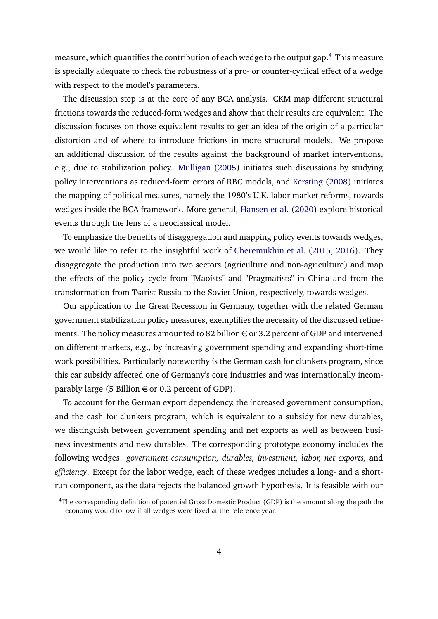measure, which quantifies the contribution of each wedge to the output gap.[4](#page-0-0) This measure is specially adequate to check the robustness of a pro- or counter-cyclical effect of a wedge with respect to the model's parameters.

The discussion step is at the core of any BCA analysis. CKM map different structural frictions towards the reduced-form wedges and show that their results are equivalent. The discussion focuses on those equivalent results to get an idea of the origin of a particular distortion and of where to introduce frictions in more structural models. We propose an additional discussion of the results against the background of market interventions, e.g., due to stabilization policy. [Mulligan](#page-41-6) [\(2005\)](#page-41-6) initiates such discussions by studying policy interventions as reduced-form errors of RBC models, and [Kersting](#page-40-5) [\(2008\)](#page-40-5) initiates the mapping of political measures, namely the 1980's U.K. labor market reforms, towards wedges inside the BCA framework. More general, [Hansen et al.](#page-40-6) [\(2020\)](#page-40-6) explore historical events through the lens of a neoclassical model.

To emphasize the benefits of disaggregation and mapping policy events towards wedges, we would like to refer to the insightful work of [Cheremukhin et al.](#page-38-4) [\(2015,](#page-38-4) [2016\)](#page-38-5). They disaggregate the production into two sectors (agriculture and non-agriculture) and map the effects of the policy cycle from "Maoists" and "Pragmatists" in China and from the transformation from Tsarist Russia to the Soviet Union, respectively, towards wedges.

Our application to the Great Recession in Germany, together with the related German government stabilization policy measures, exemplifies the necessity of the discussed refinements. The policy measures amounted to 82 billion  $\epsilon$  or 3.2 percent of GDP and intervened on different markets, e.g., by increasing government spending and expanding short-time work possibilities. Particularly noteworthy is the German cash for clunkers program, since this car subsidy affected one of Germany's core industries and was internationally incomparably large (5 Billion  $\in$  or 0.2 percent of GDP).

To account for the German export dependency, the increased government consumption, and the cash for clunkers program, which is equivalent to a subsidy for new durables, we distinguish between government spending and net exports as well as between business investments and new durables. The corresponding prototype economy includes the following wedges: *government consumption, durables, investment, labor, net exports,* and *efficiency*. Except for the labor wedge, each of these wedges includes a long- and a shortrun component, as the data rejects the balanced growth hypothesis. It is feasible with our

<sup>&</sup>lt;sup>4</sup>The corresponding definition of potential Gross Domestic Product (GDP) is the amount along the path the economy would follow if all wedges were fixed at the reference year.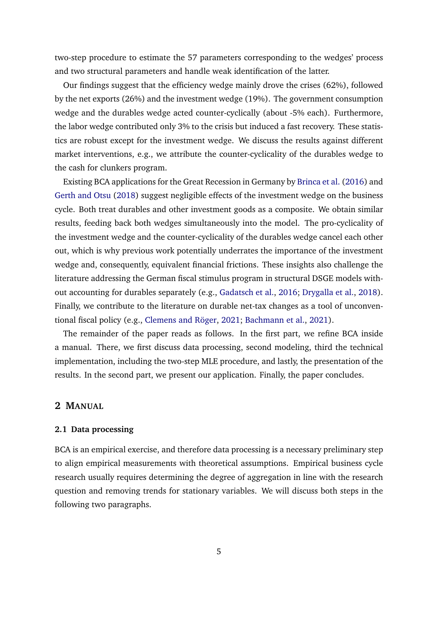two-step procedure to estimate the 57 parameters corresponding to the wedges' process and two structural parameters and handle weak identification of the latter.

Our findings suggest that the efficiency wedge mainly drove the crises (62%), followed by the net exports (26%) and the investment wedge (19%). The government consumption wedge and the durables wedge acted counter-cyclically (about -5% each). Furthermore, the labor wedge contributed only 3% to the crisis but induced a fast recovery. These statistics are robust except for the investment wedge. We discuss the results against different market interventions, e.g., we attribute the counter-cyclicality of the durables wedge to the cash for clunkers program.

Existing BCA applications for the Great Recession in Germany by [Brinca et al.](#page-37-2) [\(2016\)](#page-37-2) and [Gerth and Otsu](#page-39-1) [\(2018\)](#page-39-1) suggest negligible effects of the investment wedge on the business cycle. Both treat durables and other investment goods as a composite. We obtain similar results, feeding back both wedges simultaneously into the model. The pro-cyclicality of the investment wedge and the counter-cyclicality of the durables wedge cancel each other out, which is why previous work potentially underrates the importance of the investment wedge and, consequently, equivalent financial frictions. These insights also challenge the literature addressing the German fiscal stimulus program in structural DSGE models without accounting for durables separately (e.g., [Gadatsch et al.,](#page-39-2) [2016;](#page-39-2) [Drygalla et al.,](#page-39-3) [2018\)](#page-39-3). Finally, we contribute to the literature on durable net-tax changes as a tool of unconventional fiscal policy (e.g., [Clemens and Röger,](#page-38-6) [2021;](#page-38-6) [Bachmann et al.,](#page-37-3) [2021\)](#page-37-3).

The remainder of the paper reads as follows. In the first part, we refine BCA inside a manual. There, we first discuss data processing, second modeling, third the technical implementation, including the two-step MLE procedure, and lastly, the presentation of the results. In the second part, we present our application. Finally, the paper concludes.

## **2 MANUAL**

## **2.1 Data processing**

BCA is an empirical exercise, and therefore data processing is a necessary preliminary step to align empirical measurements with theoretical assumptions. Empirical business cycle research usually requires determining the degree of aggregation in line with the research question and removing trends for stationary variables. We will discuss both steps in the following two paragraphs.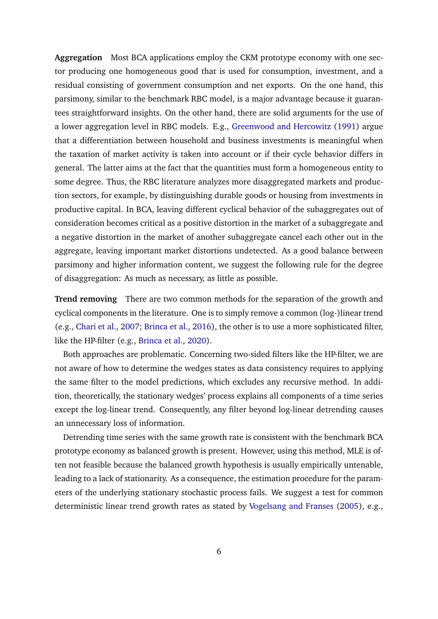**Aggregation** Most BCA applications employ the CKM prototype economy with one sector producing one homogeneous good that is used for consumption, investment, and a residual consisting of government consumption and net exports. On the one hand, this parsimony, similar to the benchmark RBC model, is a major advantage because it guarantees straightforward insights. On the other hand, there are solid arguments for the use of a lower aggregation level in RBC models. E.g., [Greenwood and Hercowitz](#page-39-4) [\(1991\)](#page-39-4) argue that a differentiation between household and business investments is meaningful when the taxation of market activity is taken into account or if their cycle behavior differs in general. The latter aims at the fact that the quantities must form a homogeneous entity to some degree. Thus, the RBC literature analyzes more disaggregated markets and production sectors, for example, by distinguishing durable goods or housing from investments in productive capital. In BCA, leaving different cyclical behavior of the subaggregates out of consideration becomes critical as a positive distortion in the market of a subaggregate and a negative distortion in the market of another subaggregate cancel each other out in the aggregate, leaving important market distortions undetected. As a good balance between parsimony and higher information content, we suggest the following rule for the degree of disaggregation: As much as necessary, as little as possible.

**Trend removing** There are two common methods for the separation of the growth and cyclical components in the literature. One is to simply remove a common (log-)linear trend (e.g., [Chari et al.,](#page-38-0) [2007;](#page-38-0) [Brinca et al.,](#page-37-2) [2016\)](#page-37-2), the other is to use a more sophisticated filter, like the HP-filter (e.g., [Brinca et al.,](#page-37-0) [2020\)](#page-37-0).

Both approaches are problematic. Concerning two-sided filters like the HP-filter, we are not aware of how to determine the wedges states as data consistency requires to applying the same filter to the model predictions, which excludes any recursive method. In addition, theoretically, the stationary wedges' process explains all components of a time series except the log-linear trend. Consequently, any filter beyond log-linear detrending causes an unnecessary loss of information.

Detrending time series with the same growth rate is consistent with the benchmark BCA prototype economy as balanced growth is present. However, using this method, MLE is often not feasible because the balanced growth hypothesis is usually empirically untenable, leading to a lack of stationarity. As a consequence, the estimation procedure for the parameters of the underlying stationary stochastic process fails. We suggest a test for common deterministic linear trend growth rates as stated by [Vogelsang and Franses](#page-42-1) [\(2005\)](#page-42-1), e.g.,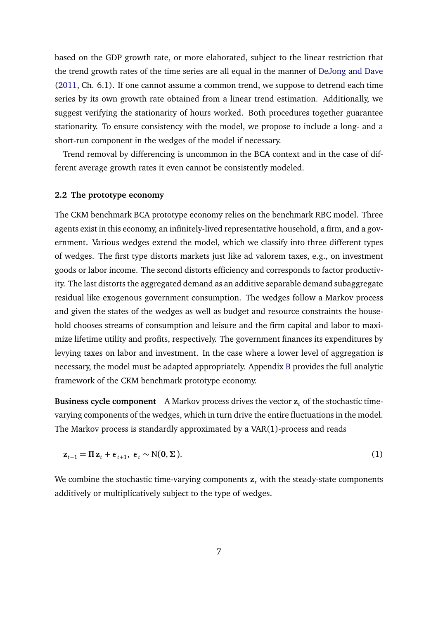based on the GDP growth rate, or more elaborated, subject to the linear restriction that the trend growth rates of the time series are all equal in the manner of [DeJong and Dave](#page-38-7) [\(2011,](#page-38-7) Ch. 6.1). If one cannot assume a common trend, we suppose to detrend each time series by its own growth rate obtained from a linear trend estimation. Additionally, we suggest verifying the stationarity of hours worked. Both procedures together guarantee stationarity. To ensure consistency with the model, we propose to include a long- and a short-run component in the wedges of the model if necessary.

Trend removal by differencing is uncommon in the BCA context and in the case of different average growth rates it even cannot be consistently modeled.

## **2.2 The prototype economy**

The CKM benchmark BCA prototype economy relies on the benchmark RBC model. Three agents exist in this economy, an infinitely-lived representative household, a firm, and a government. Various wedges extend the model, which we classify into three different types of wedges. The first type distorts markets just like ad valorem taxes, e.g., on investment goods or labor income. The second distorts efficiency and corresponds to factor productivity. The last distorts the aggregated demand as an additive separable demand subaggregate residual like exogenous government consumption. The wedges follow a Markov process and given the states of the wedges as well as budget and resource constraints the household chooses streams of consumption and leisure and the firm capital and labor to maximize lifetime utility and profits, respectively. The government finances its expenditures by levying taxes on labor and investment. In the case where a lower level of aggregation is necessary, the model must be adapted appropriately. Appendix [B](#page-49-0) provides the full analytic framework of the CKM benchmark prototype economy.

**Business cycle component** A Markov process drives the vector **z***<sup>t</sup>* of the stochastic timevarying components of the wedges, which in turn drive the entire fluctuations in the model. The Markov process is standardly approximated by a VAR(1)-process and reads

$$
\mathbf{z}_{t+1} = \Pi \mathbf{z}_t + \boldsymbol{\epsilon}_{t+1}, \ \boldsymbol{\epsilon}_t \sim \mathcal{N}(\mathbf{0}, \boldsymbol{\Sigma}). \tag{1}
$$

We combine the stochastic time-varying components  $z_t$  with the steady-state components additively or multiplicatively subject to the type of wedges.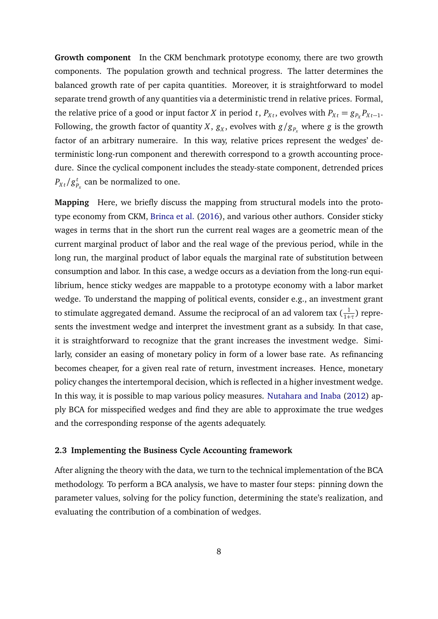**Growth component** In the CKM benchmark prototype economy, there are two growth components. The population growth and technical progress. The latter determines the balanced growth rate of per capita quantities. Moreover, it is straightforward to model separate trend growth of any quantities via a deterministic trend in relative prices. Formal, the relative price of a good or input factor *X* in period *t*,  $P_{Xt}$ , evolves with  $P_{Xt} = g_{P_X}P_{Xt-1}$ . Following, the growth factor of quantity  $X$ ,  $g_X$ , evolves with  $g/g_{P_\chi}$  where  $g$  is the growth factor of an arbitrary numeraire. In this way, relative prices represent the wedges' deterministic long-run component and therewith correspond to a growth accounting procedure. Since the cyclical component includes the steady-state component, detrended prices  $P_{Xt}/g_F^t$  $P_{P_{x}}^{t}$  can be normalized to one.

**Mapping** Here, we briefly discuss the mapping from structural models into the prototype economy from CKM, [Brinca et al.](#page-37-2) [\(2016\)](#page-37-2), and various other authors. Consider sticky wages in terms that in the short run the current real wages are a geometric mean of the current marginal product of labor and the real wage of the previous period, while in the long run, the marginal product of labor equals the marginal rate of substitution between consumption and labor. In this case, a wedge occurs as a deviation from the long-run equilibrium, hence sticky wedges are mappable to a prototype economy with a labor market wedge. To understand the mapping of political events, consider e.g., an investment grant to stimulate aggregated demand. Assume the reciprocal of an ad valorem tax ( $\frac{1}{1+\tau}$ ) represents the investment wedge and interpret the investment grant as a subsidy. In that case, it is straightforward to recognize that the grant increases the investment wedge. Similarly, consider an easing of monetary policy in form of a lower base rate. As refinancing becomes cheaper, for a given real rate of return, investment increases. Hence, monetary policy changes the intertemporal decision, which is reflected in a higher investment wedge. In this way, it is possible to map various policy measures. [Nutahara and Inaba](#page-41-7) [\(2012\)](#page-41-7) apply BCA for misspecified wedges and find they are able to approximate the true wedges and the corresponding response of the agents adequately.

#### **2.3 Implementing the Business Cycle Accounting framework**

After aligning the theory with the data, we turn to the technical implementation of the BCA methodology. To perform a BCA analysis, we have to master four steps: pinning down the parameter values, solving for the policy function, determining the state's realization, and evaluating the contribution of a combination of wedges.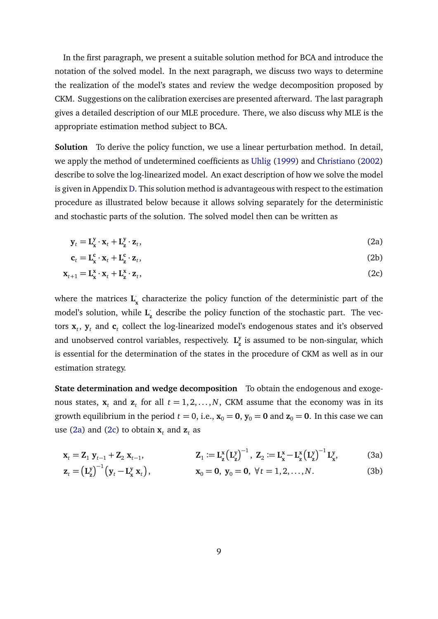In the first paragraph, we present a suitable solution method for BCA and introduce the notation of the solved model. In the next paragraph, we discuss two ways to determine the realization of the model's states and review the wedge decomposition proposed by CKM. Suggestions on the calibration exercises are presented afterward. The last paragraph gives a detailed description of our MLE procedure. There, we also discuss why MLE is the appropriate estimation method subject to BCA.

**Solution** To derive the policy function, we use a linear perturbation method. In detail, we apply the method of undetermined coefficients as [Uhlig](#page-42-3) [\(1999\)](#page-42-3) and [Christiano](#page-38-8) [\(2002\)](#page-38-8) describe to solve the log-linearized model. An exact description of how we solve the model is given in Appendix [D.](#page-56-0) This solution method is advantageous with respect to the estimation procedure as illustrated below because it allows solving separately for the deterministic and stochastic parts of the solution. The solved model then can be written as

<span id="page-9-2"></span>
$$
\mathbf{y}_t = \mathbf{L}_{\mathbf{x}}^{\mathbf{y}} \cdot \mathbf{x}_t + \mathbf{L}_{\mathbf{z}}^{\mathbf{y}} \cdot \mathbf{z}_t,\tag{2a}
$$

<span id="page-9-1"></span><span id="page-9-0"></span>
$$
\mathbf{c}_t = \mathbf{L}_{\mathbf{x}}^{\mathbf{c}} \cdot \mathbf{x}_t + \mathbf{L}_{\mathbf{z}}^{\mathbf{c}} \cdot \mathbf{z}_t,\tag{2b}
$$

$$
\mathbf{x}_{t+1} = \mathbf{L}_{\mathbf{x}}^{\mathbf{x}} \cdot \mathbf{x}_t + \mathbf{L}_{\mathbf{z}}^{\mathbf{x}} \cdot \mathbf{z}_t,\tag{2c}
$$

where the matrices  $\mathbf{L}^\cdot_{\mathbf{x}}$  characterize the policy function of the deterministic part of the model's solution, while  $\mathbf{L}_{\mathbf{z}}$  describe the policy function of the stochastic part. The vectors  $\mathbf{x}_t$ ,  $\mathbf{y}_t$  and  $\mathbf{c}_t$  collect the log-linearized model's endogenous states and it's observed and unobserved control variables, respectively. **L y z** is assumed to be non-singular, which is essential for the determination of the states in the procedure of CKM as well as in our estimation strategy.

**State determination and wedge decomposition** To obtain the endogenous and exogenous states,  $\mathbf{x}_t$  and  $\mathbf{z}_t$  for all  $t = 1, 2, ..., N$ , CKM assume that the economy was in its growth equilibrium in the period  $t = 0$ , i.e.,  $\mathbf{x}_0 = \mathbf{0}$ ,  $\mathbf{y}_0 = \mathbf{0}$  and  $\mathbf{z}_0 = \mathbf{0}$ . In this case we can use [\(2a\)](#page-9-0) and [\(2c\)](#page-9-1) to obtain  $\mathbf{x}_t$  and  $\mathbf{z}_t$  as

<span id="page-9-4"></span><span id="page-9-3"></span>
$$
\mathbf{x}_{t} = \mathbf{Z}_{1} \mathbf{y}_{t-1} + \mathbf{Z}_{2} \mathbf{x}_{t-1}, \qquad \qquad \mathbf{Z}_{1} := \mathbf{L}_{\mathbf{z}}^{x} \left( \mathbf{L}_{\mathbf{z}}^{y} \right)^{-1}, \ \mathbf{Z}_{2} := \mathbf{L}_{\mathbf{x}}^{x} - \mathbf{L}_{\mathbf{z}}^{x} \left( \mathbf{L}_{\mathbf{z}}^{y} \right)^{-1} \mathbf{L}_{\mathbf{x}}^{y}, \tag{3a}
$$

$$
\mathbf{z}_t = \left(\mathbf{L}_{\mathbf{z}}^{\mathbf{y}}\right)^{-1} \left(\mathbf{y}_t - \mathbf{L}_{\mathbf{x}}^{\mathbf{y}} \mathbf{x}_t\right), \qquad \qquad \mathbf{x}_0 = \mathbf{0}, \ \mathbf{y}_0 = \mathbf{0}, \ \forall t = 1, 2, \dots, N. \tag{3b}
$$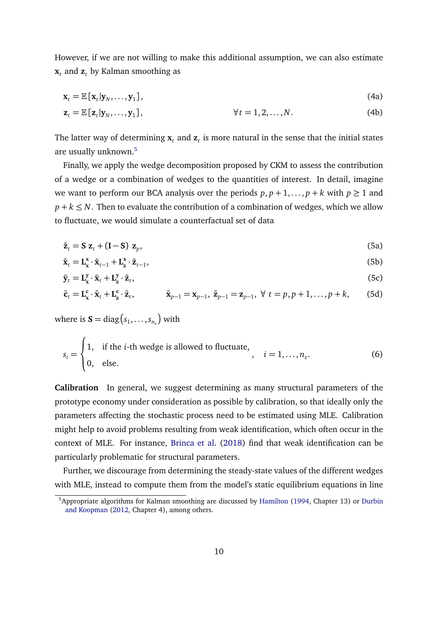However, if we are not willing to make this additional assumption, we can also estimate  $\mathbf{x}_t$  and  $\mathbf{z}_t$  by Kalman smoothing as

<span id="page-10-0"></span>
$$
\mathbf{x}_{t} = \mathbb{E}\left[\mathbf{x}_{t}|\mathbf{y}_{N},\ldots,\mathbf{y}_{1}\right],\tag{4a}
$$

$$
\mathbf{z}_t = \mathbb{E}\left[\mathbf{z}_t|\mathbf{y}_N,\ldots,\mathbf{y}_1\right], \qquad \forall t = 1,2,\ldots,N. \tag{4b}
$$

The latter way of determining  $\mathbf{x}_t$  and  $\mathbf{z}_t$  is more natural in the sense that the initial states are usually unknown.[5](#page-0-0)

Finally, we apply the wedge decomposition proposed by CKM to assess the contribution of a wedge or a combination of wedges to the quantities of interest. In detail, imagine we want to perform our BCA analysis over the periods  $p, p+1, \ldots, p+k$  with  $p \ge 1$  and  $p + k \leq N$ . Then to evaluate the contribution of a combination of wedges, which we allow to fluctuate, we would simulate a counterfactual set of data

<span id="page-10-1"></span>
$$
\tilde{\mathbf{z}}_t = \mathbf{S} \mathbf{z}_t + (\mathbf{I} - \mathbf{S}) \mathbf{z}_p, \tag{5a}
$$

$$
\tilde{\mathbf{x}}_t = \mathbf{L}_{\mathbf{x}}^{\mathbf{x}} \cdot \tilde{\mathbf{x}}_{t-1} + \mathbf{L}_{\mathbf{z}}^{\mathbf{x}} \cdot \tilde{\mathbf{z}}_{t-1},\tag{5b}
$$

$$
\tilde{\mathbf{y}}_t = \mathbf{L}_{\mathbf{x}}^{\mathbf{y}} \cdot \tilde{\mathbf{x}}_t + \mathbf{L}_{\mathbf{z}}^{\mathbf{y}} \cdot \tilde{\mathbf{z}}_t,\tag{5c}
$$

$$
\tilde{\mathbf{c}}_t = \mathbf{L}_{\mathbf{x}}^{\mathbf{c}} \cdot \tilde{\mathbf{x}}_t + \mathbf{L}_{\mathbf{z}}^{\mathbf{c}} \cdot \tilde{\mathbf{z}}_t, \qquad \qquad \tilde{\mathbf{x}}_{p-1} = \mathbf{x}_{p-1}, \ \tilde{\mathbf{z}}_{p-1} = \mathbf{z}_{p-1}, \ \forall \ t = p, p+1, \dots, p+k,
$$
 (5d)

where is  $\mathbf{S} = \text{diag}\left(s_1, \ldots, s_{n_{\overline{z}}}\right)$  with

$$
s_i = \begin{cases} 1, & \text{if the } i \text{-th wedge is allowed to fluctuate,} \\ 0, & \text{else.} \end{cases}, \quad i = 1, \dots, n_z. \tag{6}
$$

**Calibration** In general, we suggest determining as many structural parameters of the prototype economy under consideration as possible by calibration, so that ideally only the parameters affecting the stochastic process need to be estimated using MLE. Calibration might help to avoid problems resulting from weak identification, which often occur in the context of MLE. For instance, [Brinca et al.](#page-37-1) [\(2018\)](#page-37-1) find that weak identification can be particularly problematic for structural parameters.

Further, we discourage from determining the steady-state values of the different wedges with MLE, instead to compute them from the model's static equilibrium equations in line

<sup>&</sup>lt;sup>5</sup>Appropriate algorithms for Kalman smoothing are discussed by [Hamilton](#page-39-5) [\(1994,](#page-39-5) Chapter 13) or [Durbin](#page-39-6) [and Koopman](#page-39-6) [\(2012,](#page-39-6) Chapter 4), among others.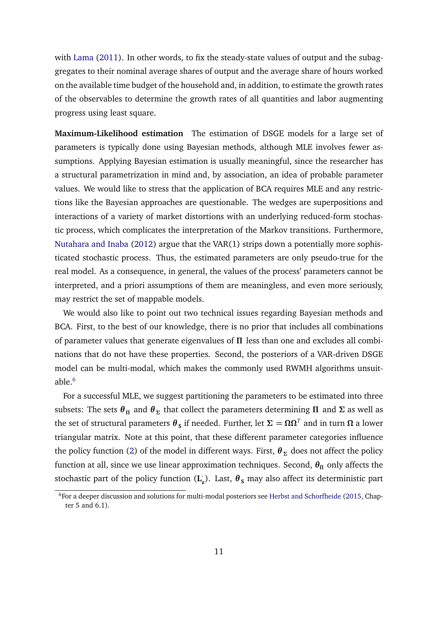with [Lama](#page-41-8) [\(2011\)](#page-41-8). In other words, to fix the steady-state values of output and the subaggregates to their nominal average shares of output and the average share of hours worked on the available time budget of the household and, in addition, to estimate the growth rates of the observables to determine the growth rates of all quantities and labor augmenting progress using least square.

<span id="page-11-0"></span>**Maximum-Likelihood estimation** The estimation of DSGE models for a large set of parameters is typically done using Bayesian methods, although MLE involves fewer assumptions. Applying Bayesian estimation is usually meaningful, since the researcher has a structural parametrization in mind and, by association, an idea of probable parameter values. We would like to stress that the application of BCA requires MLE and any restrictions like the Bayesian approaches are questionable. The wedges are superpositions and interactions of a variety of market distortions with an underlying reduced-form stochastic process, which complicates the interpretation of the Markov transitions. Furthermore, [Nutahara and Inaba](#page-41-7) [\(2012\)](#page-41-7) argue that the VAR(1) strips down a potentially more sophisticated stochastic process. Thus, the estimated parameters are only pseudo-true for the real model. As a consequence, in general, the values of the process' parameters cannot be interpreted, and a priori assumptions of them are meaningless, and even more seriously, may restrict the set of mappable models.

We would also like to point out two technical issues regarding Bayesian methods and BCA. First, to the best of our knowledge, there is no prior that includes all combinations of parameter values that generate eigenvalues of *Π* less than one and excludes all combinations that do not have these properties. Second, the posteriors of a VAR-driven DSGE model can be multi-modal, which makes the commonly used RWMH algorithms unsuit-able.<sup>[6](#page-0-0)</sup>

For a successful MLE, we suggest partitioning the parameters to be estimated into three subsets: The sets  $\theta$ <sub>Π</sub> and  $\theta$ <sub>Σ</sub> that collect the parameters determining **Π** and **Σ** as well as the set of structural parameters  $\bm{\theta}_{\tt S}$  if needed. Further, let  $\bm{\Sigma} = \bm{\Omega} \bm{\Omega}^T$  and in turn  $\bm{\Omega}$  a lower triangular matrix. Note at this point, that these different parameter categories influence the policy function [\(2\)](#page-9-2) of the model in different ways. First,  $\theta_{\Sigma}$  does not affect the policy function at all, since we use linear approximation techniques. Second,  $\theta_{\Pi}$  only affects the stochastic part of the policy function  $(\mathbf{L}_{\mathbf{z}})$ . Last,  $\boldsymbol{\theta}_{\mathbf{S}}$  may also affect its deterministic part

<sup>&</sup>lt;sup>6</sup>For a deeper discussion and solutions for multi-modal posteriors see [Herbst and Schorfheide](#page-40-7) [\(2015,](#page-40-7) Chapter 5 and 6.1).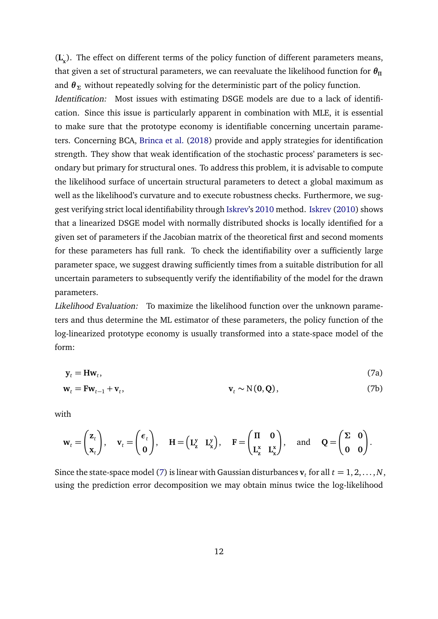(**L** · **x** ). The effect on different terms of the policy function of different parameters means, that given a set of structural parameters, we can reevaluate the likelihood function for *θ<sup>Π</sup>* and  $\theta_{\Sigma}$  without repeatedly solving for the deterministic part of the policy function. Identification: Most issues with estimating DSGE models are due to a lack of identification. Since this issue is particularly apparent in combination with MLE, it is essential to make sure that the prototype economy is identifiable concerning uncertain parameters. Concerning BCA, [Brinca et al.](#page-37-1) [\(2018\)](#page-37-1) provide and apply strategies for identification strength. They show that weak identification of the stochastic process' parameters is secondary but primary for structural ones. To address this problem, it is advisable to compute the likelihood surface of uncertain structural parameters to detect a global maximum as well as the likelihood's curvature and to execute robustness checks. Furthermore, we suggest verifying strict local identifiability through [Iskrev'](#page-40-3)s [2010](#page-40-3) method. [Iskrev](#page-40-3) [\(2010\)](#page-40-3) shows that a linearized DSGE model with normally distributed shocks is locally identified for a given set of parameters if the Jacobian matrix of the theoretical first and second moments for these parameters has full rank. To check the identifiability over a sufficiently large parameter space, we suggest drawing sufficiently times from a suitable distribution for all uncertain parameters to subsequently verify the identifiability of the model for the drawn parameters.

Likelihood Evaluation: To maximize the likelihood function over the unknown parameters and thus determine the ML estimator of these parameters, the policy function of the log-linearized prototype economy is usually transformed into a state-space model of the form:

<span id="page-12-0"></span>
$$
\mathbf{y}_t = \mathbf{H}\mathbf{w}_t,\tag{7a}
$$

$$
\mathbf{w}_t = \mathbf{F}\mathbf{w}_{t-1} + \mathbf{v}_t, \qquad \qquad \mathbf{v}_t \sim \mathcal{N}(\mathbf{0}, \mathbf{Q}), \qquad \qquad (7b)
$$

with

$$
\mathbf{w}_t = \begin{pmatrix} \mathbf{z}_t \\ \mathbf{x}_t \end{pmatrix}, \quad \mathbf{v}_t = \begin{pmatrix} \boldsymbol{\epsilon}_t \\ \mathbf{0} \end{pmatrix}, \quad \mathbf{H} = \begin{pmatrix} \mathbf{L}_z^{\mathbf{y}} & \mathbf{L}_x^{\mathbf{y}} \end{pmatrix}, \quad \mathbf{F} = \begin{pmatrix} \Pi & \mathbf{0} \\ \mathbf{L}_z^{\mathbf{x}} & \mathbf{L}_x^{\mathbf{x}} \end{pmatrix}, \quad \text{and} \quad \mathbf{Q} = \begin{pmatrix} \Sigma & \mathbf{0} \\ \mathbf{0} & \mathbf{0} \end{pmatrix}.
$$

Since the state-space model [\(7\)](#page-12-0) is linear with Gaussian disturbances  $\mathbf{v}_t$  for all  $t = 1, 2, ..., N$ , using the prediction error decomposition we may obtain minus twice the log-likelihood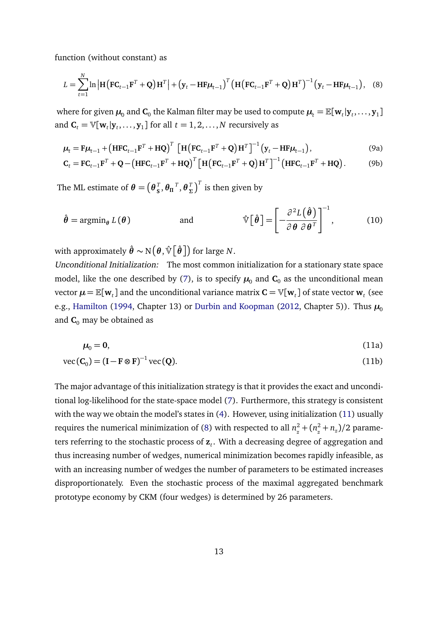function (without constant) as

<span id="page-13-1"></span>
$$
L = \sum_{t=1}^{N} \ln \left| \mathbf{H} \left( \mathbf{F} \mathbf{C}_{t-1} \mathbf{F}^{T} + \mathbf{Q} \right) \mathbf{H}^{T} \right| + \left( \mathbf{y}_{t} - \mathbf{H} \mathbf{F} \boldsymbol{\mu}_{t-1} \right)^{T} \left( \mathbf{H} \left( \mathbf{F} \mathbf{C}_{t-1} \mathbf{F}^{T} + \mathbf{Q} \right) \mathbf{H}^{T} \right)^{-1} \left( \mathbf{y}_{t} - \mathbf{H} \mathbf{F} \boldsymbol{\mu}_{t-1} \right), \quad (8)
$$

where for given  $\mu_0$  and  $\mathbf{C}_0$  the Kalman filter may be used to compute  $\mu_t = \mathbb{E}[\mathbf{w}_t | \mathbf{y}_t, \dots, \mathbf{y}_1]$ and  $\mathbf{C}_t = \mathbb{V}[\mathbf{w}_t | \mathbf{y}_t, \dots, \mathbf{y}_1]$  for all  $t = 1, 2, \dots, N$  recursively as

$$
\mu_t = \mathbf{F}\mu_{t-1} + \left(\mathbf{HFC}_{t-1}\mathbf{F}^T + \mathbf{HQ}\right)^T \left[\mathbf{H}\left(\mathbf{FC}_{t-1}\mathbf{F}^T + \mathbf{Q}\right)\mathbf{H}^T\right]^{-1} \left(\mathbf{y}_t - \mathbf{H}\mathbf{F}\mu_{t-1}\right),\tag{9a}
$$

<span id="page-13-2"></span>
$$
\mathbf{C}_{t} = \mathbf{F}\mathbf{C}_{t-1}\mathbf{F}^{T} + \mathbf{Q} - \left(\mathbf{H}\mathbf{F}\mathbf{C}_{t-1}\mathbf{F}^{T} + \mathbf{H}\mathbf{Q}\right)^{T} \left[\mathbf{H}\left(\mathbf{F}\mathbf{C}_{t-1}\mathbf{F}^{T} + \mathbf{Q}\right)\mathbf{H}^{T}\right]^{-1} \left(\mathbf{H}\mathbf{F}\mathbf{C}_{t-1}\mathbf{F}^{T} + \mathbf{H}\mathbf{Q}\right).
$$
 (9b)

The ML estimate of  $\boldsymbol{\theta} = \left(\boldsymbol{\theta}_{\mathbf{S}}^{T}\right)$  $\frac{T}{s}$ *, θ*<sub>Π</sub><sup>*T*</sup>*, θ*<sub>Σ</sub><sup>*T*</sup>  $\left(\frac{T}{\Sigma}\right)^T$  is then given by

$$
\hat{\boldsymbol{\theta}} = \operatorname{argmin}_{\boldsymbol{\theta}} L(\boldsymbol{\theta}) \qquad \text{and} \qquad \hat{\mathbb{V}} \big[ \hat{\boldsymbol{\theta}} \big] = \bigg[ -\frac{\partial^2 L(\hat{\boldsymbol{\theta}})}{\partial \boldsymbol{\theta} \partial \boldsymbol{\theta}^T} \bigg]^{-1}, \qquad (10)
$$

with approximately  $\hat{\boldsymbol{\theta}} \sim \mathrm{N}\big(\boldsymbol{\theta}, \hat{\mathbb{V}} \big[\hat{\boldsymbol{\theta}}\,\big]\!\big)$  for large  $N.$ 

Unconditional Initialization: The most common initialization for a stationary state space model, like the one described by [\(7\)](#page-12-0), is to specify  $\mu_0$  and  $C_0$  as the unconditional mean vector  $\bm{\mu} \!=\mathbb{E}[\textbf{w}_t]$  and the unconditional variance matrix  $\mathbf{C} \!=\! \mathbb{V}[\textbf{w}_t]$  of state vector  $\textbf{w}_t$  (see e.g., [Hamilton](#page-39-5) [\(1994,](#page-39-5) Chapter 13) or [Durbin and Koopman](#page-39-6) [\(2012,](#page-39-6) Chapter 5)). Thus  $\mu_0$ and  $C_0$  may be obtained as

<span id="page-13-0"></span>
$$
\mu_0 = 0,\tag{11a}
$$

$$
\text{vec}(\mathbf{C}_0) = (\mathbf{I} - \mathbf{F} \otimes \mathbf{F})^{-1} \text{vec}(\mathbf{Q}).\tag{11b}
$$

The major advantage of this initialization strategy is that it provides the exact and unconditional log-likelihood for the state-space model [\(7\)](#page-12-0). Furthermore, this strategy is consistent with the way we obtain the model's states in [\(4\)](#page-10-0). However, using initialization [\(11\)](#page-13-0) usually requires the numerical minimization of [\(8\)](#page-13-1) with respected to all  $n_z^2 + (n_z^2 + n_z)/2$  parameters referring to the stochastic process of **z***<sup>t</sup>* . With a decreasing degree of aggregation and thus increasing number of wedges, numerical minimization becomes rapidly infeasible, as with an increasing number of wedges the number of parameters to be estimated increases disproportionately. Even the stochastic process of the maximal aggregated benchmark prototype economy by CKM (four wedges) is determined by 26 parameters.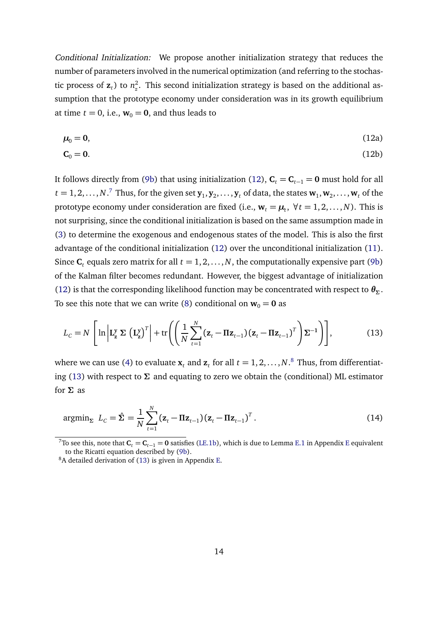Conditional Initialization: We propose another initialization strategy that reduces the number of parameters involved in the numerical optimization (and referring to the stochastic process of  $z_t$ ) to  $n_z^2$  $\frac{2}{z}$ . This second initialization strategy is based on the additional assumption that the prototype economy under consideration was in its growth equilibrium at time  $t = 0$ , i.e.,  $w_0 = 0$ , and thus leads to

<span id="page-14-0"></span>
$$
\mu_0 = 0,\tag{12a}
$$

$$
\mathbf{C}_0 = \mathbf{0}.\tag{12b}
$$

It follows directly from [\(9b\)](#page-13-2) that using initialization [\(12\)](#page-14-0),  $C_t = C_{t-1} = 0$  must hold for all  $t = 1, 2, \ldots, N$ .<sup>[7](#page-0-0)</sup> Thus, for the given set  $\mathbf{y}_1, \mathbf{y}_2, \ldots, \mathbf{y}_t$  of data, the states  $\mathbf{w}_1, \mathbf{w}_2, \ldots, \mathbf{w}_t$  of the prototype economy under consideration are fixed (i.e.,  $\mathbf{w}_t = \boldsymbol{\mu}_t$ ,  $\forall t = 1, 2, ..., N$ ). This is not surprising, since the conditional initialization is based on the same assumption made in [\(3\)](#page-9-3) to determine the exogenous and endogenous states of the model. This is also the first advantage of the conditional initialization [\(12\)](#page-14-0) over the unconditional initialization [\(11\)](#page-13-0). Since  $C_t$  equals zero matrix for all  $t = 1, 2, ..., N$ , the computationally expensive part [\(9b\)](#page-13-2) of the Kalman filter becomes redundant. However, the biggest advantage of initialization [\(12\)](#page-14-0) is that the corresponding likelihood function may be concentrated with respect to  $\theta_{\Sigma}$ . To see this note that we can write [\(8\)](#page-13-1) conditional on  $w_0 = 0$  as

<span id="page-14-1"></span>
$$
L_C = N \left[ \ln \left| \mathbf{L}_{\mathbf{z}}^{\mathbf{y}} \boldsymbol{\Sigma} \left( \mathbf{L}_{\mathbf{z}}^{\mathbf{y}} \right)^T \right| + \text{tr} \left( \left( \frac{1}{N} \sum_{t=1}^N (\mathbf{z}_t - \mathbf{\Pi} \mathbf{z}_{t-1}) (\mathbf{z}_t - \mathbf{\Pi} \mathbf{z}_{t-1})^T \right) \boldsymbol{\Sigma}^{-1} \right) \right],
$$
(13)

where we can use [\(4\)](#page-10-0) to evaluate  $\mathbf{x}_t$  and  $\mathbf{z}_t$  for all  $t = 1, 2, ..., N$ .<sup>[8](#page-0-0)</sup> Thus, from differentiating [\(13\)](#page-14-1) with respect to *Σ* and equating to zero we obtain the (conditional) ML estimator for *Σ* as

$$
\operatorname{argmin}_{\Sigma} \ L_C = \hat{\Sigma} = \frac{1}{N} \sum_{t=1}^{N} (\mathbf{z}_t - \Pi \mathbf{z}_{t-1}) (\mathbf{z}_t - \Pi \mathbf{z}_{t-1})^T.
$$
\n(14)

<sup>&</sup>lt;sup>7</sup>To see this, note that  $C_t = C_{t-1} = 0$  satisfies [\(LE.1b\)](#page-60-0), which is due to Lemma [E.1](#page-60-1) in Appendix [E](#page-60-2) equivalent to the Ricatti equation described by [\(9b\)](#page-13-2).

 $8A$  detailed derivation of [\(13\)](#page-14-1) is given in Appendix [E.](#page-60-2)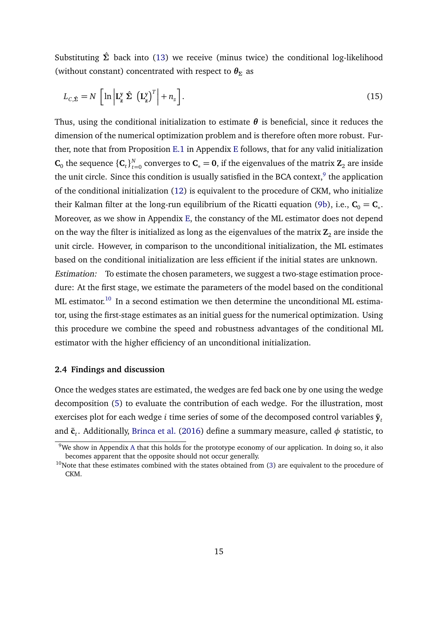Substituting *Σ*ˆ back into [\(13\)](#page-14-1) we receive (minus twice) the conditional log-likelihood (without constant) concentrated with respect to  $\theta_{\Sigma}$  as

$$
L_{C,\hat{\Sigma}} = N \left[ \ln \left| \mathbf{L}_{\mathbf{z}}^{\mathbf{y}} \hat{\Sigma} \left( \mathbf{L}_{\mathbf{z}}^{\mathbf{y}} \right)^{T} \right| + n_{z} \right].
$$
 (15)

Thus, using the conditional initialization to estimate  $\theta$  is beneficial, since it reduces the dimension of the numerical optimization problem and is therefore often more robust. Further, note that from Proposition [E.1](#page-63-0) in Appendix [E](#page-60-2) follows, that for any valid initialization  $\mathbf{C}_0$  the sequence  $\{\mathbf{C}_t\}_{t=1}^N$  $C_{t=0}^{N}$  converges to  $C_* = 0$ , if the eigenvalues of the matrix  $\mathbf{Z}_2$  are inside the unit circle. Since this condition is usually satisfied in the BCA context, $^9$  $^9$  the application of the conditional initialization [\(12\)](#page-14-0) is equivalent to the procedure of CKM, who initialize their Kalman filter at the long-run equilibrium of the Ricatti equation [\(9b\)](#page-13-2), i.e.,  $C_0 = C_*$ . Moreover, as we show in Appendix [E,](#page-60-2) the constancy of the ML estimator does not depend on the way the filter is initialized as long as the eigenvalues of the matrix  $\mathbf{Z}_2$  are inside the unit circle. However, in comparison to the unconditional initialization, the ML estimates based on the conditional initialization are less efficient if the initial states are unknown. Estimation: To estimate the chosen parameters, we suggest a two-stage estimation procedure: At the first stage, we estimate the parameters of the model based on the conditional  $ML$  estimator.<sup>[10](#page-0-0)</sup> In a second estimation we then determine the unconditional ML estimator, using the first-stage estimates as an initial guess for the numerical optimization. Using this procedure we combine the speed and robustness advantages of the conditional ML estimator with the higher efficiency of an unconditional initialization.

#### **2.4 Findings and discussion**

Once the wedges states are estimated, the wedges are fed back one by one using the wedge decomposition [\(5\)](#page-10-1) to evaluate the contribution of each wedge. For the illustration, most exercises plot for each wedge *i* time series of some of the decomposed control variables  $\tilde{\mathbf{y}}_t$ and ˜**c***<sup>t</sup>* . Additionally, [Brinca et al.](#page-37-2) [\(2016\)](#page-37-2) define a summary measure, called *φ* statistic, to

<sup>&</sup>lt;sup>9</sup>We show in [A](#page-44-0)ppendix A that this holds for the prototype economy of our application. In doing so, it also becomes apparent that the opposite should not occur generally.

 $10$ Note that these estimates combined with the states obtained from [\(3\)](#page-9-3) are equivalent to the procedure of CKM.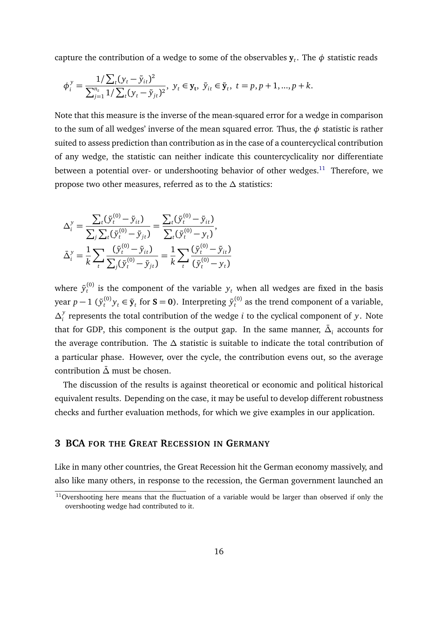capture the contribution of a wedge to some of the observables  $\mathbf{y}_t.$  The  $\phi$  statistic reads

$$
\phi_i^y = \frac{1/\sum_t (y_t - \tilde{y}_{it})^2}{\sum_{j=1}^{n_z} 1/\sum_t (y_t - \tilde{y}_{jt})^2}, \ y_t \in \mathbf{y}_t, \ \tilde{y}_{it} \in \tilde{\mathbf{y}}_t, \ t = p, p + 1, ..., p + k.
$$

Note that this measure is the inverse of the mean-squared error for a wedge in comparison to the sum of all wedges' inverse of the mean squared error. Thus, the *φ* statistic is rather suited to assess prediction than contribution as in the case of a countercyclical contribution of any wedge, the statistic can neither indicate this countercyclicality nor differentiate between a potential over- or undershooting behavior of other wedges.<sup>[11](#page-0-0)</sup> Therefore, we propose two other measures, referred as to the *∆* statistics:

$$
\Delta_i^y = \frac{\sum_t (\tilde{y}_t^{(0)} - \tilde{y}_{it})}{\sum_j \sum_t (\tilde{y}_t^{(0)} - \tilde{y}_{jt})} = \frac{\sum_t (\tilde{y}_t^{(0)} - \tilde{y}_{it})}{\sum_t (\tilde{y}_t^{(0)} - y_t)},
$$
  

$$
\bar{\Delta}_i^y = \frac{1}{k} \sum_t \frac{(\tilde{y}_t^{(0)} - \tilde{y}_{it})}{\sum_j (\tilde{y}_t^{(0)} - \tilde{y}_{jt})} = \frac{1}{k} \sum_t \frac{(\tilde{y}_t^{(0)} - \tilde{y}_{it})}{(\tilde{y}_t^{(0)} - y_t)}
$$

where  $\tilde{y}_t^{(0)}$  is the component of the variable  $y_t$  when all wedges are fixed in the basis year  $p-1$  ( $\tilde{y}_t^{(0)}y_t \in \tilde{\mathbf{y}}_t$  for  $\mathbf{S} = \mathbf{0}$ ). Interpreting  $\tilde{y}_t^{(0)}$  as the trend component of a variable, *∆ y i* represents the total contribution of the wedge *i* to the cyclical component of *y*. Note that for GDP, this component is the output gap. In the same manner,  $\bar{\Delta}_i$  accounts for the average contribution. The *∆* statistic is suitable to indicate the total contribution of a particular phase. However, over the cycle, the contribution evens out, so the average contribution *∆*¯ must be chosen.

The discussion of the results is against theoretical or economic and political historical equivalent results. Depending on the case, it may be useful to develop different robustness checks and further evaluation methods, for which we give examples in our application.

## **3 BCA FOR THE GREAT RECESSION IN GERMANY**

Like in many other countries, the Great Recession hit the German economy massively, and also like many others, in response to the recession, the German government launched an

 $11$ Overshooting here means that the fluctuation of a variable would be larger than observed if only the overshooting wedge had contributed to it.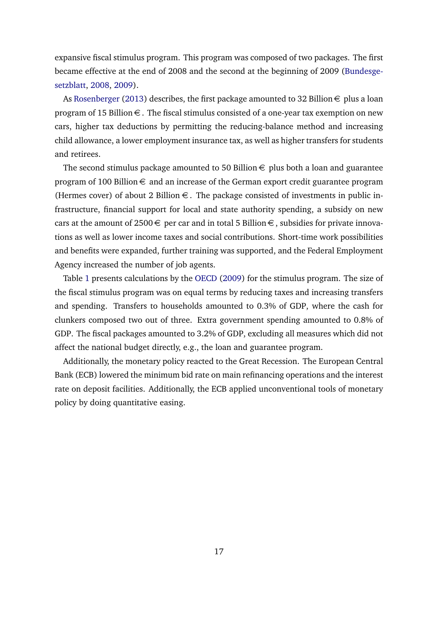expansive fiscal stimulus program. This program was composed of two packages. The first became effective at the end of 2008 and the second at the beginning of 2009 [\(Bundesge](#page-37-4)[setzblatt,](#page-37-4) [2008,](#page-37-4) [2009\)](#page-37-5).

As [Rosenberger](#page-41-9) [\(2013\)](#page-41-9) describes, the first package amounted to 32 Billion  $\epsilon$  plus a loan program of 15 Billion  $\epsilon$ . The fiscal stimulus consisted of a one-year tax exemption on new cars, higher tax deductions by permitting the reducing-balance method and increasing child allowance, a lower employment insurance tax, as well as higher transfers for students and retirees.

The second stimulus package amounted to 50 Billion  $\epsilon$  plus both a loan and guarantee program of 100 Billion  $\epsilon$  and an increase of the German export credit guarantee program (Hermes cover) of about 2 Billion  $\epsilon$ . The package consisted of investments in public infrastructure, financial support for local and state authority spending, a subsidy on new cars at the amount of 2500  $\in$  per car and in total 5 Billion  $\in$ , subsidies for private innovations as well as lower income taxes and social contributions. Short-time work possibilities and benefits were expanded, further training was supported, and the Federal Employment Agency increased the number of job agents.

Table [1](#page-18-0) presents calculations by the [OECD](#page-41-10) [\(2009\)](#page-41-10) for the stimulus program. The size of the fiscal stimulus program was on equal terms by reducing taxes and increasing transfers and spending. Transfers to households amounted to 0.3% of GDP, where the cash for clunkers composed two out of three. Extra government spending amounted to 0.8% of GDP. The fiscal packages amounted to 3.2% of GDP, excluding all measures which did not affect the national budget directly, e.g., the loan and guarantee program.

Additionally, the monetary policy reacted to the Great Recession. The European Central Bank (ECB) lowered the minimum bid rate on main refinancing operations and the interest rate on deposit facilities. Additionally, the ECB applied unconventional tools of monetary policy by doing quantitative easing.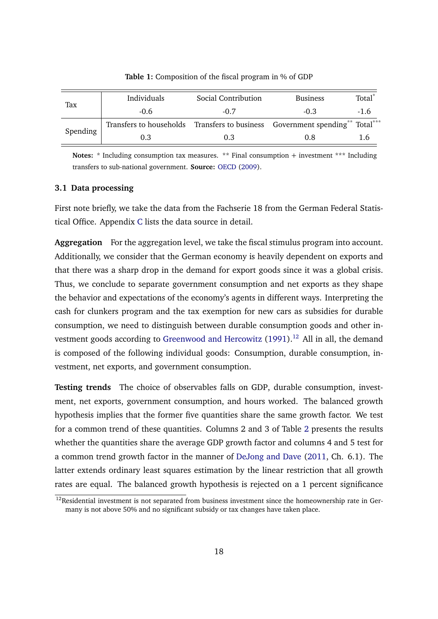<span id="page-18-0"></span>

|          | Individuals                                                                  | Social Contribution | <b>Business</b> | Total <sup>*</sup> |
|----------|------------------------------------------------------------------------------|---------------------|-----------------|--------------------|
| Tax      | $-0.6$                                                                       | $-0.7$              | -0.3            | $-1.6$             |
|          | Transfers to households Transfers to business Government spending** Total*** |                     |                 |                    |
| Spending | 0.3                                                                          | 0.3                 | 0.8             | 16                 |

**Table 1:** Composition of the fiscal program in % of GDP

**Notes:** \* Including consumption tax measures. \*\* Final consumption + investment \*\*\* Including transfers to sub-national government. **Source:** [OECD](#page-41-10) [\(2009\)](#page-41-10).

#### **3.1 Data processing**

First note briefly, we take the data from the Fachserie 18 from the German Federal Statistical Office. Appendix [C](#page-53-0) lists the data source in detail.

**Aggregation** For the aggregation level, we take the fiscal stimulus program into account. Additionally, we consider that the German economy is heavily dependent on exports and that there was a sharp drop in the demand for export goods since it was a global crisis. Thus, we conclude to separate government consumption and net exports as they shape the behavior and expectations of the economy's agents in different ways. Interpreting the cash for clunkers program and the tax exemption for new cars as subsidies for durable consumption, we need to distinguish between durable consumption goods and other in-vestment goods according to [Greenwood and Hercowitz](#page-39-4)  $(1991).<sup>12</sup>$  $(1991).<sup>12</sup>$  $(1991).<sup>12</sup>$  $(1991).<sup>12</sup>$  All in all, the demand is composed of the following individual goods: Consumption, durable consumption, investment, net exports, and government consumption.

**Testing trends** The choice of observables falls on GDP, durable consumption, investment, net exports, government consumption, and hours worked. The balanced growth hypothesis implies that the former five quantities share the same growth factor. We test for a common trend of these quantities. Columns 2 and 3 of Table [2](#page-19-0) presents the results whether the quantities share the average GDP growth factor and columns 4 and 5 test for a common trend growth factor in the manner of [DeJong and Dave](#page-38-7) [\(2011,](#page-38-7) Ch. 6.1). The latter extends ordinary least squares estimation by the linear restriction that all growth rates are equal. The balanced growth hypothesis is rejected on a 1 percent significance

 $12$ Residential investment is not separated from business investment since the homeownership rate in Germany is not above 50% and no significant subsidy or tax changes have taken place.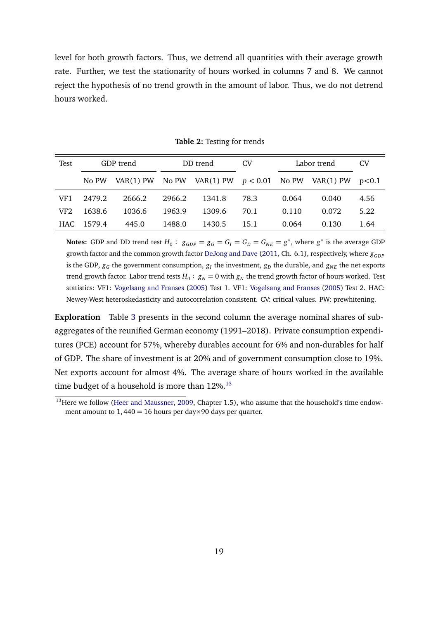level for both growth factors. Thus, we detrend all quantities with their average growth rate. Further, we test the stationarity of hours worked in columns 7 and 8. We cannot reject the hypothesis of no trend growth in the amount of labor. Thus, we do not detrend hours worked.

<span id="page-19-0"></span>

| Test | GDP trend |           | DD trend |        | CV   |       | Labor trend                                          |      |
|------|-----------|-----------|----------|--------|------|-------|------------------------------------------------------|------|
|      | No PW     | VAR(1) PW |          |        |      |       | No PW VAR(1) PW $p < 0.01$ No PW VAR(1) PW $p < 0.1$ |      |
| VF1  | 2479.2    | 2666.2    | 2966.2   | 1341.8 | 78.3 | 0.064 | 0.040                                                | 4.56 |
| VF2  | 1638.6    | 1036.6    | 1963.9   | 1309.6 | 70.1 | 0.110 | 0.072                                                | 5.22 |
| HAC  | 1579.4    | 445.0     | 1488.0   | 1430.5 | 15.1 | 0.064 | 0.130                                                | 1.64 |

**Table 2:** Testing for trends

**Notes:** GDP and DD trend test  $H_0: g_{GDP} = g_G = G_I = G_D = G_{NE} = g^*$ , where  $g^*$  is the average GDP growth factor and the common growth factor [DeJong and Dave](#page-38-7) [\(2011,](#page-38-7) Ch. 6.1), respectively, where  $g_{GDP}$ is the GDP,  $g_G$  the government consumption,  $g_I$  the investment,  $g_D$  the durable, and  $g_{NE}$  the net exports trend growth factor. Labor trend tests  $H_0: g_N = 0$  with  $g_N$  the trend growth factor of hours worked. Test statistics: VF1: [Vogelsang and Franses](#page-42-1) [\(2005\)](#page-42-1) Test 1. VF1: [Vogelsang and Franses](#page-42-1) [\(2005\)](#page-42-1) Test 2. HAC: Newey-West heteroskedasticity and autocorrelation consistent. CV: critical values. PW: prewhitening.

**Exploration** Table [3](#page-20-0) presents in the second column the average nominal shares of subaggregates of the reunified German economy (1991–2018). Private consumption expenditures (PCE) account for 57%, whereby durables account for 6% and non-durables for half of GDP. The share of investment is at 20% and of government consumption close to 19%. Net exports account for almost 4%. The average share of hours worked in the available time budget of a household is more than  $12\%$ .<sup>[13](#page-0-0)</sup>

<sup>&</sup>lt;sup>13</sup>Here we follow [\(Heer and Maussner,](#page-40-8) [2009,](#page-40-8) Chapter 1.5), who assume that the household's time endowment amount to  $1,440 = 16$  hours per day×90 days per quarter.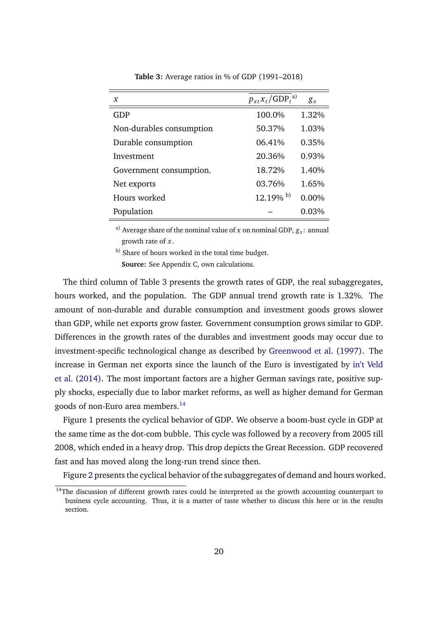<span id="page-20-0"></span>

| $\mathbf{x}$             | $p_{xt}x_t/\text{GDP}_t^{a}$ | $g_{x}$  |
|--------------------------|------------------------------|----------|
| GDP                      | 100.0%                       | 1.32%    |
| Non-durables consumption | 50.37%                       | 1.03%    |
| Durable consumption      | 06.41%                       | 0.35%    |
| Investment               | 20.36%                       | 0.93%    |
| Government consumption.  | 18.72%                       | 1.40%    |
| Net exports              | 03.76%                       | 1.65%    |
| Hours worked             | $12.19\%$ b)                 | $0.00\%$ |
| Population               |                              | $0.03\%$ |

**Table 3:** Average ratios in % of GDP (1991–2018)

 $^{\mathrm{a)}}$  Average share of the nominal value of *x* on nominal GDP,  $g_{x}$ : annual growth rate of *x*.

b) Share of hours worked in the total time budget.

**Source:** See Appendix [C,](#page-53-0) own calculations.

The third column of Table [3](#page-20-0) presents the growth rates of GDP, the real subaggregates, hours worked, and the population. The GDP annual trend growth rate is 1.32%. The amount of non-durable and durable consumption and investment goods grows slower than GDP, while net exports grow faster. Government consumption grows similar to GDP. Differences in the growth rates of the durables and investment goods may occur due to investment-specific technological change as described by [Greenwood et al.](#page-39-7) [\(1997\)](#page-39-7). The increase in German net exports since the launch of the Euro is investigated by [in't Veld](#page-40-9) [et al.](#page-40-9) [\(2014\)](#page-40-9). The most important factors are a higher German savings rate, positive supply shocks, especially due to labor market reforms, as well as higher demand for German goods of non-Euro area members.[14](#page-0-0)

Figure [1](#page-22-0) presents the cyclical behavior of GDP. We observe a boom-bust cycle in GDP at the same time as the dot-com bubble. This cycle was followed by a recovery from 2005 till 2008, which ended in a heavy drop. This drop depicts the Great Recession. GDP recovered fast and has moved along the long-run trend since then.

Figure [2](#page-23-0) presents the cyclical behavior of the subaggregates of demand and hours worked.

<sup>&</sup>lt;sup>14</sup>The discussion of different growth rates could be interpreted as the growth accounting counterpart to business cycle accounting. Thus, it is a matter of taste whether to discuss this here or in the results section.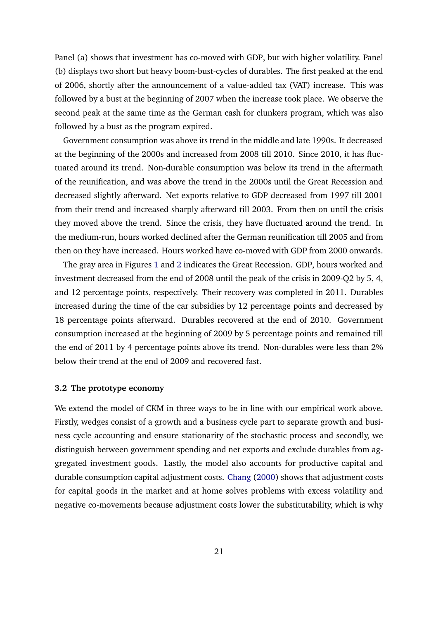Panel (a) shows that investment has co-moved with GDP, but with higher volatility. Panel (b) displays two short but heavy boom-bust-cycles of durables. The first peaked at the end of 2006, shortly after the announcement of a value-added tax (VAT) increase. This was followed by a bust at the beginning of 2007 when the increase took place. We observe the second peak at the same time as the German cash for clunkers program, which was also followed by a bust as the program expired.

Government consumption was above its trend in the middle and late 1990s. It decreased at the beginning of the 2000s and increased from 2008 till 2010. Since 2010, it has fluctuated around its trend. Non-durable consumption was below its trend in the aftermath of the reunification, and was above the trend in the 2000s until the Great Recession and decreased slightly afterward. Net exports relative to GDP decreased from 1997 till 2001 from their trend and increased sharply afterward till 2003. From then on until the crisis they moved above the trend. Since the crisis, they have fluctuated around the trend. In the medium-run, hours worked declined after the German reunification till 2005 and from then on they have increased. Hours worked have co-moved with GDP from 2000 onwards.

The gray area in Figures [1](#page-22-0) and [2](#page-23-0) indicates the Great Recession. GDP, hours worked and investment decreased from the end of 2008 until the peak of the crisis in 2009-Q2 by 5, 4, and 12 percentage points, respectively. Their recovery was completed in 2011. Durables increased during the time of the car subsidies by 12 percentage points and decreased by 18 percentage points afterward. Durables recovered at the end of 2010. Government consumption increased at the beginning of 2009 by 5 percentage points and remained till the end of 2011 by 4 percentage points above its trend. Non-durables were less than 2% below their trend at the end of 2009 and recovered fast.

#### **3.2 The prototype economy**

We extend the model of CKM in three ways to be in line with our empirical work above. Firstly, wedges consist of a growth and a business cycle part to separate growth and business cycle accounting and ensure stationarity of the stochastic process and secondly, we distinguish between government spending and net exports and exclude durables from aggregated investment goods. Lastly, the model also accounts for productive capital and durable consumption capital adjustment costs. [Chang](#page-38-9) [\(2000\)](#page-38-9) shows that adjustment costs for capital goods in the market and at home solves problems with excess volatility and negative co-movements because adjustment costs lower the substitutability, which is why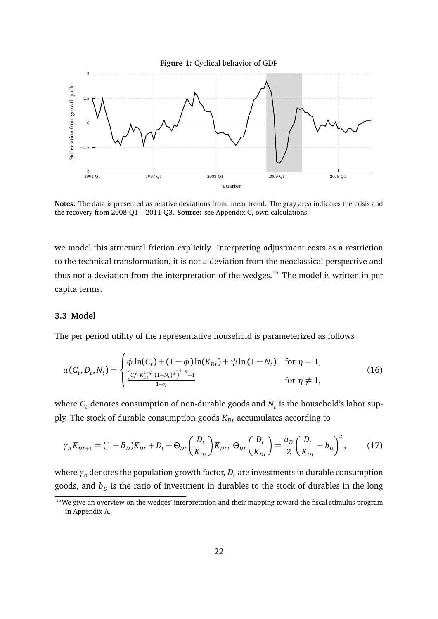<span id="page-22-0"></span>

**Notes:** The data is presented as relative deviations from linear trend. The gray area indicates the crisis and the recovery from 2008-Q1 – 2011-Q3. **Source:** see Appendix [C,](#page-53-0) own calculations.

we model this structural friction explicitly. Interpreting adjustment costs as a restriction to the technical transformation, it is not a deviation from the neoclassical perspective and thus not a deviation from the interpretation of the wedges.<sup>[15](#page-0-0)</sup> The model is written in per capita terms.

#### **3.3 Model**

The per period utility of the representative household is parameterized as follows

$$
u(C_t, D_t, N_t) = \begin{cases} \phi \ln(C_t) + (1 - \phi) \ln(K_{Dt}) + \psi \ln(1 - N_t) & \text{for } \eta = 1, \\ \frac{\left(c_t^{\phi} \cdot K_{Dt}^{1 - \phi} \cdot (1 - N_t)^{\psi}\right)^{1 - \eta} - 1}{1 - \eta} & \text{for } \eta \neq 1, \end{cases}
$$
(16)

where  $C_t$  denotes consumption of non-durable goods and  $N_t$  is the household's labor supply. The stock of durable consumption goods  $K_{Dt}$  accumulates according to

$$
\gamma_n K_{Dt+1} = (1 - \delta_D) K_{Dt} + D_t - \Theta_{Dt} \left( \frac{D_t}{K_{Dt}} \right) K_{Dt}, \ \Theta_{Dt} \left( \frac{D_t}{K_{Dt}} \right) = \frac{a_D}{2} \left( \frac{D_t}{K_{Dt}} - b_D \right)^2, \tag{17}
$$

where  $\gamma_n$  denotes the population growth factor,  $D_t$  are investments in durable consumption goods, and  $b_{\scriptscriptstyle D}$  is the ratio of investment in durables to the stock of durables in the long

<sup>&</sup>lt;sup>15</sup>We give an overview on the wedges' interpretation and their mapping toward the fiscal stimulus program in Appendix [A.](#page-44-0)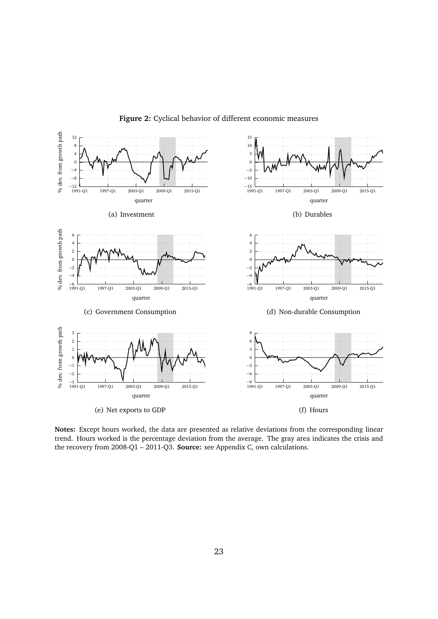<span id="page-23-0"></span>

**Figure 2:** Cyclical behavior of different economic measures

**Notes:** Except hours worked, the data are presented as relative deviations from the corresponding linear trend. Hours worked is the percentage deviation from the average. The gray area indicates the crisis and the recovery from 2008-Q1 – 2011-Q3. **Source:** see Appendix [C,](#page-53-0) own calculations.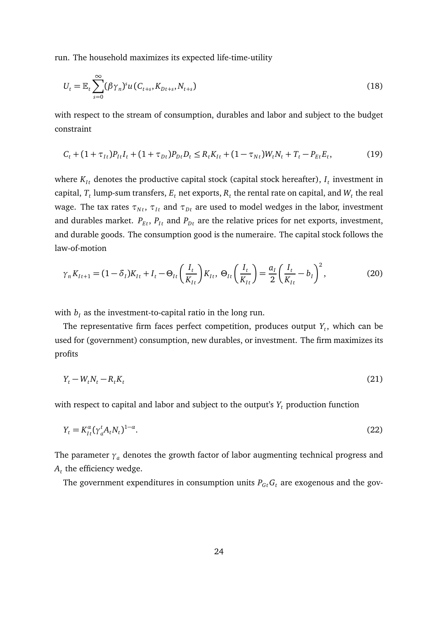run. The household maximizes its expected life-time-utility

$$
U_t = \mathbb{E}_t \sum_{s=0}^{\infty} (\beta \gamma_n)^s u(C_{t+s}, K_{Dt+s}, N_{t+s})
$$
\n(18)

with respect to the stream of consumption, durables and labor and subject to the budget constraint

$$
C_t + (1 + \tau_{It})P_{It}I_t + (1 + \tau_{Dt})P_{Dt}P_t \le R_t K_{It} + (1 - \tau_{Nt})W_t N_t + T_t - P_{Et}E_t,
$$
\n(19)

where  $K_{It}$  denotes the productive capital stock (capital stock hereafter),  $I_t$  investment in capital,  $T_t$  lump-sum transfers,  $E_t$  net exports,  $R_t$  the rental rate on capital, and  $W_t$  the real wage. The tax rates  $\tau_{Nt}$ ,  $\tau_{It}$  and  $\tau_{Dt}$  are used to model wedges in the labor, investment and durables market.  $P_{Et}$ ,  $P_{It}$  and  $P_{Dt}$  are the relative prices for net exports, investment, and durable goods. The consumption good is the numeraire. The capital stock follows the law-of-motion

$$
\gamma_n K_{It+1} = (1 - \delta_I) K_{It} + I_t - \Theta_{It} \left( \frac{I_t}{K_{It}} \right) K_{It}, \ \Theta_{It} \left( \frac{I_t}{K_{It}} \right) = \frac{a_I}{2} \left( \frac{I_t}{K_{It}} - b_I \right)^2, \tag{20}
$$

with  $b_I$  as the investment-to-capital ratio in the long run.

The representative firm faces perfect competition, produces output *Y<sup>t</sup>* , which can be used for (government) consumption, new durables, or investment. The firm maximizes its profits

$$
Y_t - W_t N_t - R_t K_t \tag{21}
$$

with respect to capital and labor and subject to the output's *Y<sup>t</sup>* production function

$$
Y_t = K_{It}^{\alpha} (\gamma_a^t A_t N_t)^{1-\alpha}.
$$
\n<sup>(22)</sup>

The parameter  $\gamma_a$  denotes the growth factor of labor augmenting technical progress and  $A_t$  the efficiency wedge.

The government expenditures in consumption units  $P_{G_t}G_t$  are exogenous and the gov-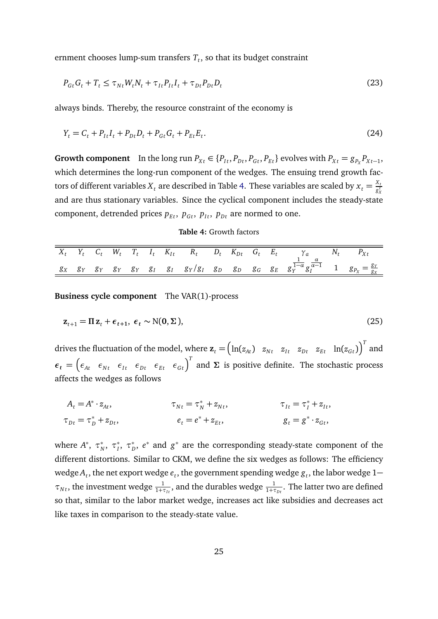ernment chooses lump-sum transfers *T<sup>t</sup>* , so that its budget constraint

$$
P_{Gt}G_t + T_t \leq \tau_{Nt}W_t N_t + \tau_{It}P_{It}I_t + \tau_{Dt}P_{Dt}D_t
$$
\n
$$
\tag{23}
$$

always binds. Thereby, the resource constraint of the economy is

$$
Y_t = C_t + P_{It}I_t + P_{Dt}D_t + P_{Gt}G_t + P_{Et}E_t.
$$
\n(24)

**Growth component** In the long run  $P_{Xt} \in \{P_{It}, P_{Dt}, P_{Gt}, P_{Et}\}$  evolves with  $P_{Xt} = g_{P_X}P_{Xt-1}$ , which determines the long-run component of the wedges. The ensuing trend growth factors of different variables  $X_t$  are described in Table [4.](#page-25-0) These variables are scaled by  $x_t = \frac{X_t}{g_s^t}$  $g_X^t$ and are thus stationary variables. Since the cyclical component includes the steady-state component, detrended prices  $p_{Et}$ ,  $p_{Gt}$ ,  $p_{It}$ ,  $p_{Dt}$  are normed to one.

#### **Table 4:** Growth factors

<span id="page-25-0"></span>

|  |  |  |  |  |  | $X_t$ $Y_t$ $C_t$ $W_t$ $T_t$ $I_t$ $K_{It}$ $R_t$ $D_t$ $K_{Dt}$ $G_t$ $E_t$ $\gamma_a$ $N_t$ $P_{Xt}$                                                           |  |
|--|--|--|--|--|--|-------------------------------------------------------------------------------------------------------------------------------------------------------------------|--|
|  |  |  |  |  |  | $g_X$ $g_Y$ $g_Y$ $g_Y$ $g_Y$ $g_I$ $g_I$ $g_Y/g_I$ $g_D$ $g_D$ $g_G$ $g_E$ $g_Y^{\frac{1}{1-\alpha}}g_Y^{\frac{\alpha}{\alpha-1}}$ 1 $g_{P_X} = \frac{g_Y}{g_X}$ |  |

**Business cycle component** The VAR(1)-process

$$
\mathbf{z}_{t+1} = \Pi \mathbf{z}_t + \boldsymbol{\epsilon}_{t+1}, \ \boldsymbol{\epsilon}_t \sim \mathcal{N}(\mathbf{0}, \boldsymbol{\Sigma}), \tag{25}
$$

drives the fluctuation of the model, where  $\mathbf{z}_t = \begin{pmatrix} \ln(z_{At}) & z_{Nt} & z_{Dt} & z_{Et} & \ln(z_{Gt}) \end{pmatrix}^T$  and  $\epsilon_t = \begin{pmatrix} \epsilon_{At} & \epsilon_{Nt} & \epsilon_{It} & \epsilon_{Dt} & \epsilon_{Et} & \epsilon_{Gt} \end{pmatrix}^T$  and  $\Sigma$  is positive definite. The stochastic process affects the wedges as follows

$$
A_t = A^* \cdot z_{At}, \qquad \tau_{Nt} = \tau_N^* + z_{Nt}, \qquad \tau_{It} = \tau_I^* + z_{It},
$$
  
\n
$$
\tau_{Dt} = \tau_D^* + z_{Dt}, \qquad e_t = e^* + z_{Et}, \qquad g_t = g^* \cdot z_{Gt},
$$

where  $A^*, \ \tau_N^*, \ \tau_I^*, \ \tau_D^*, \ e^*$  and  $g^*$  are the corresponding steady-state component of the different distortions. Similar to CKM, we define the six wedges as follows: The efficiency wedge  $A_t$ , the net export wedge  $e_t$ , the government spending wedge  $g_t$ , the labor wedge  $1 \tau_{Nt}$ , the investment wedge  $\frac{1}{1+\tau_{It}}$ , and the durables wedge  $\frac{1}{1+\tau_{Dt}}$ . The latter two are defined so that, similar to the labor market wedge, increases act like subsidies and decreases act like taxes in comparison to the steady-state value.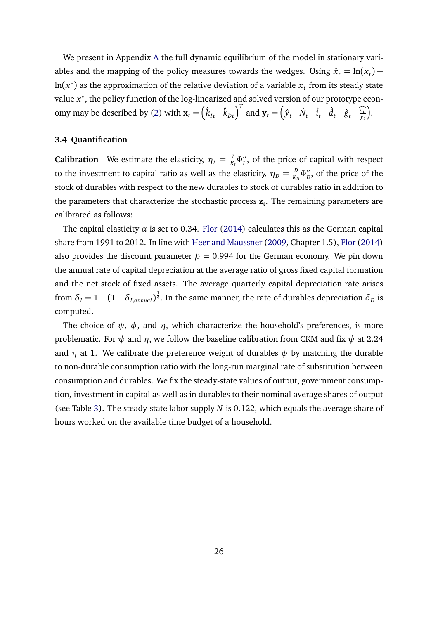We present in Appendix [A](#page-44-0) the full dynamic equilibrium of the model in stationary variables and the mapping of the policy measures towards the wedges. Using  $\hat{x}_t = \ln(x_t) \ln(x^*)$  as the approximation of the relative deviation of a variable  $x_t$  from its steady state value *x* ∗ , the policy function of the log-linearized and solved version of our prototype econ-omy may be described by [\(2\)](#page-9-2) with  $\mathbf{x}_t = (\hat{k}_{It} \quad \hat{k}_{Dt})^T$  and  $\mathbf{y}_t = (\hat{y}_t \quad \hat{N}_t \quad \hat{i}_t \quad \hat{d}_t \quad \hat{g}_t \quad \frac{\hat{e}_t}{y_t}$ .

#### **3.4 Quantification**

**Calibration** We estimate the elasticity,  $\eta_I = \frac{I}{K}$  $\frac{1}{K_I}\Phi''_I$ , of the price of capital with respect to the investment to capital ratio as well as the elasticity,  $\eta_D = \frac{D}{K_D}$  $\frac{D}{K_D}$  $\Phi_D^{\prime\prime}$ , of the price of the stock of durables with respect to the new durables to stock of durables ratio in addition to the parameters that characterize the stochastic process **z<sup>t</sup>** . The remaining parameters are calibrated as follows:

The capital elasticity  $\alpha$  is set to 0.34. [Flor](#page-39-8) [\(2014\)](#page-39-8) calculates this as the German capital share from 1991 to 2012. In line with [Heer and Maussner](#page-40-8) [\(2009,](#page-40-8) Chapter 1.5), [Flor](#page-39-8) [\(2014\)](#page-39-8) also provides the discount parameter  $\beta = 0.994$  for the German economy. We pin down the annual rate of capital depreciation at the average ratio of gross fixed capital formation and the net stock of fixed assets. The average quarterly capital depreciation rate arises from  $\delta_I = 1 - (1 - \delta_{I,annual})^{\frac{1}{4}}$ . In the same manner, the rate of durables depreciation  $\delta_D$  is computed.

The choice of  $\psi$ ,  $\phi$ , and  $\eta$ , which characterize the household's preferences, is more problematic. For  $\psi$  and  $\eta$ , we follow the baseline calibration from CKM and fix  $\psi$  at 2.24 and  $\eta$  at 1. We calibrate the preference weight of durables  $\phi$  by matching the durable to non-durable consumption ratio with the long-run marginal rate of substitution between consumption and durables. We fix the steady-state values of output, government consumption, investment in capital as well as in durables to their nominal average shares of output (see Table [3\)](#page-20-0). The steady-state labor supply *N* is 0.122, which equals the average share of hours worked on the available time budget of a household.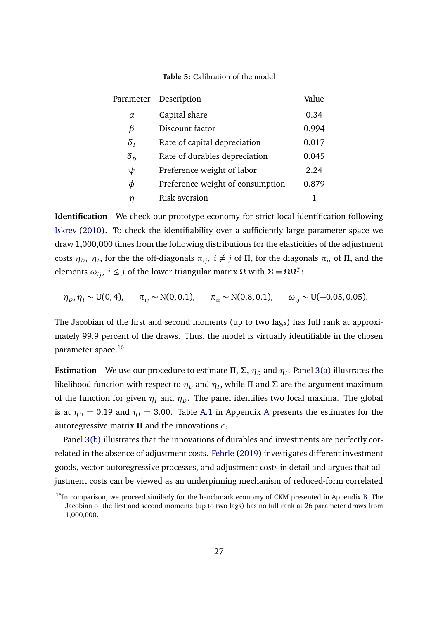| Parameter                       | Description                      | Value |
|---------------------------------|----------------------------------|-------|
| $\alpha$                        | Capital share                    | 0.34  |
| β                               | Discount factor                  | 0.994 |
| $\delta_I$                      | Rate of capital depreciation     | 0.017 |
| $\delta_{\scriptscriptstyle D}$ | Rate of durables depreciation    | 0.045 |
| $\psi$                          | Preference weight of labor       | 2.24  |
| Φ                               | Preference weight of consumption | 0.879 |
| η                               | <b>Risk aversion</b>             |       |

**Table 5:** Calibration of the model

 $\equiv$ 

**Identification** We check our prototype economy for strict local identification following [Iskrev](#page-40-3) [\(2010\)](#page-40-3). To check the identifiability over a sufficiently large parameter space we draw 1,000,000 times from the following distributions for the elasticities of the adjustment  $\cos$ ts  $η_D$ ,  $η_I$ , for the the off-diagonals  $π_{ij}$ ,  $i \neq j$  of  $\Pi$ , for the diagonals  $π_{ii}$  of  $\Pi$ , and the  $\alpha$  elements  $ω_{ij}$ ,  $i ≤ j$  of the lower triangular matrix  $Ω$  with  $Σ = ΩΩ<sup>T</sup>$ :

$$
\eta_D, \eta_I \sim U(0, 4), \quad \pi_{ij} \sim N(0, 0.1), \quad \pi_{ii} \sim N(0.8, 0.1), \quad \omega_{ij} \sim U(-0.05, 0.05).
$$

The Jacobian of the first and second moments (up to two lags) has full rank at approximately 99.9 percent of the draws. Thus, the model is virtually identifiable in the chosen parameter space.[16](#page-0-0)

**Estimation** We use our procedure to estimate  $\Pi$ ,  $\Sigma$ ,  $\eta_D$  and  $\eta_I$ . Panel [3\(a\)](#page-28-0) illustrates the likelihood function with respect to  $\eta_D$  and  $\eta_I$ , while Π and Σ are the argument maximum of the function for given  $\eta_I$  and  $\eta_D.$  The panel identifies two local maxima. The global is at  $\eta_D = 0.19$  and  $\eta_I = 3.00$ . Table [A.1](#page-46-0) in [A](#page-44-0)ppendix A presents the estimates for the autoregressive matrix *Π* and the innovations *ε<sup>i</sup>* .

Panel [3\(b\)](#page-28-1) illustrates that the innovations of durables and investments are perfectly correlated in the absence of adjustment costs. [Fehrle](#page-39-9) [\(2019\)](#page-39-9) investigates different investment goods, vector-autoregressive processes, and adjustment costs in detail and argues that adjustment costs can be viewed as an underpinning mechanism of reduced-form correlated

<sup>&</sup>lt;sup>16</sup>In comparison, we proceed similarly for the benchmark economy of CKM presented in Appendix [B.](#page-49-0) The Jacobian of the first and second moments (up to two lags) has no full rank at 26 parameter draws from 1,000,000.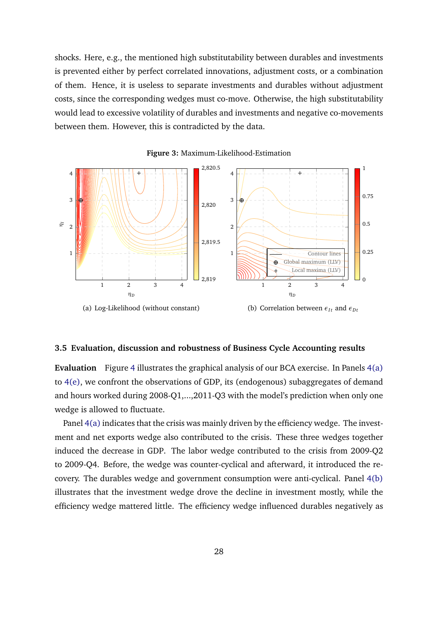shocks. Here, e.g., the mentioned high substitutability between durables and investments is prevented either by perfect correlated innovations, adjustment costs, or a combination of them. Hence, it is useless to separate investments and durables without adjustment costs, since the corresponding wedges must co-move. Otherwise, the high substitutability would lead to excessive volatility of durables and investments and negative co-movements between them. However, this is contradicted by the data.

<span id="page-28-0"></span>

<span id="page-28-1"></span>**Figure 3:** Maximum-Likelihood-Estimation

#### **3.5 Evaluation, discussion and robustness of Business Cycle Accounting results**

**Evaluation** Figure [4](#page-30-0) illustrates the graphical analysis of our BCA exercise. In Panels [4\(a\)](#page-30-1) to [4\(e\),](#page-30-2) we confront the observations of GDP, its (endogenous) subaggregates of demand and hours worked during 2008-Q1,...,2011-Q3 with the model's prediction when only one wedge is allowed to fluctuate.

Panel [4\(a\)](#page-30-1) indicates that the crisis was mainly driven by the efficiency wedge. The investment and net exports wedge also contributed to the crisis. These three wedges together induced the decrease in GDP. The labor wedge contributed to the crisis from 2009-Q2 to 2009-Q4. Before, the wedge was counter-cyclical and afterward, it introduced the recovery. The durables wedge and government consumption were anti-cyclical. Panel [4\(b\)](#page-30-3) illustrates that the investment wedge drove the decline in investment mostly, while the efficiency wedge mattered little. The efficiency wedge influenced durables negatively as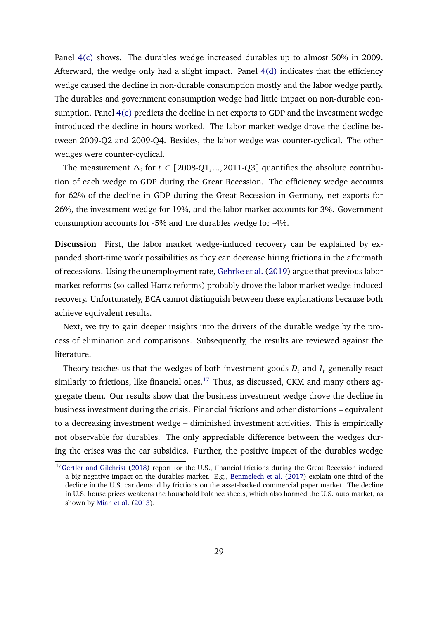Panel [4\(c\)](#page-30-4) shows. The durables wedge increased durables up to almost 50% in 2009. Afterward, the wedge only had a slight impact. Panel [4\(d\)](#page-30-5) indicates that the efficiency wedge caused the decline in non-durable consumption mostly and the labor wedge partly. The durables and government consumption wedge had little impact on non-durable consumption. Panel [4\(e\)](#page-30-2) predicts the decline in net exports to GDP and the investment wedge introduced the decline in hours worked. The labor market wedge drove the decline between 2009-Q2 and 2009-Q4. Besides, the labor wedge was counter-cyclical. The other wedges were counter-cyclical.

The measurement *∆<sup>i</sup>* for *t* ∈ [2008-*Q*1, ..., 2011-*Q*3] quantifies the absolute contribution of each wedge to GDP during the Great Recession. The efficiency wedge accounts for 62% of the decline in GDP during the Great Recession in Germany, net exports for 26%, the investment wedge for 19%, and the labor market accounts for 3%. Government consumption accounts for -5% and the durables wedge for -4%.

**Discussion** First, the labor market wedge-induced recovery can be explained by expanded short-time work possibilities as they can decrease hiring frictions in the aftermath of recessions. Using the unemployment rate, [Gehrke et al.](#page-39-10) [\(2019\)](#page-39-10) argue that previous labor market reforms (so-called Hartz reforms) probably drove the labor market wedge-induced recovery. Unfortunately, BCA cannot distinguish between these explanations because both achieve equivalent results.

Next, we try to gain deeper insights into the drivers of the durable wedge by the process of elimination and comparisons. Subsequently, the results are reviewed against the literature.

Theory teaches us that the wedges of both investment goods  $D_t$  and  $I_t$  generally react similarly to frictions, like financial ones.<sup>[17](#page-0-0)</sup> Thus, as discussed, CKM and many others aggregate them. Our results show that the business investment wedge drove the decline in business investment during the crisis. Financial frictions and other distortions – equivalent to a decreasing investment wedge – diminished investment activities. This is empirically not observable for durables. The only appreciable difference between the wedges during the crises was the car subsidies. Further, the positive impact of the durables wedge

<sup>&</sup>lt;sup>17</sup>[Gertler and Gilchrist](#page-39-11) [\(2018\)](#page-39-11) report for the U.S., financial frictions during the Great Recession induced a big negative impact on the durables market. E.g., [Benmelech et al.](#page-37-6) [\(2017\)](#page-37-6) explain one-third of the decline in the U.S. car demand by frictions on the asset-backed commercial paper market. The decline in U.S. house prices weakens the household balance sheets, which also harmed the U.S. auto market, as shown by [Mian et al.](#page-41-11) [\(2013\)](#page-41-11).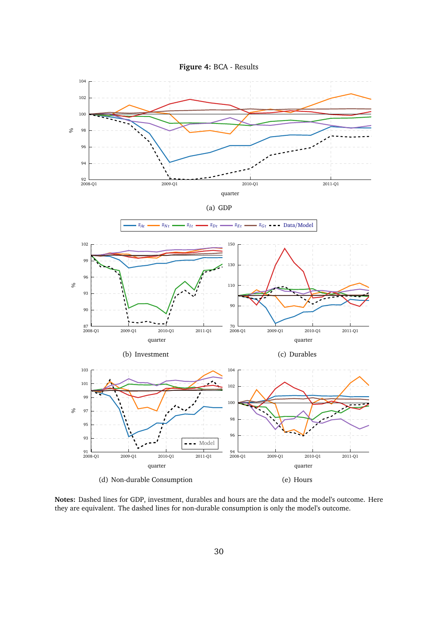<span id="page-30-3"></span><span id="page-30-1"></span><span id="page-30-0"></span>

<span id="page-30-5"></span><span id="page-30-4"></span><span id="page-30-2"></span>**Notes:** Dashed lines for GDP, investment, durables and hours are the data and the model's outcome. Here they are equivalent. The dashed lines for non-durable consumption is only the model's outcome.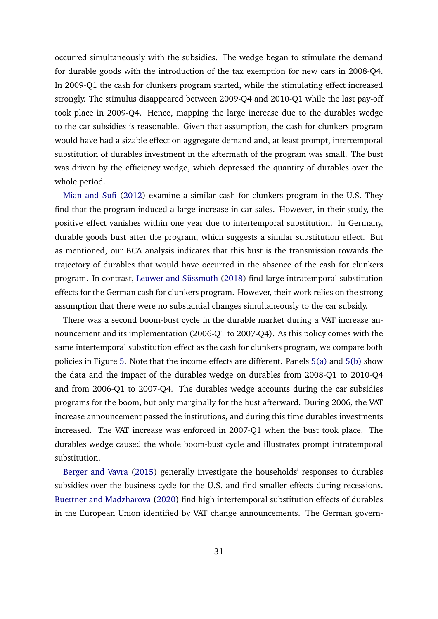occurred simultaneously with the subsidies. The wedge began to stimulate the demand for durable goods with the introduction of the tax exemption for new cars in 2008-Q4. In 2009-Q1 the cash for clunkers program started, while the stimulating effect increased strongly. The stimulus disappeared between 2009-Q4 and 2010-Q1 while the last pay-off took place in 2009-Q4. Hence, mapping the large increase due to the durables wedge to the car subsidies is reasonable. Given that assumption, the cash for clunkers program would have had a sizable effect on aggregate demand and, at least prompt, intertemporal substitution of durables investment in the aftermath of the program was small. The bust was driven by the efficiency wedge, which depressed the quantity of durables over the whole period.

[Mian and Sufi](#page-41-12) [\(2012\)](#page-41-12) examine a similar cash for clunkers program in the U.S. They find that the program induced a large increase in car sales. However, in their study, the positive effect vanishes within one year due to intertemporal substitution. In Germany, durable goods bust after the program, which suggests a similar substitution effect. But as mentioned, our BCA analysis indicates that this bust is the transmission towards the trajectory of durables that would have occurred in the absence of the cash for clunkers program. In contrast, [Leuwer and Süssmuth](#page-41-13) [\(2018\)](#page-41-13) find large intratemporal substitution effects for the German cash for clunkers program. However, their work relies on the strong assumption that there were no substantial changes simultaneously to the car subsidy.

There was a second boom-bust cycle in the durable market during a VAT increase announcement and its implementation (2006-Q1 to 2007-Q4). As this policy comes with the same intertemporal substitution effect as the cash for clunkers program, we compare both policies in Figure [5.](#page-32-0) Note that the income effects are different. Panels [5\(a\)](#page-32-1) and [5\(b\)](#page-32-2) show the data and the impact of the durables wedge on durables from 2008-Q1 to 2010-Q4 and from 2006-Q1 to 2007-Q4. The durables wedge accounts during the car subsidies programs for the boom, but only marginally for the bust afterward. During 2006, the VAT increase announcement passed the institutions, and during this time durables investments increased. The VAT increase was enforced in 2007-Q1 when the bust took place. The durables wedge caused the whole boom-bust cycle and illustrates prompt intratemporal substitution.

[Berger and Vavra](#page-37-7) [\(2015\)](#page-37-7) generally investigate the households' responses to durables subsidies over the business cycle for the U.S. and find smaller effects during recessions. [Buettner and Madzharova](#page-37-8) [\(2020\)](#page-37-8) find high intertemporal substitution effects of durables in the European Union identified by VAT change announcements. The German govern-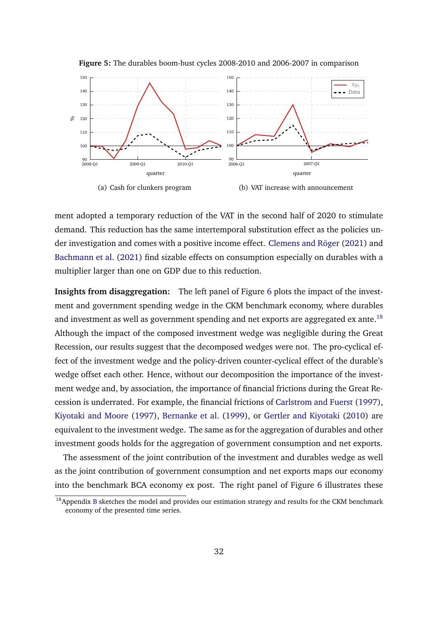<span id="page-32-1"></span><span id="page-32-0"></span>

**Figure 5:** The durables boom-bust cycles 2008-2010 and 2006-2007 in comparison

<span id="page-32-2"></span>ment adopted a temporary reduction of the VAT in the second half of 2020 to stimulate demand. This reduction has the same intertemporal substitution effect as the policies under investigation and comes with a positive income effect. [Clemens and Röger](#page-38-6) [\(2021\)](#page-38-6) and [Bachmann et al.](#page-37-3) [\(2021\)](#page-37-3) find sizable effects on consumption especially on durables with a multiplier larger than one on GDP due to this reduction.

**Insights from disaggregation:** The left panel of Figure [6](#page-33-0) plots the impact of the investment and government spending wedge in the CKM benchmark economy, where durables and investment as well as government spending and net exports are aggregated ex ante.<sup>[18](#page-0-0)</sup> Although the impact of the composed investment wedge was negligible during the Great Recession, our results suggest that the decomposed wedges were not. The pro-cyclical effect of the investment wedge and the policy-driven counter-cyclical effect of the durable's wedge offset each other. Hence, without our decomposition the importance of the investment wedge and, by association, the importance of financial frictions during the Great Recession is underrated. For example, the financial frictions of [Carlstrom and Fuerst](#page-38-10) [\(1997\)](#page-38-10), [Kiyotaki and Moore](#page-40-10) [\(1997\)](#page-40-10), [Bernanke et al.](#page-37-9) [\(1999\)](#page-37-9), or [Gertler and Kiyotaki](#page-39-12) [\(2010\)](#page-39-12) are equivalent to the investment wedge. The same as for the aggregation of durables and other investment goods holds for the aggregation of government consumption and net exports.

The assessment of the joint contribution of the investment and durables wedge as well as the joint contribution of government consumption and net exports maps our economy into the benchmark BCA economy ex post. The right panel of Figure [6](#page-33-0) illustrates these

 $18$ Appendix [B](#page-49-0) sketches the model and provides our estimation strategy and results for the CKM benchmark economy of the presented time series.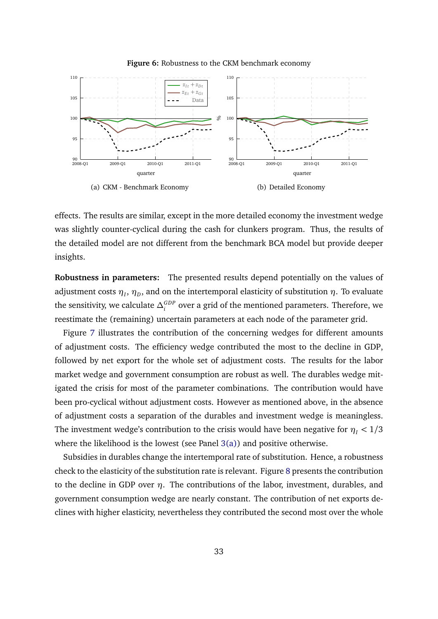<span id="page-33-0"></span>

**Figure 6:** Robustness to the CKM benchmark economy

effects. The results are similar, except in the more detailed economy the investment wedge was slightly counter-cyclical during the cash for clunkers program. Thus, the results of the detailed model are not different from the benchmark BCA model but provide deeper insights.

**Robustness in parameters:** The presented results depend potentially on the values of adjustment costs  $\eta_I, \eta_D,$  and on the intertemporal elasticity of substitution  $\eta.$  To evaluate the sensitivity, we calculate  $\Delta_i^{GDP}$  over a grid of the mentioned parameters. Therefore, we reestimate the (remaining) uncertain parameters at each node of the parameter grid.

Figure [7](#page-35-0) illustrates the contribution of the concerning wedges for different amounts of adjustment costs. The efficiency wedge contributed the most to the decline in GDP, followed by net export for the whole set of adjustment costs. The results for the labor market wedge and government consumption are robust as well. The durables wedge mitigated the crisis for most of the parameter combinations. The contribution would have been pro-cyclical without adjustment costs. However as mentioned above, in the absence of adjustment costs a separation of the durables and investment wedge is meaningless. The investment wedge's contribution to the crisis would have been negative for  $\eta$ <sup>*I*</sup> < 1/3 where the likelihood is the lowest (see Panel  $3(a)$ ) and positive otherwise.

Subsidies in durables change the intertemporal rate of substitution. Hence, a robustness check to the elasticity of the substitution rate is relevant. Figure [8](#page-36-0) presents the contribution to the decline in GDP over *η*. The contributions of the labor, investment, durables, and government consumption wedge are nearly constant. The contribution of net exports declines with higher elasticity, nevertheless they contributed the second most over the whole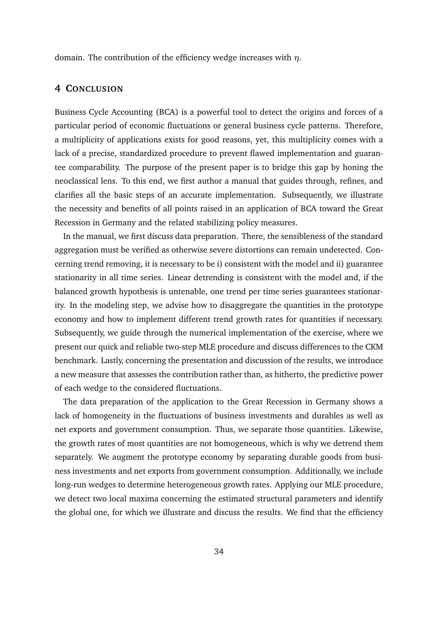domain. The contribution of the efficiency wedge increases with *η*.

## **4 CONCLUSION**

Business Cycle Accounting (BCA) is a powerful tool to detect the origins and forces of a particular period of economic fluctuations or general business cycle patterns. Therefore, a multiplicity of applications exists for good reasons, yet, this multiplicity comes with a lack of a precise, standardized procedure to prevent flawed implementation and guarantee comparability. The purpose of the present paper is to bridge this gap by honing the neoclassical lens. To this end, we first author a manual that guides through, refines, and clarifies all the basic steps of an accurate implementation. Subsequently, we illustrate the necessity and benefits of all points raised in an application of BCA toward the Great Recession in Germany and the related stabilizing policy measures.

In the manual, we first discuss data preparation. There, the sensibleness of the standard aggregation must be verified as otherwise severe distortions can remain undetected. Concerning trend removing, it is necessary to be i) consistent with the model and ii) guarantee stationarity in all time series. Linear detrending is consistent with the model and, if the balanced growth hypothesis is untenable, one trend per time series guarantees stationarity. In the modeling step, we advise how to disaggregate the quantities in the prototype economy and how to implement different trend growth rates for quantities if necessary. Subsequently, we guide through the numerical implementation of the exercise, where we present our quick and reliable two-step MLE procedure and discuss differences to the CKM benchmark. Lastly, concerning the presentation and discussion of the results, we introduce a new measure that assesses the contribution rather than, as hitherto, the predictive power of each wedge to the considered fluctuations.

The data preparation of the application to the Great Recession in Germany shows a lack of homogeneity in the fluctuations of business investments and durables as well as net exports and government consumption. Thus, we separate those quantities. Likewise, the growth rates of most quantities are not homogeneous, which is why we detrend them separately. We augment the prototype economy by separating durable goods from business investments and net exports from government consumption. Additionally, we include long-run wedges to determine heterogeneous growth rates. Applying our MLE procedure, we detect two local maxima concerning the estimated structural parameters and identify the global one, for which we illustrate and discuss the results. We find that the efficiency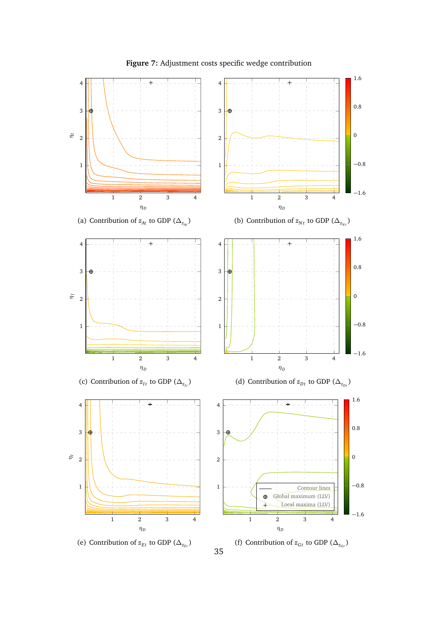<span id="page-35-0"></span>

**Figure 7:** Adjustment costs specific wedge contribution

35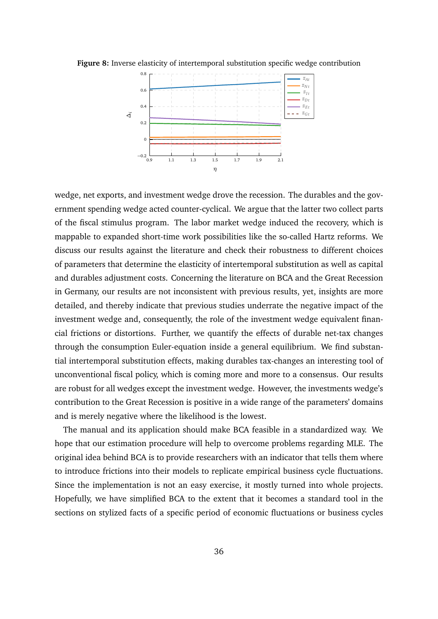

<span id="page-36-0"></span>**Figure 8:** Inverse elasticity of intertemporal substitution specific wedge contribution

wedge, net exports, and investment wedge drove the recession. The durables and the government spending wedge acted counter-cyclical. We argue that the latter two collect parts of the fiscal stimulus program. The labor market wedge induced the recovery, which is mappable to expanded short-time work possibilities like the so-called Hartz reforms. We discuss our results against the literature and check their robustness to different choices of parameters that determine the elasticity of intertemporal substitution as well as capital and durables adjustment costs. Concerning the literature on BCA and the Great Recession in Germany, our results are not inconsistent with previous results, yet, insights are more detailed, and thereby indicate that previous studies underrate the negative impact of the investment wedge and, consequently, the role of the investment wedge equivalent financial frictions or distortions. Further, we quantify the effects of durable net-tax changes through the consumption Euler-equation inside a general equilibrium. We find substantial intertemporal substitution effects, making durables tax-changes an interesting tool of unconventional fiscal policy, which is coming more and more to a consensus. Our results are robust for all wedges except the investment wedge. However, the investments wedge's contribution to the Great Recession is positive in a wide range of the parameters' domains and is merely negative where the likelihood is the lowest.

The manual and its application should make BCA feasible in a standardized way. We hope that our estimation procedure will help to overcome problems regarding MLE. The original idea behind BCA is to provide researchers with an indicator that tells them where to introduce frictions into their models to replicate empirical business cycle fluctuations. Since the implementation is not an easy exercise, it mostly turned into whole projects. Hopefully, we have simplified BCA to the extent that it becomes a standard tool in the sections on stylized facts of a specific period of economic fluctuations or business cycles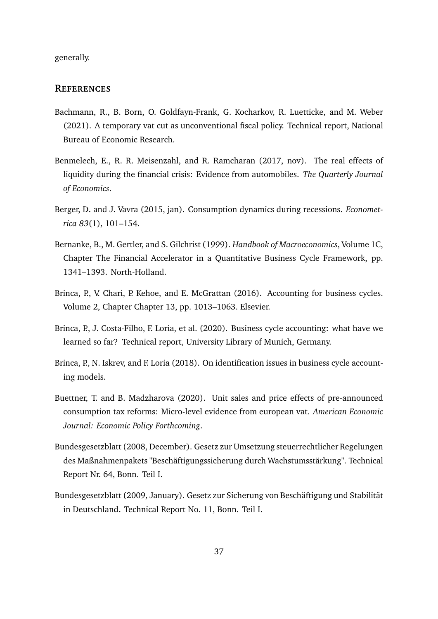generally.

## **REFERENCES**

- <span id="page-37-3"></span>Bachmann, R., B. Born, O. Goldfayn-Frank, G. Kocharkov, R. Luetticke, and M. Weber (2021). A temporary vat cut as unconventional fiscal policy. Technical report, National Bureau of Economic Research.
- <span id="page-37-6"></span>Benmelech, E., R. R. Meisenzahl, and R. Ramcharan (2017, nov). The real effects of liquidity during the financial crisis: Evidence from automobiles. *The Quarterly Journal of Economics*.
- <span id="page-37-7"></span>Berger, D. and J. Vavra (2015, jan). Consumption dynamics during recessions. *Econometrica 83*(1), 101–154.
- <span id="page-37-9"></span>Bernanke, B., M. Gertler, and S. Gilchrist (1999). *Handbook of Macroeconomics*, Volume 1C, Chapter The Financial Accelerator in a Quantitative Business Cycle Framework, pp. 1341–1393. North-Holland.
- <span id="page-37-2"></span>Brinca, P., V. Chari, P. Kehoe, and E. McGrattan (2016). Accounting for business cycles. Volume 2, Chapter Chapter 13, pp. 1013–1063. Elsevier.
- <span id="page-37-0"></span>Brinca, P., J. Costa-Filho, F. Loria, et al. (2020). Business cycle accounting: what have we learned so far? Technical report, University Library of Munich, Germany.
- <span id="page-37-1"></span>Brinca, P., N. Iskrev, and F. Loria (2018). On identification issues in business cycle accounting models.
- <span id="page-37-8"></span>Buettner, T. and B. Madzharova (2020). Unit sales and price effects of pre-announced consumption tax reforms: Micro-level evidence from european vat. *American Economic Journal: Economic Policy Forthcoming*.
- <span id="page-37-4"></span>Bundesgesetzblatt (2008, December). Gesetz zur Umsetzung steuerrechtlicher Regelungen des Maßnahmenpakets "Beschäftigungssicherung durch Wachstumsstärkung". Technical Report Nr. 64, Bonn. Teil I.
- <span id="page-37-5"></span>Bundesgesetzblatt (2009, January). Gesetz zur Sicherung von Beschäftigung und Stabilität in Deutschland. Technical Report No. 11, Bonn. Teil I.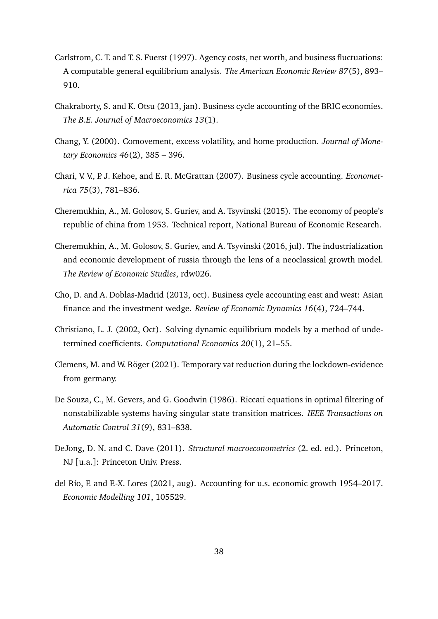- <span id="page-38-10"></span>Carlstrom, C. T. and T. S. Fuerst (1997). Agency costs, net worth, and business fluctuations: A computable general equilibrium analysis. *The American Economic Review 87*(5), 893– 910.
- <span id="page-38-3"></span>Chakraborty, S. and K. Otsu (2013, jan). Business cycle accounting of the BRIC economies. *The B.E. Journal of Macroeconomics 13*(1).
- <span id="page-38-9"></span>Chang, Y. (2000). Comovement, excess volatility, and home production. *Journal of Monetary Economics 46*(2), 385 – 396.
- <span id="page-38-0"></span>Chari, V. V., P. J. Kehoe, and E. R. McGrattan (2007). Business cycle accounting. *Econometrica 75*(3), 781–836.
- <span id="page-38-4"></span>Cheremukhin, A., M. Golosov, S. Guriev, and A. Tsyvinski (2015). The economy of people's republic of china from 1953. Technical report, National Bureau of Economic Research.
- <span id="page-38-5"></span>Cheremukhin, A., M. Golosov, S. Guriev, and A. Tsyvinski (2016, jul). The industrialization and economic development of russia through the lens of a neoclassical growth model. *The Review of Economic Studies*, rdw026.
- <span id="page-38-1"></span>Cho, D. and A. Doblas-Madrid (2013, oct). Business cycle accounting east and west: Asian finance and the investment wedge. *Review of Economic Dynamics 16*(4), 724–744.
- <span id="page-38-8"></span>Christiano, L. J. (2002, Oct). Solving dynamic equilibrium models by a method of undetermined coefficients. *Computational Economics 20*(1), 21–55.
- <span id="page-38-6"></span>Clemens, M. and W. Röger (2021). Temporary vat reduction during the lockdown-evidence from germany.
- <span id="page-38-11"></span>De Souza, C., M. Gevers, and G. Goodwin (1986). Riccati equations in optimal filtering of nonstabilizable systems having singular state transition matrices. *IEEE Transactions on Automatic Control 31*(9), 831–838.
- <span id="page-38-7"></span>DeJong, D. N. and C. Dave (2011). *Structural macroeconometrics* (2. ed. ed.). Princeton, NJ [u.a.]: Princeton Univ. Press.
- <span id="page-38-2"></span>del Río, F. and F.-X. Lores (2021, aug). Accounting for u.s. economic growth 1954–2017. *Economic Modelling 101*, 105529.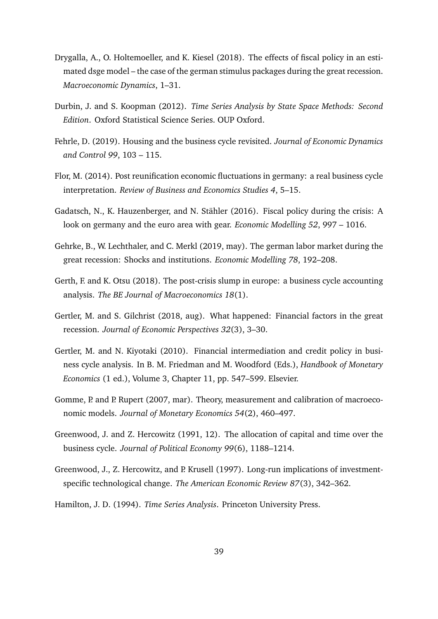- <span id="page-39-3"></span>Drygalla, A., O. Holtemoeller, and K. Kiesel (2018). The effects of fiscal policy in an estimated dsge model – the case of the german stimulus packages during the great recession. *Macroeconomic Dynamics*, 1–31.
- <span id="page-39-6"></span>Durbin, J. and S. Koopman (2012). *Time Series Analysis by State Space Methods: Second Edition*. Oxford Statistical Science Series. OUP Oxford.
- <span id="page-39-9"></span>Fehrle, D. (2019). Housing and the business cycle revisited. *Journal of Economic Dynamics and Control 99*, 103 – 115.
- <span id="page-39-8"></span>Flor, M. (2014). Post reunification economic fluctuations in germany: a real business cycle interpretation. *Review of Business and Economics Studies 4*, 5–15.
- <span id="page-39-2"></span>Gadatsch, N., K. Hauzenberger, and N. Stähler (2016). Fiscal policy during the crisis: A look on germany and the euro area with gear. *Economic Modelling 52*, 997 – 1016.
- <span id="page-39-10"></span>Gehrke, B., W. Lechthaler, and C. Merkl (2019, may). The german labor market during the great recession: Shocks and institutions. *Economic Modelling 78*, 192–208.
- <span id="page-39-1"></span>Gerth, F. and K. Otsu (2018). The post-crisis slump in europe: a business cycle accounting analysis. *The BE Journal of Macroeconomics 18*(1).
- <span id="page-39-11"></span>Gertler, M. and S. Gilchrist (2018, aug). What happened: Financial factors in the great recession. *Journal of Economic Perspectives 32*(3), 3–30.
- <span id="page-39-12"></span>Gertler, M. and N. Kiyotaki (2010). Financial intermediation and credit policy in business cycle analysis. In B. M. Friedman and M. Woodford (Eds.), *Handbook of Monetary Economics* (1 ed.), Volume 3, Chapter 11, pp. 547–599. Elsevier.
- <span id="page-39-0"></span>Gomme, P. and P. Rupert (2007, mar). Theory, measurement and calibration of macroeconomic models. *Journal of Monetary Economics 54*(2), 460–497.
- <span id="page-39-4"></span>Greenwood, J. and Z. Hercowitz (1991, 12). The allocation of capital and time over the business cycle. *Journal of Political Economy 99*(6), 1188–1214.
- <span id="page-39-7"></span>Greenwood, J., Z. Hercowitz, and P. Krusell (1997). Long-run implications of investmentspecific technological change. *The American Economic Review 87*(3), 342–362.
- <span id="page-39-5"></span>Hamilton, J. D. (1994). *Time Series Analysis*. Princeton University Press.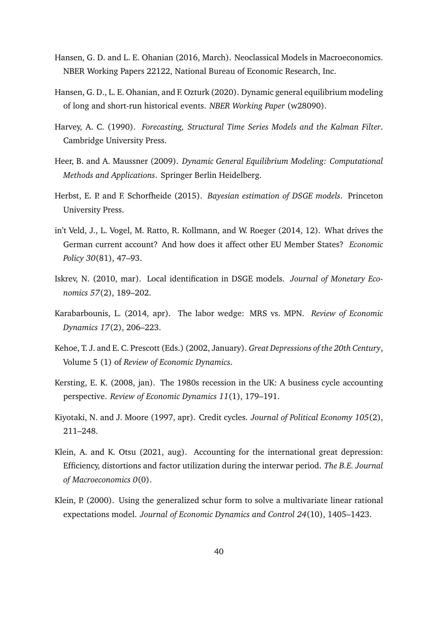- <span id="page-40-2"></span>Hansen, G. D. and L. E. Ohanian (2016, March). Neoclassical Models in Macroeconomics. NBER Working Papers 22122, National Bureau of Economic Research, Inc.
- <span id="page-40-6"></span>Hansen, G. D., L. E. Ohanian, and F. Ozturk (2020). Dynamic general equilibrium modeling of long and short-run historical events. *NBER Working Paper* (w28090).
- <span id="page-40-12"></span>Harvey, A. C. (1990). *Forecasting, Structural Time Series Models and the Kalman Filter*. Cambridge University Press.
- <span id="page-40-8"></span>Heer, B. and A. Maussner (2009). *Dynamic General Equilibrium Modeling: Computational Methods and Applications*. Springer Berlin Heidelberg.
- <span id="page-40-7"></span>Herbst, E. P. and F. Schorfheide (2015). *Bayesian estimation of DSGE models*. Princeton University Press.
- <span id="page-40-9"></span>in't Veld, J., L. Vogel, M. Ratto, R. Kollmann, and W. Roeger (2014, 12). What drives the German current account? And how does it affect other EU Member States? *Economic Policy 30*(81), 47–93.
- <span id="page-40-3"></span>Iskrev, N. (2010, mar). Local identification in DSGE models. *Journal of Monetary Economics 57*(2), 189–202.
- <span id="page-40-1"></span>Karabarbounis, L. (2014, apr). The labor wedge: MRS vs. MPN. *Review of Economic Dynamics 17*(2), 206–223.
- <span id="page-40-0"></span>Kehoe, T. J. and E. C. Prescott (Eds.) (2002, January). *Great Depressions of the 20th Century*, Volume 5 (1) of *Review of Economic Dynamics*.
- <span id="page-40-5"></span>Kersting, E. K. (2008, jan). The 1980s recession in the UK: A business cycle accounting perspective. *Review of Economic Dynamics 11*(1), 179–191.
- <span id="page-40-10"></span>Kiyotaki, N. and J. Moore (1997, apr). Credit cycles. *Journal of Political Economy 105*(2), 211–248.
- <span id="page-40-4"></span>Klein, A. and K. Otsu (2021, aug). Accounting for the international great depression: Efficiency, distortions and factor utilization during the interwar period. *The B.E. Journal of Macroeconomics 0*(0).
- <span id="page-40-11"></span>Klein, P. (2000). Using the generalized schur form to solve a multivariate linear rational expectations model. *Journal of Economic Dynamics and Control 24*(10), 1405–1423.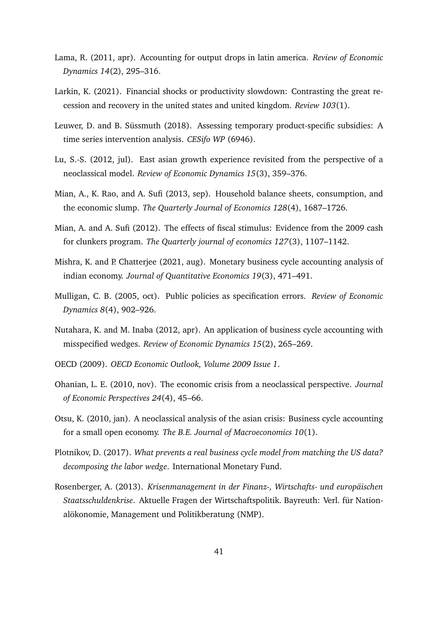- <span id="page-41-8"></span>Lama, R. (2011, apr). Accounting for output drops in latin america. *Review of Economic Dynamics 14*(2), 295–316.
- <span id="page-41-0"></span>Larkin, K. (2021). Financial shocks or productivity slowdown: Contrasting the great recession and recovery in the united states and united kingdom. *Review 103*(1).
- <span id="page-41-13"></span>Leuwer, D. and B. Süssmuth (2018). Assessing temporary product-specific subsidies: A time series intervention analysis. *CESifo WP* (6946).
- <span id="page-41-2"></span>Lu, S.-S. (2012, jul). East asian growth experience revisited from the perspective of a neoclassical model. *Review of Economic Dynamics 15*(3), 359–376.
- <span id="page-41-11"></span>Mian, A., K. Rao, and A. Sufi (2013, sep). Household balance sheets, consumption, and the economic slump. *The Quarterly Journal of Economics 128*(4), 1687–1726.
- <span id="page-41-12"></span>Mian, A. and A. Sufi (2012). The effects of fiscal stimulus: Evidence from the 2009 cash for clunkers program. *The Quarterly journal of economics 127*(3), 1107–1142.
- <span id="page-41-5"></span>Mishra, K. and P. Chatterjee (2021, aug). Monetary business cycle accounting analysis of indian economy. *Journal of Quantitative Economics 19*(3), 471–491.
- <span id="page-41-6"></span>Mulligan, C. B. (2005, oct). Public policies as specification errors. *Review of Economic Dynamics 8*(4), 902–926.
- <span id="page-41-7"></span>Nutahara, K. and M. Inaba (2012, apr). An application of business cycle accounting with misspecified wedges. *Review of Economic Dynamics 15*(2), 265–269.
- <span id="page-41-10"></span>OECD (2009). *OECD Economic Outlook, Volume 2009 Issue 1*.
- <span id="page-41-1"></span>Ohanian, L. E. (2010, nov). The economic crisis from a neoclassical perspective. *Journal of Economic Perspectives 24*(4), 45–66.
- <span id="page-41-3"></span>Otsu, K. (2010, jan). A neoclassical analysis of the asian crisis: Business cycle accounting for a small open economy. *The B.E. Journal of Macroeconomics 10*(1).
- <span id="page-41-4"></span>Plotnikov, D. (2017). *What prevents a real business cycle model from matching the US data? decomposing the labor wedge*. International Monetary Fund.
- <span id="page-41-9"></span>Rosenberger, A. (2013). *Krisenmanagement in der Finanz-, Wirtschafts- und europäischen Staatsschuldenkrise*. Aktuelle Fragen der Wirtschaftspolitik. Bayreuth: Verl. für Nationalökonomie, Management und Politikberatung (NMP).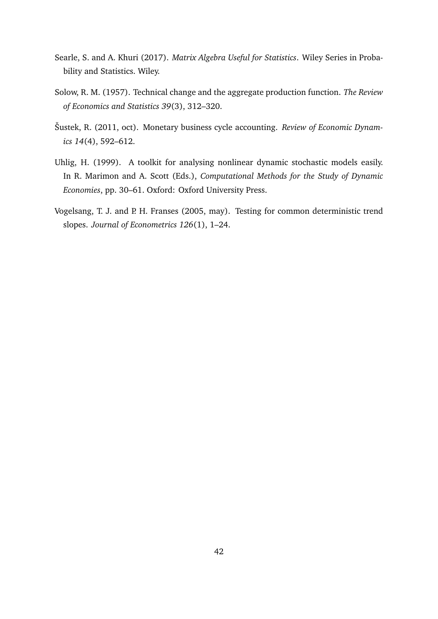- <span id="page-42-4"></span>Searle, S. and A. Khuri (2017). *Matrix Algebra Useful for Statistics*. Wiley Series in Probability and Statistics. Wiley.
- <span id="page-42-0"></span>Solow, R. M. (1957). Technical change and the aggregate production function. *The Review of Economics and Statistics 39*(3), 312–320.
- <span id="page-42-2"></span>Šustek, R. (2011, oct). Monetary business cycle accounting. *Review of Economic Dynamics 14*(4), 592–612.
- <span id="page-42-3"></span>Uhlig, H. (1999). A toolkit for analysing nonlinear dynamic stochastic models easily. In R. Marimon and A. Scott (Eds.), *Computational Methods for the Study of Dynamic Economies*, pp. 30–61. Oxford: Oxford University Press.
- <span id="page-42-1"></span>Vogelsang, T. J. and P. H. Franses (2005, may). Testing for common deterministic trend slopes. *Journal of Econometrics 126*(1), 1–24.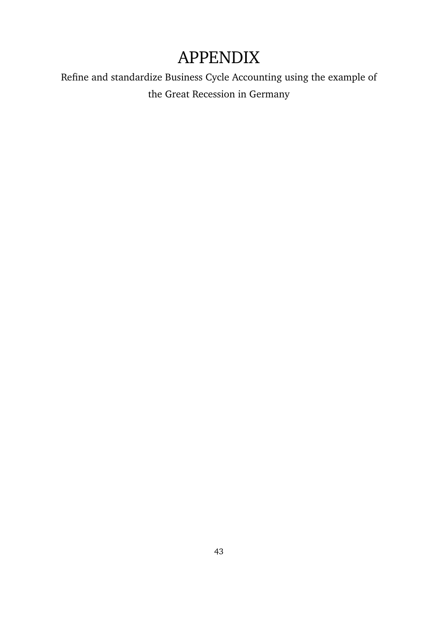# APPENDIX

Refine and standardize Business Cycle Accounting using the example of the Great Recession in Germany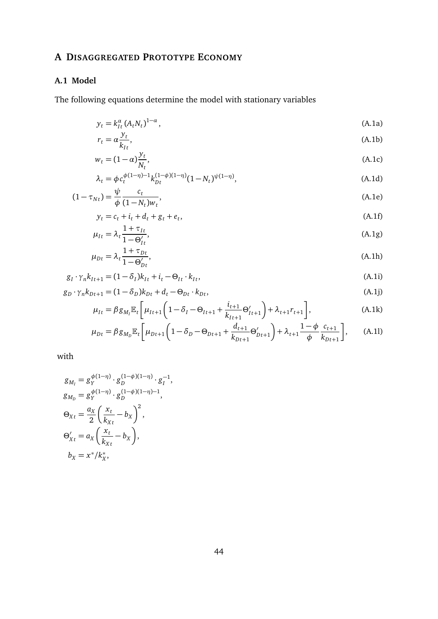## <span id="page-44-0"></span>**A DISAGGREGATED PROTOTYPE ECONOMY**

## **A.1 Model**

The following equations determine the model with stationary variables

$$
y_t = k_{It}^{\alpha} (A_t N_t)^{1-\alpha}, \tag{A.1a}
$$
\n
$$
x = \alpha \frac{y_t}{\alpha}
$$

$$
r_t = \alpha \frac{\partial t}{\partial k_{It}},\tag{A.1b}
$$

$$
w_t = (1 - \alpha) \frac{y_t}{N_t},\tag{A.1c}
$$

$$
\lambda_t = \phi c_t^{\phi(1-\eta)-1} k_{Dt}^{(1-\phi)(1-\eta)} (1 - N_t)^{\psi(1-\eta)},
$$
\n(A.1d)

$$
(1 - \tau_{Nt}) = \frac{\psi}{\phi} \frac{c_t}{(1 - N_t)w_t},\tag{A.1e}
$$

$$
y_t = c_t + i_t + d_t + g_t + e_t,\tag{A.1f}
$$

$$
\mu_{It} = \lambda_t \frac{1 + \tau_{It}}{1 - \Theta'_{It}},\tag{A.1g}
$$

<span id="page-44-2"></span><span id="page-44-1"></span>
$$
\mu_{Dt} = \lambda_t \frac{1 + \tau_{Dt}}{1 - \Theta_{Dt}'},\tag{A.1h}
$$

$$
g_I \cdot \gamma_n k_{It+1} = (1 - \delta_I)k_{It} + i_t - \Theta_{It} \cdot k_{It},
$$
\n(A.1i)

$$
g_D \cdot \gamma_n k_{Dt+1} = (1 - \delta_D)k_{Dt} + d_t - \Theta_{Dt} \cdot k_{Dt},
$$
\n(A.1j)

$$
\mu_{It} = \beta g_{M_t} \mathbb{E}_t \left[ \mu_{It+1} \left( 1 - \delta_I - \Theta_{It+1} + \frac{i_{t+1}}{k_{It+1}} \Theta'_{It+1} \right) + \lambda_{t+1} r_{t+1} \right],
$$
\n(A.1k)

$$
\mu_{Dt} = \beta g_{M_D} \mathbb{E}_t \left[ \mu_{Dt+1} \left( 1 - \delta_D - \Theta_{Dt+1} + \frac{d_{t+1}}{k_{Dt+1}} \Theta'_{Dt+1} \right) + \lambda_{t+1} \frac{1 - \phi}{\phi} \frac{c_{t+1}}{k_{Dt+1}} \right], \tag{A.11}
$$

with

$$
g_{M_I} = g_Y^{\phi(1-\eta)} \cdot g_D^{(1-\phi)(1-\eta)} \cdot g_I^{-1},
$$
  
\n
$$
g_{M_D} = g_Y^{\phi(1-\eta)} \cdot g_D^{(1-\phi)(1-\eta)-1},
$$
  
\n
$$
\Theta_{Xt} = \frac{a_X}{2} \left(\frac{x_t}{k_{Xt}} - b_X\right)^2,
$$
  
\n
$$
\Theta'_{Xt} = a_X \left(\frac{x_t}{k_{Xt}} - b_X\right),
$$
  
\n
$$
b_X = x^*/k_X^*,
$$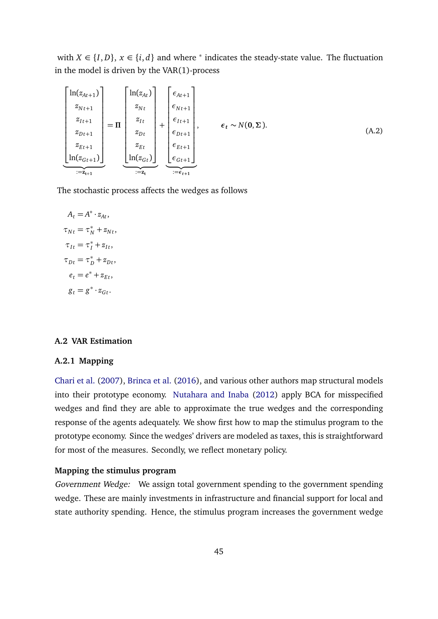with  $X \in \{I, D\}$ ,  $x \in \{i, d\}$  and where  $^*$  indicates the steady-state value. The fluctuation in the model is driven by the VAR(1)-process

$$
\begin{bmatrix}\n\ln(z_{At+1}) \\
z_{Nt+1} \\
z_{It+1} \\
z_{Dt+1} \\
z_{Et+1} \\
\ln(z_{Gt+1})\n\end{bmatrix} = \Pi \begin{bmatrix}\n\ln(z_{At}) \\
z_{Nt} \\
z_{It} \\
z_{Dt} \\
z_{Et} \\
z_{Et} \\
\ln(z_{Gt})\n\end{bmatrix} + \begin{bmatrix}\n\epsilon_{At+1} \\
\epsilon_{Nt+1} \\
\epsilon_{It+1} \\
\epsilon_{Dt+1} \\
\epsilon_{Et+1} \\
\epsilon_{Et+1} \\
\epsilon_{Gt+1}\n\end{bmatrix}, \quad \epsilon_t \sim N(\mathbf{0}, \Sigma). \tag{A.2}
$$

The stochastic process affects the wedges as follows

$$
A_t = A^* \cdot z_{At},
$$
  
\n
$$
\tau_{Nt} = \tau_N^* + z_{Nt},
$$
  
\n
$$
\tau_{It} = \tau_I^* + z_{It},
$$
  
\n
$$
\tau_{Dt} = \tau_D^* + z_{Dt},
$$
  
\n
$$
e_t = e^* + z_{Et},
$$
  
\n
$$
g_t = g^* \cdot z_{Gt}.
$$

#### **A.2 VAR Estimation**

#### **A.2.1 Mapping**

[Chari et al.](#page-38-0) [\(2007\)](#page-38-0), [Brinca et al.](#page-37-2) [\(2016\)](#page-37-2), and various other authors map structural models into their prototype economy. [Nutahara and Inaba](#page-41-7) [\(2012\)](#page-41-7) apply BCA for misspecified wedges and find they are able to approximate the true wedges and the corresponding response of the agents adequately. We show first how to map the stimulus program to the prototype economy. Since the wedges' drivers are modeled as taxes, this is straightforward for most of the measures. Secondly, we reflect monetary policy.

## **Mapping the stimulus program**

Government Wedge: We assign total government spending to the government spending wedge. These are mainly investments in infrastructure and financial support for local and state authority spending. Hence, the stimulus program increases the government wedge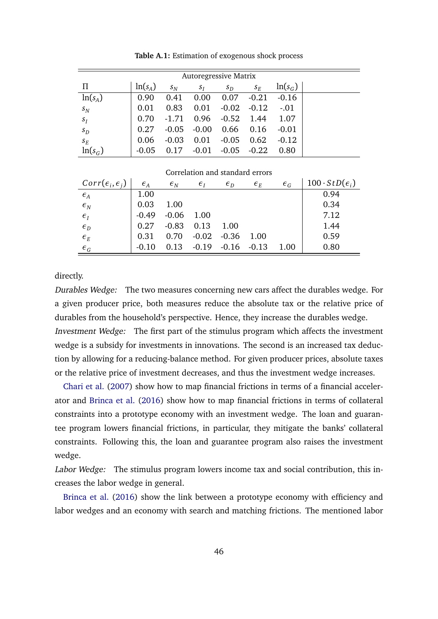<span id="page-46-0"></span>

| <b>Autoregressive Matrix</b> |           |         |         |         |         |           |  |  |  |  |  |  |
|------------------------------|-----------|---------|---------|---------|---------|-----------|--|--|--|--|--|--|
| П                            | $ln(s_A)$ | $S_N$   | $S_I$   | $s_D$   | $S_E$   | $ln(s_G)$ |  |  |  |  |  |  |
| $ln(s_A)$                    | 0.90      | 0.41    | 0.00    | 0.07    | $-0.21$ | $-0.16$   |  |  |  |  |  |  |
| $S_N$                        | 0.01      | 0.83    | 0.01    | $-0.02$ | $-0.12$ | $-.01$    |  |  |  |  |  |  |
| $S_I$                        | 0.70      | $-1.71$ | 0.96    | $-0.52$ | 1.44    | 1.07      |  |  |  |  |  |  |
| $S_D$                        | 0.27      | $-0.05$ | $-0.00$ | 0.66    | 0.16    | $-0.01$   |  |  |  |  |  |  |
| $S_E$                        | 0.06      | $-0.03$ | 0.01    | $-0.05$ | 0.62    | $-0.12$   |  |  |  |  |  |  |
| $ln(s_G)$                    | $-0.05$   | 0.17    | $-0.01$ | $-0.05$ | $-0.22$ | 0.80      |  |  |  |  |  |  |

**Table A.1:** Estimation of exogenous shock process

| $Corr(\epsilon_i, \epsilon_i)$ | $\epsilon_A$ | $\epsilon_{N}$ | $\epsilon_{I}$ | $\epsilon_{D}$ | $\epsilon_{E}$ | $\epsilon_{G}$ | $100 \cdot StD(\epsilon_i)$ |
|--------------------------------|--------------|----------------|----------------|----------------|----------------|----------------|-----------------------------|
| $\epsilon_A$                   | 1.00         |                |                |                |                |                | 0.94                        |
| $\epsilon_N$                   | 0.03         | 1.00           |                |                |                |                | 0.34                        |
| $\epsilon_I$                   | $-0.49$      | $-0.06$ 1.00   |                |                |                |                | 7.12                        |
| $\epsilon_{D}$                 | 0.27         | $-0.83$        | 0.13           | 1.00           |                |                | 1.44                        |
| $\epsilon_{E}$                 | 0.31         | 0.70           | $-0.02$        | $-0.36$        | - 1.00         |                | 0.59                        |
| $\epsilon_G$                   | $-0.10$      | 0.13           |                | $-0.19 - 0.16$ | $-0.13$        | 1.00           | 0.80                        |

Correlation and standard errors

directly.

Durables Wedge: The two measures concerning new cars affect the durables wedge. For a given producer price, both measures reduce the absolute tax or the relative price of durables from the household's perspective. Hence, they increase the durables wedge. Investment Wedge: The first part of the stimulus program which affects the investment wedge is a subsidy for investments in innovations. The second is an increased tax deduction by allowing for a reducing-balance method. For given producer prices, absolute taxes or the relative price of investment decreases, and thus the investment wedge increases.

[Chari et al.](#page-38-0) [\(2007\)](#page-38-0) show how to map financial frictions in terms of a financial accelerator and [Brinca et al.](#page-37-2) [\(2016\)](#page-37-2) show how to map financial frictions in terms of collateral constraints into a prototype economy with an investment wedge. The loan and guarantee program lowers financial frictions, in particular, they mitigate the banks' collateral constraints. Following this, the loan and guarantee program also raises the investment wedge.

Labor Wedge: The stimulus program lowers income tax and social contribution, this increases the labor wedge in general.

[Brinca et al.](#page-37-2) [\(2016\)](#page-37-2) show the link between a prototype economy with efficiency and labor wedges and an economy with search and matching frictions. The mentioned labor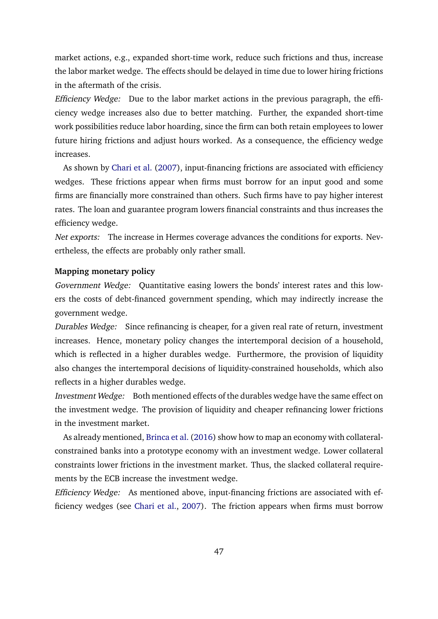market actions, e.g., expanded short-time work, reduce such frictions and thus, increase the labor market wedge. The effects should be delayed in time due to lower hiring frictions in the aftermath of the crisis.

Efficiency Wedge: Due to the labor market actions in the previous paragraph, the efficiency wedge increases also due to better matching. Further, the expanded short-time work possibilities reduce labor hoarding, since the firm can both retain employees to lower future hiring frictions and adjust hours worked. As a consequence, the efficiency wedge increases.

As shown by [Chari et al.](#page-38-0) [\(2007\)](#page-38-0), input-financing frictions are associated with efficiency wedges. These frictions appear when firms must borrow for an input good and some firms are financially more constrained than others. Such firms have to pay higher interest rates. The loan and guarantee program lowers financial constraints and thus increases the efficiency wedge.

Net exports: The increase in Hermes coverage advances the conditions for exports. Nevertheless, the effects are probably only rather small.

## **Mapping monetary policy**

Government Wedge: Quantitative easing lowers the bonds' interest rates and this lowers the costs of debt-financed government spending, which may indirectly increase the government wedge.

Durables Wedge: Since refinancing is cheaper, for a given real rate of return, investment increases. Hence, monetary policy changes the intertemporal decision of a household, which is reflected in a higher durables wedge. Furthermore, the provision of liquidity also changes the intertemporal decisions of liquidity-constrained households, which also reflects in a higher durables wedge.

Investment Wedge: Both mentioned effects of the durables wedge have the same effect on the investment wedge. The provision of liquidity and cheaper refinancing lower frictions in the investment market.

As already mentioned, [Brinca et al.](#page-37-2) [\(2016\)](#page-37-2) show how to map an economy with collateralconstrained banks into a prototype economy with an investment wedge. Lower collateral constraints lower frictions in the investment market. Thus, the slacked collateral requirements by the ECB increase the investment wedge.

Efficiency Wedge: As mentioned above, input-financing frictions are associated with efficiency wedges (see [Chari et al.,](#page-38-0) [2007\)](#page-38-0). The friction appears when firms must borrow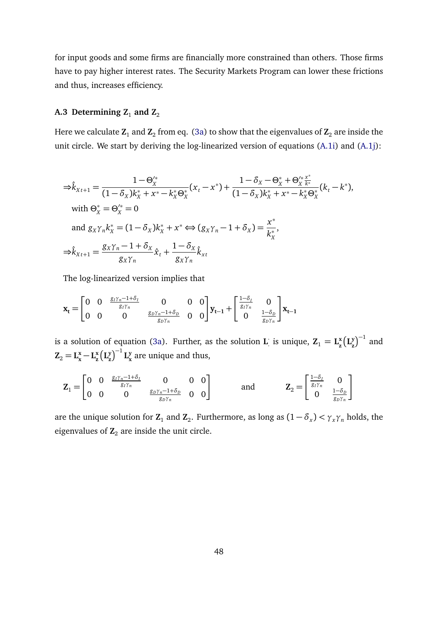for input goods and some firms are financially more constrained than others. Those firms have to pay higher interest rates. The Security Markets Program can lower these frictions and thus, increases efficiency.

## A.3 Determining  $Z_1$  and  $Z_2$

Here we calculate  $\mathbf{Z}_1$  and  $\mathbf{Z}_2$  from eq. [\(3a\)](#page-9-4) to show that the eigenvalues of  $\mathbf{Z}_2$  are inside the unit circle. We start by deriving the log-linearized version of equations [\(A.1i\)](#page-44-1) and [\(A.1j\)](#page-44-2):

$$
\Rightarrow \hat{k}_{Xt+1} = \frac{1 - \Theta_X^{\prime *}}{(1 - \delta_X)k_X^* + x^* - k_X^* \Theta_X^*} (x_t - x^*) + \frac{1 - \delta_X - \Theta_X^* + \Theta_X^{\prime *} \frac{x^*}{k^*}}{(1 - \delta_X)k_X^* + x^* - k_X^* \Theta_X^*} (k_t - k^*),
$$
\nwith  $\Theta_X^* = \Theta_X^{\prime *} = 0$   
\nand  $g_X \gamma_n k_X^* = (1 - \delta_X)k_X^* + x^* \Leftrightarrow (g_X \gamma_n - 1 + \delta_X) = \frac{x^*}{k_X^*},$   
\n
$$
\Rightarrow \hat{k}_{Xt+1} = \frac{g_X \gamma_n - 1 + \delta_X}{g_X \gamma_n} \hat{x}_t + \frac{1 - \delta_X}{g_X \gamma_n} \hat{k}_{xt}
$$

The log-linearized version implies that

$$
\mathbf{x}_{t} = \begin{bmatrix} 0 & 0 & \frac{g_{I}\gamma_{n}-1+\delta_{I}}{g_{I}\gamma_{n}} & 0 & 0 & 0 \\ 0 & 0 & 0 & \frac{g_{D}\gamma_{n}-1+\delta_{D}}{g_{D}\gamma_{n}} & 0 & 0 \end{bmatrix} \mathbf{y}_{t-1} + \begin{bmatrix} \frac{1-\delta_{I}}{g_{I}\gamma_{n}} & 0 \\ 0 & \frac{1-\delta_{D}}{g_{D}\gamma_{n}} \end{bmatrix} \mathbf{x}_{t-1}
$$

is a solution of equation [\(3a\)](#page-9-4). Further, as the solution **L** ·  $\mathbf{z}_1 = \mathbf{L}_{\mathbf{z}}^{\mathbf{x}}$ **z L y**  $\binom{y}{z}^{-1}$  and  $\mathbf{Z}_2 = \mathbf{L}_{\mathbf{x}}^{\mathbf{x}} - \mathbf{L}_{\mathbf{z}}^{\mathbf{x}}$ **z L y**  $\left(\frac{y}{z}\right)^{-1} L_{x}^{y}$ **x** are unique and thus,

$$
\mathbf{Z}_1 = \begin{bmatrix} 0 & 0 & \frac{g_1 \gamma_n - 1 + \delta_1}{g_1 \gamma_n} & 0 & 0 & 0 \\ 0 & 0 & 0 & \frac{g_0 \gamma_n - 1 + \delta_0}{g_0 \gamma_n} & 0 & 0 \end{bmatrix}
$$
 and 
$$
\mathbf{Z}_2 = \begin{bmatrix} \frac{1 - \delta_1}{g_1 \gamma_n} & 0 \\ 0 & \frac{1 - \delta_0}{g_0 \gamma_n} \end{bmatrix}
$$

are the unique solution for  $\mathbf{Z}_1$  and  $\mathbf{Z}_2$ . Furthermore, as long as  $(1 - \delta_x) < \gamma_x \gamma_n$  holds, the eigenvalues of  $\mathbb{Z}_2$  are inside the unit circle.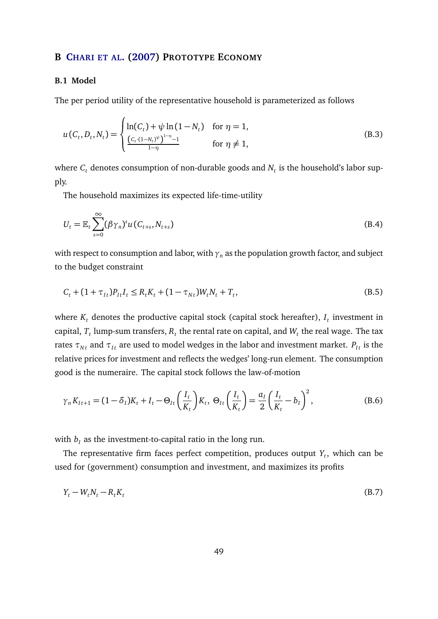### <span id="page-49-0"></span>**B C[HARI ET AL](#page-38-0). [\(2007\)](#page-38-0) PROTOTYPE ECONOMY**

#### **B.1 Model**

The per period utility of the representative household is parameterized as follows

$$
u(C_t, D_t, N_t) = \begin{cases} \ln(C_t) + \psi \ln(1 - N_t) & \text{for } \eta = 1, \\ \frac{(C_t \cdot (1 - N_t)^{\psi})^{1 - \eta} - 1}{1 - \eta} & \text{for } \eta \neq 1, \end{cases}
$$
(B.3)

where  $C_t$  denotes consumption of non-durable goods and  $N_t$  is the household's labor supply.

The household maximizes its expected life-time-utility

$$
U_t = \mathbb{E}_t \sum_{s=0}^{\infty} (\beta \gamma_n)^s u(C_{t+s}, N_{t+s})
$$
\n(B.4)

with respect to consumption and labor, with  $\gamma_n$  as the population growth factor, and subject to the budget constraint

$$
C_t + (1 + \tau_{It})P_{It}I_t \le R_t K_t + (1 - \tau_{Nt})W_t N_t + T_t,
$$
\n(B.5)

where  $K_t$  denotes the productive capital stock (capital stock hereafter),  $I_t$  investment in capital,  $T_t$  lump-sum transfers,  $R_t$  the rental rate on capital, and  $W_t$  the real wage. The tax rates  $\tau_{Nt}$  and  $\tau_{It}$  are used to model wedges in the labor and investment market.  $P_{It}$  is the relative prices for investment and reflects the wedges' long-run element. The consumption good is the numeraire. The capital stock follows the law-of-motion

$$
\gamma_n K_{It+1} = (1 - \delta_I)K_t + I_t - \Theta_{It} \left(\frac{I_t}{K_t}\right) K_t, \ \Theta_{It} \left(\frac{I_t}{K_t}\right) = \frac{a_I}{2} \left(\frac{I_t}{K_t} - b_I\right)^2, \tag{B.6}
$$

with  $b_I$  as the investment-to-capital ratio in the long run.

The representative firm faces perfect competition, produces output *Y<sup>t</sup>* , which can be used for (government) consumption and investment, and maximizes its profits

$$
Y_t - W_t N_t - R_t K_t \tag{B.7}
$$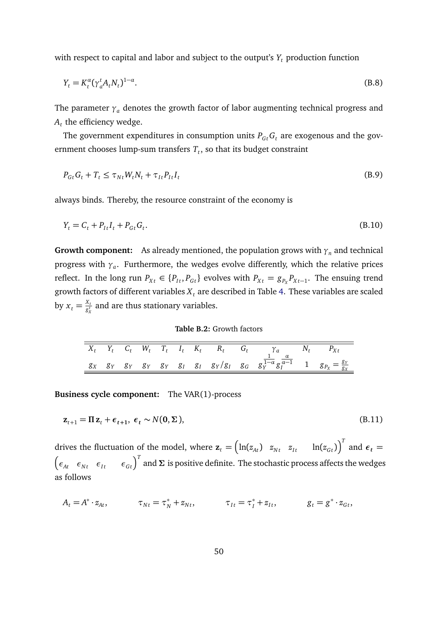with respect to capital and labor and subject to the output's *Y<sup>t</sup>* production function

$$
Y_t = K_t^{\alpha} (\gamma_a^t A_t N_t)^{1-\alpha}.
$$
 (B.8)

The parameter  $\gamma_a$  denotes the growth factor of labor augmenting technical progress and  $A_t$  the efficiency wedge.

The government expenditures in consumption units  $P_{G_t} G_t$  are exogenous and the government chooses lump-sum transfers *T<sup>t</sup>* , so that its budget constraint

$$
P_{Gt}G_t + T_t \leq \tau_{Nt}W_t N_t + \tau_{It}P_{It}I_t
$$
\n(B.9)

always binds. Thereby, the resource constraint of the economy is

$$
Y_t = C_t + P_{It}I_t + P_{Gt}G_t.
$$
\n(B.10)

**Growth component:** As already mentioned, the population grows with  $\gamma_n$  and technical progress with *γ<sup>a</sup>* . Furthermore, the wedges evolve differently, which the relative prices reflect. In the long run  $P_{Xt} \in \{P_{It}, P_{Gt}\}$  evolves with  $P_{Xt} = g_{P_X}P_{Xt-1}$ . The ensuing trend growth factors of different variables *X<sup>t</sup>* are described in Table [4.](#page-25-0) These variables are scaled by  $x_t = \frac{X_t}{g_v^t}$  $\frac{\alpha_t}{g^\tau_x}$  and are thus stationary variables.

**Table B.2:** Growth factors

|  |  |  |  | $X_t$ $Y_t$ $C_t$ $W_t$ $T_t$ $I_t$ $K_t$ $R_t$ $G_t$ $\gamma_a$ $N_t$ $P_{Xt}$                                                         |  |
|--|--|--|--|-----------------------------------------------------------------------------------------------------------------------------------------|--|
|  |  |  |  | $g_X$ $g_Y$ $g_Y$ $g_Y$ $g_Y$ $g_I$ $g_I$ $g_Y/g_I$ $g_G$ $g_Y^{-1-\alpha} g_I^{\frac{\alpha}{\alpha-1}}$ 1 $g_{P_X} = \frac{g_Y}{g_X}$ |  |

**Business cycle component:** The VAR(1)-process

$$
\mathbf{z}_{t+1} = \Pi \mathbf{z}_t + \boldsymbol{\epsilon}_{t+1}, \ \boldsymbol{\epsilon}_t \sim N(\mathbf{0}, \boldsymbol{\Sigma}), \tag{B.11}
$$

drives the fluctuation of the model, where  $\mathbf{z}_t = \begin{pmatrix} \ln(z_{At}) & z_{Nt} & z_{It} \end{pmatrix}^{-1}$   $\ln(z_{Gt}) \begin{pmatrix} T & 0 \end{pmatrix}^{-1}$  and  $\boldsymbol{\epsilon}_t =$  $\begin{pmatrix} \epsilon_{At}&\epsilon_{Nt}&\epsilon_{It}&\epsilon_{Gt} \end{pmatrix}^T$  and  $\Sigma$  is positive definite. The stochastic process affects the wedges as follows

$$
A_t = A^* \cdot z_{At}, \qquad \tau_{Nt} = \tau_N^* + z_{Nt}, \qquad \tau_{It} = \tau_I^* + z_{It}, \qquad g_t = g^* \cdot z_{Gt},
$$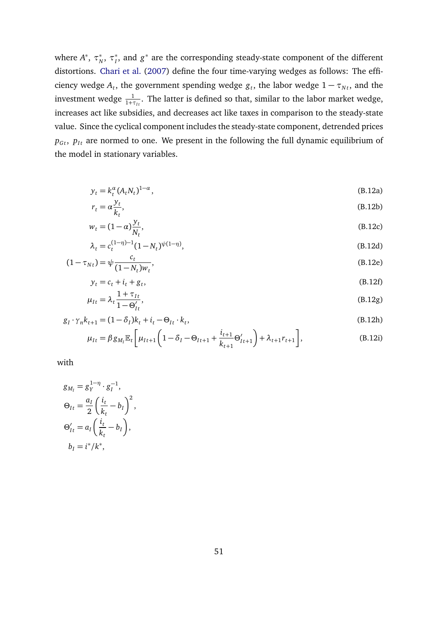where  $A^*$ ,  $\tau_N^*$ ,  $\tau_I^*$ , and  $g^*$  are the corresponding steady-state component of the different distortions. [Chari et al.](#page-38-0) [\(2007\)](#page-38-0) define the four time-varying wedges as follows: The efficiency wedge  $A_t$ , the government spending wedge  $g_t$ , the labor wedge  $1 - \tau_{Nt}$ , and the investment wedge  $\frac{1}{1+\tau_{It}}$ . The latter is defined so that, similar to the labor market wedge, increases act like subsidies, and decreases act like taxes in comparison to the steady-state value. Since the cyclical component includes the steady-state component, detrended prices  $p_{Gt}$ ,  $p_{It}$  are normed to one. We present in the following the full dynamic equilibrium of the model in stationary variables.

$$
y_t = k_t^{\alpha} (A_t N_t)^{1-\alpha}, \tag{B.12a}
$$

$$
r_t = \alpha \frac{y_t}{k_t},\tag{B.12b}
$$

$$
w_t = (1 - \alpha) \frac{y_t}{N_t},\tag{B.12c}
$$

$$
\lambda_t = c_t^{(1-\eta)-1} (1 - N_t)^{\psi(1-\eta)},
$$
\n(B.12d)\n
$$
c_t \quad (B.12e)
$$

$$
(1 - \tau_{Nt}) = \psi \frac{1}{(1 - N_t)w_t},
$$
\n(B.12e)

$$
y_t = c_t + i_t + g_t,\tag{B.12f}
$$

$$
\mu_{It} = \lambda_t \frac{1 + \tau_{It}}{1 - \Theta'_{It}},\tag{B.12g}
$$

$$
g_{I} \cdot \gamma_{n} k_{t+1} = (1 - \delta_{I}) k_{t} + i_{t} - \Theta_{It} \cdot k_{t},
$$
\n
$$
\mu_{It} = \beta g_{M_{I}} \mathbb{E}_{t} \left[ \mu_{It+1} \left( 1 - \delta_{I} - \Theta_{It+1} + \frac{i_{t+1}}{k_{t+1}} \Theta'_{It+1} \right) + \lambda_{t+1} r_{t+1} \right],
$$
\n(B.12i)

with

$$
g_{M_I} = g_Y^{1-\eta} \cdot g_I^{-1},
$$
  
\n
$$
\Theta_{It} = \frac{a_I}{2} \left( \frac{i_t}{k_t} - b_I \right)^2,
$$
  
\n
$$
\Theta'_{It} = a_I \left( \frac{i_t}{k_t} - b_I \right),
$$
  
\n
$$
b_I = i^*/k^*,
$$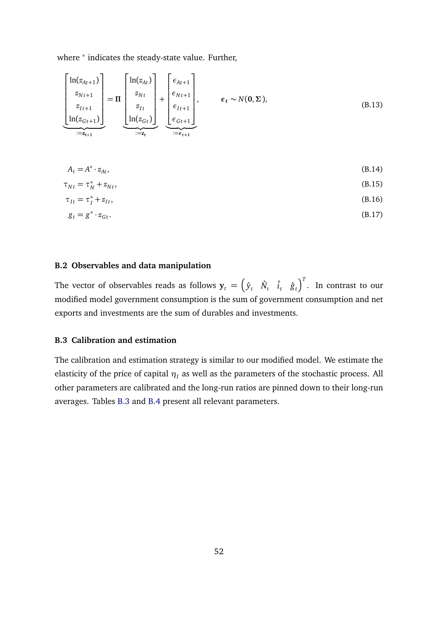where <sup>\*</sup> indicates the steady-state value. Further,

$$
\begin{bmatrix}\n\ln(z_{At+1}) \\
z_{Nt+1} \\
z_{It+1} \\
\ln(z_{Gt+1})\n\end{bmatrix} = \Pi \begin{bmatrix}\n\ln(z_{At}) \\
z_{Nt} \\
z_{It} \\
\ln(z_{Gt})\n\end{bmatrix} + \begin{bmatrix}\n\epsilon_{At+1} \\
\epsilon_{Nt+1} \\
\epsilon_{It+1} \\
\epsilon_{Gt+1}\n\end{bmatrix}, \qquad \epsilon_t \sim N(\mathbf{0}, \Sigma),
$$
\n(B.13)

 $A_t = A^*$  $\cdot z_{At}$ , (B.14)

$$
\tau_{Nt} = \tau_N^* + z_{Nt},\tag{B.15}
$$

$$
\tau_{It} = \tau_I^* + z_{It},\tag{B.16}
$$

$$
g_t = g^* \cdot z_{Gt}.\tag{B.17}
$$

#### **B.2 Observables and data manipulation**

The vector of observables reads as follows  $\mathbf{y}_t = \begin{pmatrix} \hat{y}_t & \hat{N}_t & \hat{i}_t & \hat{g}_t \end{pmatrix}^T$ . In contrast to our modified model government consumption is the sum of government consumption and net exports and investments are the sum of durables and investments.

### **B.3 Calibration and estimation**

The calibration and estimation strategy is similar to our modified model. We estimate the elasticity of the price of capital  $\eta_I$  as well as the parameters of the stochastic process. All other parameters are calibrated and the long-run ratios are pinned down to their long-run averages. Tables [B.3](#page-53-1) and [B.4](#page-53-2) present all relevant parameters.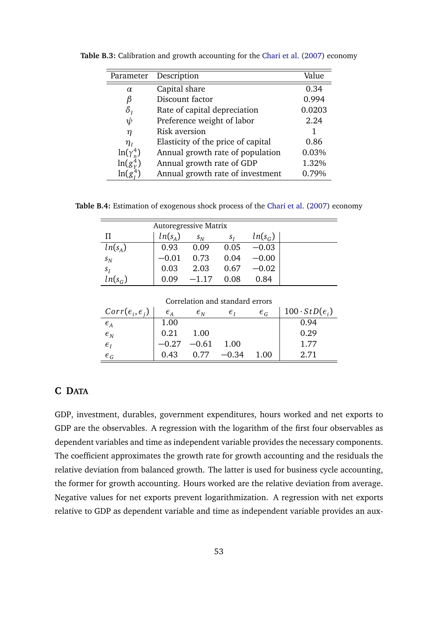| Parameter                        | Description                        | Value  |
|----------------------------------|------------------------------------|--------|
| $\alpha$                         | Capital share                      | 0.34   |
| ß                                | Discount factor                    | 0.994  |
| $\delta_{\scriptscriptstyle{I}}$ | Rate of capital depreciation       | 0.0203 |
| ψ                                | Preference weight of labor         | 2.24   |
| η                                | Risk aversion                      |        |
| $\eta_I$                         | Elasticity of the price of capital | 0.86   |
| $ln(\gamma_n^4)$                 | Annual growth rate of population   | 0.03%  |
| $\ln(g_v^4)$                     | Annual growth rate of GDP          | 1.32%  |
| $\ln(g_r^4)$                     | Annual growth rate of investment   | 0.79%  |

<span id="page-53-1"></span>**Table B.3:** Calibration and growth accounting for the [Chari et al.](#page-38-0) [\(2007\)](#page-38-0) economy

<span id="page-53-2"></span>**Table B.4:** Estimation of exogenous shock process of the [Chari et al.](#page-38-0) [\(2007\)](#page-38-0) economy

| <b>Autoregressive Matrix</b> |           |         |       |           |  |  |  |  |  |  |  |  |
|------------------------------|-----------|---------|-------|-----------|--|--|--|--|--|--|--|--|
| П                            | $ln(s_A)$ | $s_N$   | $S_I$ | $ln(s_G)$ |  |  |  |  |  |  |  |  |
| $ln(s_A)$                    | 0.93      | 0.09    | 0.05  | $-0.03$   |  |  |  |  |  |  |  |  |
| $s_N$                        | $-0.01$   | 0.73    | 0.04  | $-0.00$   |  |  |  |  |  |  |  |  |
| $s_I$                        | 0.03      | 2.03    | 0.67  | $-0.02$   |  |  |  |  |  |  |  |  |
| $ln(s_G)$                    | 0.09      | $-1.17$ | 0.08  | 0.84      |  |  |  |  |  |  |  |  |

Correlation and standard errors  $\mathit{Corr}(\epsilon_i, \epsilon_j)$ )  $\epsilon_A$   $\epsilon_N$   $\epsilon_I$   $\epsilon_G$  100 ·  $StD(\epsilon_i)$  $\epsilon$ <sup>*A*</sup> 1.00 0.94  $\epsilon_N$  0.21 1.00 0.29  $\epsilon$ <sup>*I*</sup>  $-0.27$   $-0.61$  1.00 1.77 *ε*<sub>*G*</sub> 1.043 0.77 −0.34 1.00 2.71

## <span id="page-53-0"></span>**C DATA**

GDP, investment, durables, government expenditures, hours worked and net exports to GDP are the observables. A regression with the logarithm of the first four observables as dependent variables and time as independent variable provides the necessary components. The coefficient approximates the growth rate for growth accounting and the residuals the relative deviation from balanced growth. The latter is used for business cycle accounting, the former for growth accounting. Hours worked are the relative deviation from average. Negative values for net exports prevent logarithmization. A regression with net exports relative to GDP as dependent variable and time as independent variable provides an aux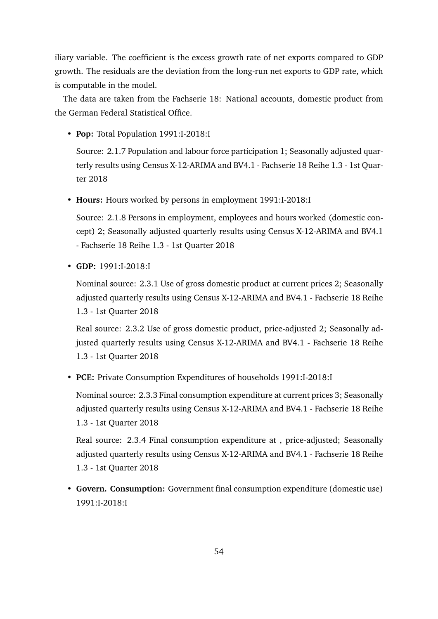iliary variable. The coefficient is the excess growth rate of net exports compared to GDP growth. The residuals are the deviation from the long-run net exports to GDP rate, which is computable in the model.

The data are taken from the Fachserie 18: National accounts, domestic product from the German Federal Statistical Office.

• **Pop:** Total Population 1991:I-2018:I

Source: 2.1.7 Population and labour force participation 1; Seasonally adjusted quarterly results using Census X-12-ARIMA and BV4.1 - Fachserie 18 Reihe 1.3 - 1st Quarter 2018

• **Hours:** Hours worked by persons in employment 1991:I-2018:I

Source: 2.1.8 Persons in employment, employees and hours worked (domestic concept) 2; Seasonally adjusted quarterly results using Census X-12-ARIMA and BV4.1 - Fachserie 18 Reihe 1.3 - 1st Quarter 2018

• **GDP:** 1991:I-2018:I

Nominal source: 2.3.1 Use of gross domestic product at current prices 2; Seasonally adjusted quarterly results using Census X-12-ARIMA and BV4.1 - Fachserie 18 Reihe 1.3 - 1st Quarter 2018

Real source: 2.3.2 Use of gross domestic product, price-adjusted 2; Seasonally adjusted quarterly results using Census X-12-ARIMA and BV4.1 - Fachserie 18 Reihe 1.3 - 1st Quarter 2018

• **PCE:** Private Consumption Expenditures of households 1991:I-2018:I

Nominal source: 2.3.3 Final consumption expenditure at current prices 3; Seasonally adjusted quarterly results using Census X-12-ARIMA and BV4.1 - Fachserie 18 Reihe 1.3 - 1st Quarter 2018

Real source: 2.3.4 Final consumption expenditure at , price-adjusted; Seasonally adjusted quarterly results using Census X-12-ARIMA and BV4.1 - Fachserie 18 Reihe 1.3 - 1st Quarter 2018

• **Govern. Consumption:** Government final consumption expenditure (domestic use) 1991:I-2018:I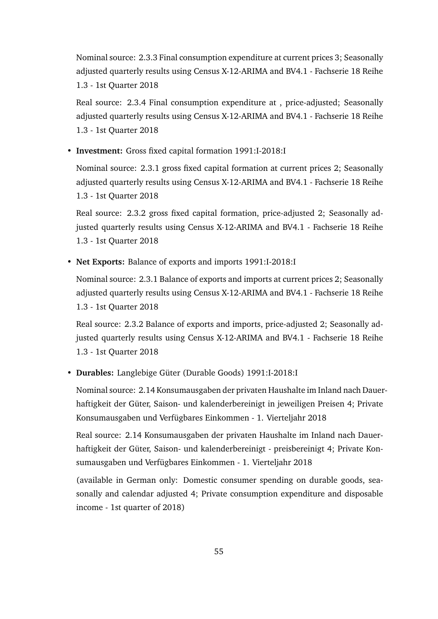Nominal source: 2.3.3 Final consumption expenditure at current prices 3; Seasonally adjusted quarterly results using Census X-12-ARIMA and BV4.1 - Fachserie 18 Reihe 1.3 - 1st Quarter 2018

Real source: 2.3.4 Final consumption expenditure at , price-adjusted; Seasonally adjusted quarterly results using Census X-12-ARIMA and BV4.1 - Fachserie 18 Reihe 1.3 - 1st Quarter 2018

• **Investment:** Gross fixed capital formation 1991:I-2018:I

Nominal source: 2.3.1 gross fixed capital formation at current prices 2; Seasonally adjusted quarterly results using Census X-12-ARIMA and BV4.1 - Fachserie 18 Reihe 1.3 - 1st Quarter 2018

Real source: 2.3.2 gross fixed capital formation, price-adjusted 2; Seasonally adjusted quarterly results using Census X-12-ARIMA and BV4.1 - Fachserie 18 Reihe 1.3 - 1st Quarter 2018

• **Net Exports:** Balance of exports and imports 1991:I-2018:I

Nominal source: 2.3.1 Balance of exports and imports at current prices 2; Seasonally adjusted quarterly results using Census X-12-ARIMA and BV4.1 - Fachserie 18 Reihe 1.3 - 1st Quarter 2018

Real source: 2.3.2 Balance of exports and imports, price-adjusted 2; Seasonally adjusted quarterly results using Census X-12-ARIMA and BV4.1 - Fachserie 18 Reihe 1.3 - 1st Quarter 2018

• **Durables:** Langlebige Güter (Durable Goods) 1991:I-2018:I

Nominal source: 2.14 Konsumausgaben der privaten Haushalte im Inland nach Dauerhaftigkeit der Güter, Saison- und kalenderbereinigt in jeweiligen Preisen 4; Private Konsumausgaben und Verfügbares Einkommen - 1. Vierteljahr 2018

Real source: 2.14 Konsumausgaben der privaten Haushalte im Inland nach Dauerhaftigkeit der Güter, Saison- und kalenderbereinigt - preisbereinigt 4; Private Konsumausgaben und Verfügbares Einkommen - 1. Vierteljahr 2018

(available in German only: Domestic consumer spending on durable goods, seasonally and calendar adjusted 4; Private consumption expenditure and disposable income - 1st quarter of 2018)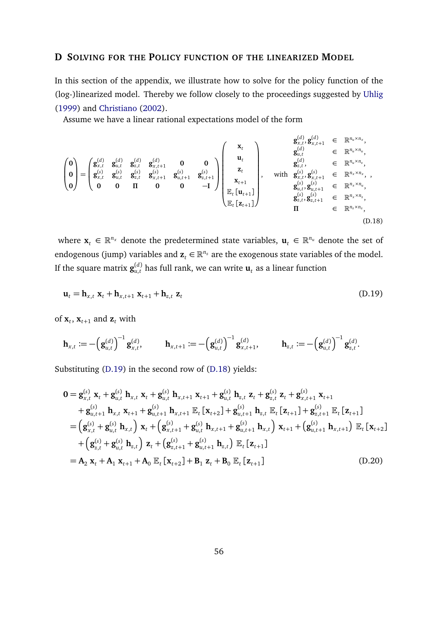### <span id="page-56-0"></span>**D SOLVING FOR THE POLICY FUNCTION OF THE LINEARIZED MODEL**

In this section of the appendix, we illustrate how to solve for the policy function of the (log-)linearized model. Thereby we follow closely to the proceedings suggested by [Uhlig](#page-42-3) [\(1999\)](#page-42-3) and [Christiano](#page-38-8) [\(2002\)](#page-38-8).

Assume we have a linear rational expectations model of the form

<span id="page-56-2"></span>
$$
\begin{pmatrix}\n0 \\
0 \\
\mathbf{g}_{x,t}^{(d)} & \mathbf{g}_{u,t}^{(d)} & \mathbf{g}_{u,t}^{(d)} & \mathbf{g}_{x,t+1}^{(d)} & \mathbf{g}_{x,t+1}^{(d)} & \mathbf{g}_{u,t}^{(d)} & \mathbf{g}_{u,t}^{(d)} & \mathbf{g}_{u,t}^{(d)} & \mathbf{g}_{u,t}^{(d)} & \mathbf{g}_{u,t}^{(d)} & \mathbf{g}_{u,t}^{(d)} & \mathbf{g}_{u,t}^{(d)} & \mathbf{g}_{u,t}^{(d)} & \mathbf{g}_{u,t}^{(d)} & \mathbf{g}_{u,t}^{(d)} & \mathbf{g}_{u,t}^{(d)} & \mathbf{g}_{u,t}^{(d)} & \mathbf{g}_{u,t}^{(d)} & \mathbf{g}_{u,t}^{(d)} & \mathbf{g}_{u,t}^{(d)} & \mathbf{g}_{u,t}^{(d)} & \mathbf{g}_{u,t}^{(d)} & \mathbf{g}_{u,t}^{(d)} & \mathbf{g}_{u,t}^{(d)} & \mathbf{g}_{u,t}^{(d)} & \mathbf{g}_{u,t}^{(d)} & \mathbf{g}_{u,t}^{(d)} & \mathbf{g}_{u,t}^{(d)} & \mathbf{g}_{u,t}^{(d)} & \mathbf{g}_{u,t}^{(d)} & \mathbf{g}_{u,t}^{(d)} & \mathbf{g}_{u,t}^{(d)} & \mathbf{g}_{u,t}^{(d)} & \mathbf{g}_{u,t}^{(d)} & \mathbf{g}_{u,t}^{(d)} & \mathbf{g}_{u,t}^{(d)} & \mathbf{g}_{u,t}^{(d)} & \mathbf{g}_{u,t}^{(d)} & \mathbf{g}_{u,t}^{(d)} & \mathbf{g}_{u,t}^{(d)} & \mathbf{g}_{u,t}^{(d)} & \mathbf{g}_{u,t+1}^{(d)} & \mathbf{g}_{u,t}^{(d)} & \mathbf{g}_{u,t+1}^{(d)} & \mathbf{g}_{u,t+1}^{(d)} & \mathbf{g}_{u,t}^{(d)} & \mathbf{g}_{u,t+1}^{(d)} & \mathbf{g}_{u,t}^{(d)} & \mathbf{g}_{u,t+1}^{(d)} & \mathbf{g}_{u,t}^{(d)} & \mathbf{g}_{u,t+1}^{(d)} & \mathbf{g}_{u,t+1}^{(d)} & \mathbf
$$

where  $\mathbf{x}_t \in \mathbb{R}^{n_x}$  denote the predetermined state variables,  $\mathbf{u}_t \in \mathbb{R}^{n_u}$  denote the set of endogenous (jump) variables and  $\mathbf{z}_t \in \mathbb{R}^{n_z}$  are the exogenous state variables of the model. If the square matrix  $\mathbf{g}_{u,t}^{(d)}$  has full rank, we can write  $\mathbf{u}_t$  as a linear function

<span id="page-56-1"></span>
$$
\mathbf{u}_t = \mathbf{h}_{x,t} \mathbf{x}_t + \mathbf{h}_{x,t+1} \mathbf{x}_{t+1} + \mathbf{h}_{z,t} \mathbf{z}_t
$$
\n(D.19)

of  $\mathbf{x}_t$ ,  $\mathbf{x}_{t+1}$  and  $\mathbf{z}_t$  with

$$
\mathbf{h}_{x,t} := -\left(\mathbf{g}_{u,t}^{(d)}\right)^{-1}\mathbf{g}_{x,t}^{(d)}, \qquad \mathbf{h}_{x,t+1} := -\left(\mathbf{g}_{u,t}^{(d)}\right)^{-1}\mathbf{g}_{x,t+1}^{(d)}, \qquad \mathbf{h}_{z,t} := -\left(\mathbf{g}_{u,t}^{(d)}\right)^{-1}\mathbf{g}_{z,t}^{(d)}.
$$

Substituting [\(D.19\)](#page-56-1) in the second row of [\(D.18\)](#page-56-2) yields:

<span id="page-56-3"></span>
$$
0 = g_{x,t}^{(s)} \mathbf{x}_{t} + g_{u,t}^{(s)} \mathbf{h}_{x,t} \mathbf{x}_{t} + g_{u,t}^{(s)} \mathbf{h}_{x,t+1} \mathbf{x}_{t+1} + g_{u,t}^{(s)} \mathbf{h}_{z,t} \mathbf{z}_{t} + g_{z,t}^{(s)} \mathbf{z}_{t} + g_{x,t+1}^{(s)} \mathbf{x}_{t+1} + g_{u,t+1}^{(s)} \mathbf{h}_{x,t} \mathbf{x}_{t+1} + g_{u,t+1}^{(s)} \mathbf{h}_{x,t+1} \mathbb{E}_{t} [\mathbf{x}_{t+2}] + g_{u,t+1}^{(s)} \mathbf{h}_{z,t} \mathbb{E}_{t} [\mathbf{z}_{t+1}] + g_{z,t+1}^{(s)} \mathbb{E}_{t} [\mathbf{z}_{t+1}] = \left( g_{x,t}^{(s)} + g_{u,t}^{(s)} \mathbf{h}_{x,t} \right) \mathbf{x}_{t} + \left( g_{x,t+1}^{(s)} + g_{u,t}^{(s)} \mathbf{h}_{x,t+1} + g_{u,t+1}^{(s)} \mathbf{h}_{x,t} \right) \mathbf{x}_{t+1} + \left( g_{u,t+1}^{(s)} \mathbf{h}_{x,t+1} \right) \mathbb{E}_{t} [\mathbf{x}_{t+2}] + \left( g_{z,t}^{(s)} + g_{u,t}^{(s)} \mathbf{h}_{z,t} \right) \mathbf{z}_{t} + \left( g_{z,t+1}^{(s)} + g_{u,t+1}^{(s)} \mathbf{h}_{z,t} \right) \mathbb{E}_{t} [\mathbf{z}_{t+1}] = \mathbf{A}_{2} \mathbf{x}_{t} + \mathbf{A}_{1} \mathbf{x}_{t+1} + \mathbf{A}_{0} \mathbb{E}_{t} [\mathbf{x}_{t+2}] + \mathbf{B}_{1} \mathbf{z}_{t} + \mathbf{B}_{0} \mathbb{E}_{t} [\mathbf{z}_{t+1}]
$$
(D.20)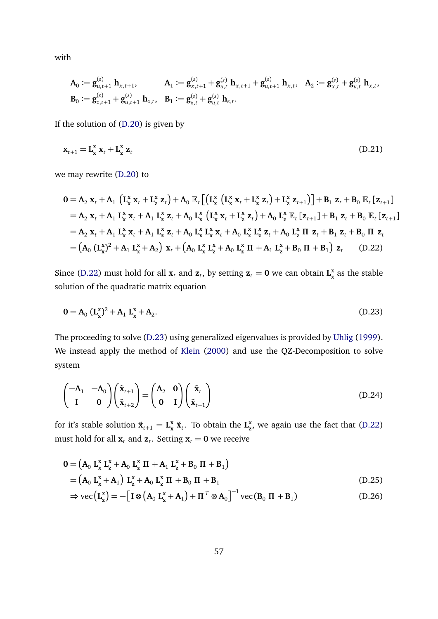with

$$
\begin{aligned} &\mathbf{A}_0 \coloneqq \mathbf{g}_{u,t+1}^{(s)} \; \mathbf{h}_{x,t+1}, \qquad \quad \mathbf{A}_1 \coloneqq \mathbf{g}_{x,t+1}^{(s)} + \mathbf{g}_{u,t}^{(s)} \; \mathbf{h}_{x,t+1} + \mathbf{g}_{u,t+1}^{(s)} \; \mathbf{h}_{x,t}, \ \ \mathbf{A}_2 \coloneqq \mathbf{g}_{x,t}^{(s)} + \mathbf{g}_{u,t}^{(s)} \; \mathbf{h}_{x,t}, \\ &\mathbf{B}_0 \coloneqq \mathbf{g}_{z,t+1}^{(s)} + \mathbf{g}_{u,t+1}^{(s)} \; \mathbf{h}_{z,t}, \quad \mathbf{B}_1 \coloneqq \mathbf{g}_{z,t}^{(s)} + \mathbf{g}_{u,t}^{(s)} \; \mathbf{h}_{z,t}. \end{aligned}
$$

If the solution of [\(D.20\)](#page-56-3) is given by

$$
\mathbf{x}_{t+1} = \mathbf{L}_{\mathbf{x}}^{\mathbf{x}} \mathbf{x}_t + \mathbf{L}_{\mathbf{z}}^{\mathbf{x}} \mathbf{z}_t \tag{D.21}
$$

we may rewrite [\(D.20\)](#page-56-3) to

<span id="page-57-0"></span>
$$
0 = A_2 \mathbf{x}_t + A_1 \left( \mathbf{L}_x^x \mathbf{x}_t + \mathbf{L}_z^x \mathbf{z}_t \right) + A_0 \mathbb{E}_t \left[ \left( \mathbf{L}_x^x \left( \mathbf{L}_x^x \mathbf{x}_t + \mathbf{L}_z^x \mathbf{z}_t \right) + \mathbf{L}_z^x \mathbf{z}_{t+1} \right) \right] + B_1 \mathbf{z}_t + B_0 \mathbb{E}_t \left[ \mathbf{z}_{t+1} \right]
$$
  
\n
$$
= A_2 \mathbf{x}_t + A_1 \mathbf{L}_x^x \mathbf{x}_t + A_1 \mathbf{L}_z^x \mathbf{z}_t + A_0 \mathbf{L}_x^x \left( \mathbf{L}_x^x \mathbf{x}_t + \mathbf{L}_z^x \mathbf{z}_t \right) + A_0 \mathbf{L}_z^x \mathbb{E}_t \left[ \mathbf{z}_{t+1} \right] + B_1 \mathbf{z}_t + B_0 \mathbb{E}_t \left[ \mathbf{z}_{t+1} \right]
$$
  
\n
$$
= A_2 \mathbf{x}_t + A_1 \mathbf{L}_x^x \mathbf{x}_t + A_1 \mathbf{L}_z^x \mathbf{z}_t + A_0 \mathbf{L}_x^x \mathbf{L}_x^x \mathbf{x}_t + A_0 \mathbf{L}_x^x \mathbf{L}_z^x \mathbf{z}_t + A_0 \mathbf{L}_z^x \mathbf{I} \mathbf{I} \mathbf{z}_t + B_1 \mathbf{z}_t + B_0 \mathbf{I} \mathbf{I} \mathbf{z}_t
$$
  
\n
$$
= \left( A_0 \left( \mathbf{L}_x^x \right)^2 + A_1 \mathbf{L}_x^x + A_2 \right) \mathbf{x}_t + \left( A_0 \mathbf{L}_x^x \mathbf{L}_z^x + A_0 \mathbf{L}_z^x \mathbf{I} + A_1 \mathbf{L}_z^x + B_0 \mathbf{I} + B_1 \right) \mathbf{z}_t \qquad (D.22)
$$

Since [\(D.22\)](#page-57-0) must hold for all  $\mathbf{x}_t$  and  $\mathbf{z}_t$ , by setting  $\mathbf{z}_t = \mathbf{0}$  we can obtain  $\mathbf{L}_\mathbf{x}^{\mathbf{x}}$ **x** as the stable solution of the quadratic matrix equation

<span id="page-57-1"></span>
$$
0 = A_0 \left( L_x^x \right)^2 + A_1 L_x^x + A_2. \tag{D.23}
$$

The proceeding to solve [\(D.23\)](#page-57-1) using generalized eigenvalues is provided by [Uhlig](#page-42-3) [\(1999\)](#page-42-3). We instead apply the method of [Klein](#page-40-11) [\(2000\)](#page-40-11) and use the QZ-Decomposition to solve system

$$
\begin{pmatrix} -\mathbf{A}_1 & -\mathbf{A}_0 \\ \mathbf{I} & \mathbf{0} \end{pmatrix} \begin{pmatrix} \tilde{\mathbf{x}}_{t+1} \\ \tilde{\mathbf{x}}_{t+2} \end{pmatrix} = \begin{pmatrix} \mathbf{A}_2 & \mathbf{0} \\ \mathbf{0} & \mathbf{I} \end{pmatrix} \begin{pmatrix} \tilde{\mathbf{x}}_t \\ \tilde{\mathbf{x}}_{t+1} \end{pmatrix}
$$
(D.24)

for it's stable solution  $\tilde{\mathbf{x}}_{t+1} = \mathbf{L}_{\mathbf{x}}^{\mathbf{x}}$  $\mathbf{x}_k \times \mathbf{x}_t$ . To obtain the  $\mathbf{L}_{\mathbf{z}}^{\mathbf{x}}$ **z** , we again use the fact that [\(D.22\)](#page-57-0) must hold for all  $\mathbf{x}_t$  and  $\mathbf{z}_t$ . Setting  $\mathbf{x}_t = \mathbf{0}$  we receive

$$
0 = (A_0 L_x^x L_z^x + A_0 L_z^x \Pi + A_1 L_z^x + B_0 \Pi + B_1)
$$
  
=  $(A_0 L_x^x + A_1) L_z^x + A_0 L_z^x \Pi + B_0 \Pi + B_1$   

$$
\Rightarrow \text{vec}(L_z^x) = -[I \otimes (A_0 L_x^x + A_1) + \Pi^T \otimes A_0]^{-1} \text{vec}(B_0 \Pi + B_1)
$$
(D.26)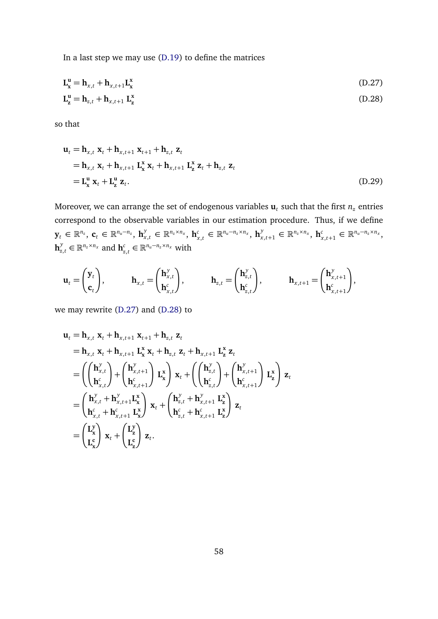In a last step we may use [\(D.19\)](#page-56-1) to define the matrices

<span id="page-58-1"></span><span id="page-58-0"></span>**z**

$$
\mathbf{L}_{\mathbf{x}}^{\mathbf{u}} = \mathbf{h}_{x,t} + \mathbf{h}_{x,t+1} \mathbf{L}_{\mathbf{x}}^{\mathbf{x}}
$$
(D.27)  

$$
\mathbf{L}_{\mathbf{z}}^{\mathbf{u}} = \mathbf{h}_{z,t} + \mathbf{h}_{x,t+1} \mathbf{L}_{\mathbf{z}}^{\mathbf{x}}
$$
(D.28)

so that

$$
\mathbf{u}_t = \mathbf{h}_{x,t} \mathbf{x}_t + \mathbf{h}_{x,t+1} \mathbf{x}_{t+1} + \mathbf{h}_{z,t} \mathbf{z}_t
$$
  
\n
$$
= \mathbf{h}_{x,t} \mathbf{x}_t + \mathbf{h}_{x,t+1} \mathbf{L}_\mathbf{x}^\mathbf{x} \mathbf{x}_t + \mathbf{h}_{x,t+1} \mathbf{L}_\mathbf{z}^\mathbf{x} \mathbf{z}_t + \mathbf{h}_{z,t} \mathbf{z}_t
$$
  
\n
$$
= \mathbf{L}_\mathbf{x}^\mathbf{u} \mathbf{x}_t + \mathbf{L}_\mathbf{z}^\mathbf{u} \mathbf{z}_t. \tag{D.29}
$$

Moreover, we can arrange the set of endogenous variables  $\mathbf{u}_t$  such that the first  $n_z$  entries correspond to the observable variables in our estimation procedure. Thus, if we define  $\mathbf{y}_t \in \mathbb{R}^{n_z}$ ,  $\mathbf{c}_t \in \mathbb{R}^{n_u-n_z}$ ,  $\mathbf{h}_{x,t}^{\mathbf{y}} \in \mathbb{R}^{n_z \times n_x}$ ,  $\mathbf{h}_{\mathbf{x}}^{\mathbf{y}}$  $\mathbf{h}_{x,t}^c \in \mathbb{R}^{n_u - n_z \times n_x}, \, \mathbf{h}_{x,t+1}^y \in \mathbb{R}^{n_z \times n_x}, \, \mathbf{h}_{x,t}^c$  $\sum_{x,t+1}^{c}$  ∈  $\mathbb{R}^{n_u-n_z \times n_x}$ ,  $\mathbf{h}_{z,t}^{\mathcal{Y}} \in \mathbb{R}^{n_z \times n_x}$  and  $\mathbf{h}_{z}^c$  $\sum_{z,t}^c$  ∈  $\mathbb{R}^{n_u-n_z \times n_x}$  with

$$
\mathbf{u}_t = \begin{pmatrix} \mathbf{y}_t \\ \mathbf{c}_t \end{pmatrix}, \qquad \mathbf{h}_{x,t} = \begin{pmatrix} \mathbf{h}_{x,t}^{\mathbf{y}} \\ \mathbf{h}_{x,t}^c \end{pmatrix}, \qquad \mathbf{h}_{z,t} = \begin{pmatrix} \mathbf{h}_{z,t}^{\mathbf{y}} \\ \mathbf{h}_{z,t}^c \end{pmatrix}, \qquad \mathbf{h}_{x,t+1} = \begin{pmatrix} \mathbf{h}_{x,t+1}^{\mathbf{y}} \\ \mathbf{h}_{x,t+1}^c \end{pmatrix},
$$

we may rewrite [\(D.27\)](#page-58-0) and [\(D.28\)](#page-58-1) to

$$
\mathbf{u}_{t} = \mathbf{h}_{x,t} \mathbf{x}_{t} + \mathbf{h}_{x,t+1} \mathbf{x}_{t+1} + \mathbf{h}_{z,t} \mathbf{z}_{t}
$$
\n
$$
= \mathbf{h}_{x,t} \mathbf{x}_{t} + \mathbf{h}_{x,t+1} \mathbf{L}_{\mathbf{x}}^{x} \mathbf{x}_{t} + \mathbf{h}_{z,t} \mathbf{z}_{t} + \mathbf{h}_{x,t+1} \mathbf{L}_{\mathbf{z}}^{x} \mathbf{z}_{t}
$$
\n
$$
= \left( \begin{pmatrix} \mathbf{h}_{x,t}^{y} \\ \mathbf{h}_{x,t}^{c} \end{pmatrix} + \begin{pmatrix} \mathbf{h}_{x,t+1}^{y} \\ \mathbf{h}_{x,t+1}^{c} \end{pmatrix} \mathbf{L}_{\mathbf{x}}^{x} \right) \mathbf{x}_{t} + \left( \begin{pmatrix} \mathbf{h}_{z,t}^{y} \\ \mathbf{h}_{z,t}^{c} \end{pmatrix} + \begin{pmatrix} \mathbf{h}_{x,t+1}^{y} \\ \mathbf{h}_{x,t+1}^{c} \end{pmatrix} \mathbf{L}_{\mathbf{z}}^{x} \right) \mathbf{z}_{t}
$$
\n
$$
= \begin{pmatrix} \mathbf{h}_{x,t}^{y} + \mathbf{h}_{x,t+1}^{y} \mathbf{L}_{\mathbf{x}}^{x} \\ \mathbf{h}_{x,t}^{c} + \mathbf{h}_{x,t+1}^{c} \mathbf{L}_{\mathbf{x}}^{x} \end{pmatrix} \mathbf{x}_{t} + \begin{pmatrix} \mathbf{h}_{z,t}^{y} + \mathbf{h}_{x,t+1}^{y} \mathbf{L}_{\mathbf{z}}^{x} \\ \mathbf{h}_{z,t}^{c} + \mathbf{h}_{x,t+1}^{c} \mathbf{L}_{\mathbf{z}}^{x} \end{pmatrix} \mathbf{z}_{t}
$$
\n
$$
= \begin{pmatrix} \mathbf{L}_{\mathbf{x}}^{y} \\ \mathbf{L}_{\mathbf{x}}^{c} \end{pmatrix} \mathbf{x}_{t} + \begin{pmatrix} \mathbf{L}_{\mathbf{z}}^{y} \\ \mathbf{L}_{\mathbf{z}}^{c} \end{pmatrix} \mathbf{z}_{t}.
$$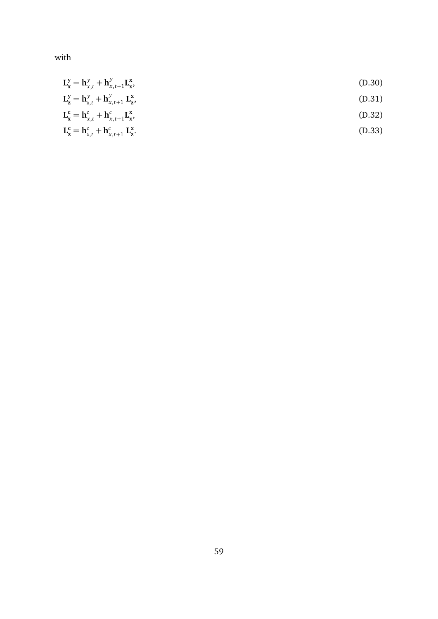with

$$
L_x^y = h_{x,t}^y + h_{x,t+1}^y L_x^x,
$$
\n(D.30)\n
$$
L_z^y = h_{z,t}^y + h_{x,t+1}^y L_z^x,
$$
\n(D.31)\n
$$
L_x^c = h_{x,t}^c + h_{x,t+1}^c L_x^x,
$$
\n(D.32)\n
$$
L_z^c = h_{z,t}^c + h_{x,t+1}^c L_z^x.
$$
\n(D.33)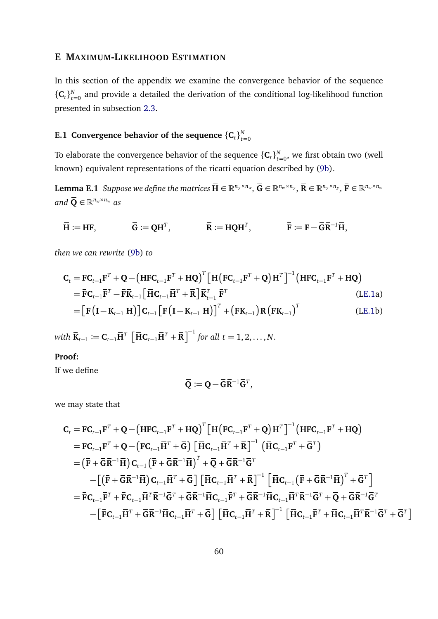## <span id="page-60-2"></span>**E MAXIMUM-LIKELIHOOD ESTIMATION**

In this section of the appendix we examine the convergence behavior of the sequence  $\{\mathbf{C}_t\}_{t=1}^N$  $T_{t=0}^{N}$  and provide a detailed the derivation of the conditional log-likelihood function presented in subsection [2.3.](#page-11-0)

#### **E.1** Convergence behavior of the sequence  $\{\mathbf{C}_t\}_{t=1}^N$ *t*=0

To elaborate the convergence behavior of the sequence  $\{\mathbf{C}_t\}_{t:}^{N}$  $_{t=0}^N$ , we first obtain two (well known) equivalent representations of the ricatti equation described by [\(9b\)](#page-13-2).

**Lemma E.1** Suppose we define the matrices  $\overline{\mathbf{H}} \in \mathbb{R}^{n_y \times n_w}$ ,  $\overline{\mathbf{G}} \in \mathbb{R}^{n_w \times n_y}$ ,  $\overline{\mathbf{R}} \in \mathbb{R}^{n_y \times n_y}$ ,  $\overline{\mathbf{F}} \in \mathbb{R}^{n_w \times n_w}$ and  $\overline{\mathbf{Q}} \in \mathbb{R}^{n_w \times n_w}$  as

$$
\overline{\mathbf{H}} \coloneqq \mathbf{H}\mathbf{F}, \qquad \qquad \overline{\mathbf{G}} \coloneqq \mathbf{Q}\mathbf{H}^T, \qquad \qquad \overline{\mathbf{R}} \coloneqq \mathbf{H}\mathbf{Q}\mathbf{H}^T, \qquad \qquad \overline{\mathbf{F}} \coloneqq \mathbf{F} - \overline{\mathbf{G}}\overline{\mathbf{R}}^{-1}\overline{\mathbf{H}},
$$

*then we can rewrite* [\(9b\)](#page-13-2) *to*

$$
\mathbf{C}_{t} = \mathbf{F} \mathbf{C}_{t-1} \mathbf{F}^{T} + \mathbf{Q} - \left( \mathbf{H} \mathbf{F} \mathbf{C}_{t-1} \mathbf{F}^{T} + \mathbf{H} \mathbf{Q} \right)^{T} \left[ \mathbf{H} \left( \mathbf{F} \mathbf{C}_{t-1} \mathbf{F}^{T} + \mathbf{Q} \right) \mathbf{H}^{T} \right]^{-1} \left( \mathbf{H} \mathbf{F} \mathbf{C}_{t-1} \mathbf{F}^{T} + \mathbf{H} \mathbf{Q} \right)
$$
\n
$$
= \mathbf{F} \mathbf{C}_{t-1} \mathbf{F}^{T} - \mathbf{F} \mathbf{K}_{t-1} \left[ \mathbf{H} \mathbf{C}_{t-1} \mathbf{H}^{T} + \mathbf{R} \right] \mathbf{K}_{t-1}^{T} \mathbf{F}^{T} \qquad \qquad \text{(LE.1a)}
$$
\n
$$
= \left[ \mathbf{F} \left( \mathbf{I} - \mathbf{K}_{t-1} \ \mathbf{H} \right) \right] \mathbf{C}_{t-1} \left[ \mathbf{F} \left( \mathbf{I} - \mathbf{K}_{t-1} \ \mathbf{H} \right) \right]^{T} + \left( \mathbf{F} \mathbf{K}_{t-1} \right) \mathbf{R} \left( \mathbf{F} \mathbf{K}_{t-1} \right)^{T} \qquad \qquad \text{(LE.1b)}
$$

 $\overline{\mathbf{R}}_{t-1} \coloneqq \mathbf{C}_{t-1} \overline{\mathbf{H}}^T \left[ \overline{\mathbf{H}} \mathbf{C}_{t-1} \overline{\mathbf{H}}^T + \overline{\mathbf{R}} \right]^{-1}$  for all  $t = 1, 2, ..., N$ .

## **Proof:**

If we define

<span id="page-60-3"></span><span id="page-60-1"></span><span id="page-60-0"></span>
$$
\overline{\mathbf{Q}} \coloneqq \mathbf{Q} - \overline{\mathbf{G}} \overline{\mathbf{R}}^{-1} \overline{\mathbf{G}}^T,
$$

we may state that

$$
C_{t} = FC_{t-1}F^{T} + Q - (HFC_{t-1}F^{T} + HQ)^{T} \left[H(FC_{t-1}F^{T} + Q)H^{T}\right]^{-1} (HFC_{t-1}F^{T} + HQ)
$$
\n
$$
= FC_{t-1}F^{T} + Q - (FC_{t-1}\overline{H}^{T} + \overline{G}) \left[\overline{H}C_{t-1}\overline{H}^{T} + \overline{R}\right]^{-1} \left(\overline{H}C_{t-1}F^{T} + \overline{G}^{T}\right)
$$
\n
$$
= (\overline{F} + \overline{G}\overline{R}^{-1}\overline{H})C_{t-1} \left(\overline{F} + \overline{G}\overline{R}^{-1}\overline{H}\right)^{T} + \overline{Q} + \overline{G}\overline{R}^{-1}\overline{G}^{T}
$$
\n
$$
- \left[(\overline{F} + \overline{G}\overline{R}^{-1}\overline{H})C_{t-1}\overline{H}^{T} + \overline{G}\right] \left[\overline{H}C_{t-1}\overline{H}^{T} + \overline{R}\right]^{-1} \left[\overline{H}C_{t-1} \left(\overline{F} + \overline{G}\overline{R}^{-1}\overline{H}\right)^{T} + \overline{G}^{T}\right]
$$
\n
$$
= \overline{F}C_{t-1}\overline{F}^{T} + \overline{F}C_{t-1}\overline{H}^{T}\overline{R}^{-1}\overline{G}^{T} + \overline{G}\overline{R}^{-1}\overline{H}C_{t-1}\overline{F}^{T} + \overline{G}\overline{R}^{-1}\overline{H}C_{t-1}\overline{H}^{T}\overline{R}^{-1}\overline{G}^{T} + \overline{Q} + \overline{G}\overline{R}^{-1}\overline{G}^{T}
$$
\n
$$
- \left[\overline{F}C_{t-1}\overline{H}^{T} + \overline{G}\overline{R}^{-1}\overline{H}C_{t-1}\overline{H}^{T} + \overline{G}\right] \left[\overline{H}C_{t-1}\overline{H}^{T} + \overline{R}\right]^{-1} \left[\overline{H}C_{t-1}\overline{F}^{T} +
$$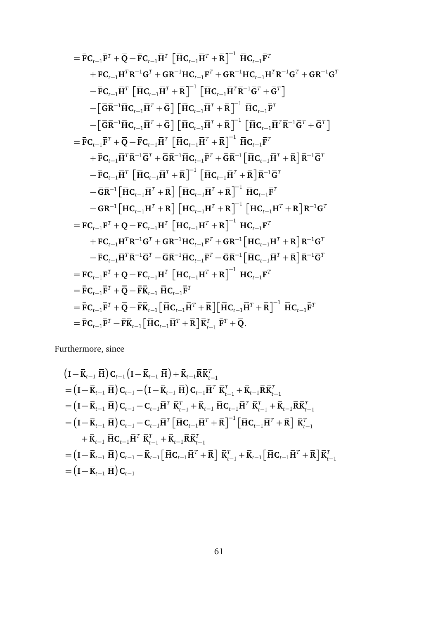$$
= \bar{F}C_{t-1}\bar{F}^{T} + \bar{Q} - \bar{F}C_{t-1}\bar{H}^{T}\left[\bar{H}C_{t-1}\bar{H}^{T} + \bar{R}\right]^{-1}\bar{H}C_{t-1}\bar{F}^{T} + \bar{F}C_{t-1}\bar{H}^{T}\bar{R}^{-1}\bar{G}^{T} + \bar{G}\bar{R}^{-1}\bar{H}C_{t-1}\bar{F}^{T} + \bar{G}\bar{R}^{-1}\bar{H}C_{t-1}\bar{H}^{T}\bar{R}^{-1}\bar{G}^{T} + \bar{G}\bar{R}^{-1}\bar{G}C_{t-1}\bar{H}^{T}\bar{R}^{-1}\bar{G}^{T} + \bar{G}\bar{R}^{-1}\bar{G}^{T} + \bar{G}\bar{R}^{-1}\bar{G}^{T} + \bar{G}\bar{R}^{-1}\bar{G}^{T} + \bar{G}\bar{R}^{-1}\bar{G}^{T} + \bar{G}\bar{R}^{-1}\bar{G}^{T} + \bar{G}\bar{R}^{-1}\bar{G}^{T} + \bar{G}\bar{R}^{-1}\bar{H}^{T} + \bar{R}\big]^{-1}\left[\bar{H}C_{t-1}\bar{H}^{T} + \bar{R}\right]^{-1}\bar{H}C_{t-1}\bar{H}^{T} + \bar{G}^{T}\right] - \left[\bar{G}\bar{R}^{-1}\bar{H}C_{t-1}\bar{H}^{T} + \bar{G}\right]\left[\bar{H}C_{t-1}\bar{H}^{T} + \bar{R}\right]^{-1}\left[\bar{H}C_{t-1}\bar{H}^{T}\bar{R}^{-1}\bar{G}^{T} + \bar{G}^{T}\right] - \bar{F}C_{t-1}\bar{F}^{T} + \bar{Q} - \bar{F}C_{t-1}\bar{H}^{T}\left[\bar{H}C_{t-1}\bar{H}^{T} + \bar{R}\right]^{-1}\bar{H}C_{t-1}\bar{F}^{T} + \bar{R}\big]\bar{R}^{-1}\bar{G}^{T} - \bar{F}C_{t-1}\bar{H}^{T}\bar{R}^{-1}\bar{G}^{T} + \bar{G}\bar{R}^{-1}\bar{H}C_{t-1}\bar{H}^{T} + \bar{R}\big]\bar{
$$

Furthermore, since

$$
\begin{split}\n&\left(\mathbf{I}-\bar{\mathbf{K}}_{t-1}\ \overline{\mathbf{H}}\right)\mathbf{C}_{t-1}\left(\mathbf{I}-\bar{\mathbf{K}}_{t-1}\ \overline{\mathbf{H}}\right)+\bar{\mathbf{K}}_{t-1}\bar{\mathbf{R}}\bar{\mathbf{K}}_{t-1}^{T} \\
&=\left(\mathbf{I}-\bar{\mathbf{K}}_{t-1}\ \overline{\mathbf{H}}\right)\mathbf{C}_{t-1}-\left(\mathbf{I}-\bar{\mathbf{K}}_{t-1}\ \overline{\mathbf{H}}\right)\mathbf{C}_{t-1}\bar{\mathbf{H}}^{T}\ \overline{\mathbf{K}}_{t-1}^{T}+\bar{\mathbf{K}}_{t-1}\bar{\mathbf{R}}\bar{\mathbf{K}}_{t-1}^{T} \\
&=\left(\mathbf{I}-\bar{\mathbf{K}}_{t-1}\ \overline{\mathbf{H}}\right)\mathbf{C}_{t-1}-\mathbf{C}_{t-1}\bar{\mathbf{H}}^{T}\ \overline{\mathbf{K}}_{t-1}^{T}+\bar{\mathbf{K}}_{t-1}\ \overline{\mathbf{H}}\mathbf{C}_{t-1}\bar{\mathbf{H}}^{T}\ \overline{\mathbf{K}}_{t-1}^{T}+\bar{\mathbf{K}}_{t-1}\bar{\mathbf{R}}\bar{\mathbf{K}}_{t-1}^{T} \\
&=\left(\mathbf{I}-\bar{\mathbf{K}}_{t-1}\ \overline{\mathbf{H}}\right)\mathbf{C}_{t-1}-\mathbf{C}_{t-1}\bar{\mathbf{H}}^{T}\left[\overline{\mathbf{H}}\mathbf{C}_{t-1}\bar{\mathbf{H}}^{T}+\bar{\mathbf{R}}\right]^{-1}\left[\overline{\mathbf{H}}\mathbf{C}_{t-1}\bar{\mathbf{H}}^{T}+\bar{\mathbf{R}}\right]\ \overline{\mathbf{K}}_{t-1}^{T} \\
&+\bar{\mathbf{K}}_{t-1}\ \overline{\mathbf{H}}\mathbf{C}_{t-1}\bar{\mathbf{H}}^{T}\ \overline{\mathbf{K}}_{t-1}^{T}+\bar{\mathbf{K}}_{t-1}\bar{\mathbf{R}}\bar{\mathbf{K}}_{t-1}^{T} \\
&=\left(\mathbf{I}-\bar{\mathbf{K}}_{t-1}\ \overline{\mathbf{H}}\right)\mathbf{C}_{t-1}-\bar{\mathbf{K}}_{t-
$$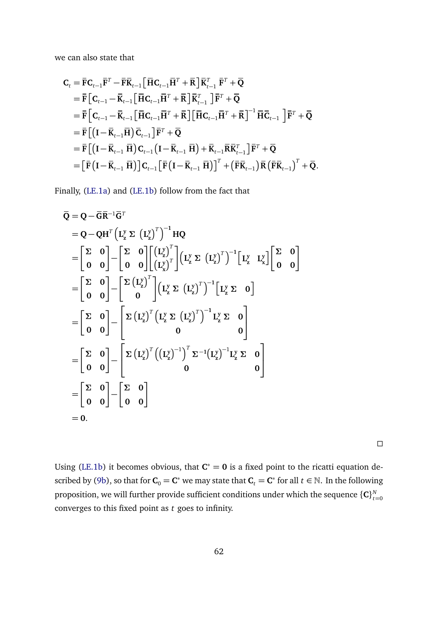we can also state that

$$
C_{t} = \bar{F}C_{t-1}\bar{F}^{T} - \bar{F}\bar{K}_{t-1} \left[\bar{H}C_{t-1}\bar{H}^{T} + \bar{R}\right]\bar{K}_{t-1}^{T} \bar{F}^{T} + \bar{Q}
$$
  
\n
$$
= \bar{F}\left[C_{t-1} - \bar{K}_{t-1}\left[\bar{H}C_{t-1}\bar{H}^{T} + \bar{R}\right]\bar{K}_{t-1}^{T}\right]\bar{F}^{T} + \bar{Q}
$$
  
\n
$$
= \bar{F}\left[C_{t-1} - \bar{K}_{t-1}\left[\bar{H}C_{t-1}\bar{H}^{T} + \bar{R}\right]\left[\bar{H}C_{t-1}\bar{H}^{T} + \bar{R}\right]^{-1}\bar{H}\bar{C}_{t-1}\right]\bar{F}^{T} + \bar{Q}
$$
  
\n
$$
= \bar{F}\left[\left(I - \bar{K}_{t-1}\bar{H}\right)\bar{C}_{t-1}\right]\bar{F}^{T} + \bar{Q}
$$
  
\n
$$
= \bar{F}\left[\left(I - \bar{K}_{t-1}\bar{H}\right)C_{t-1}\left(I - \bar{K}_{t-1}\bar{H}\right) + \bar{K}_{t-1}\bar{R}\bar{K}_{t-1}^{T}\right]\bar{F}^{T} + \bar{Q}
$$
  
\n
$$
= \left[\bar{F}\left(I - \bar{K}_{t-1}\bar{H}\right)\right]C_{t-1}\left[\bar{F}\left(I - \bar{K}_{t-1}\bar{H}\right)\right]^{T} + \left(\bar{F}\bar{K}_{t-1}\right)\bar{R}\left(\bar{F}\bar{K}_{t-1}\right)^{T} + \bar{Q}.
$$

Finally, [\(LE.1a\)](#page-60-3) and [\(LE.1b\)](#page-60-0) follow from the fact that

$$
\overline{Q} = Q - \overline{G} \overline{R}^{-1} \overline{G}^{T}
$$
\n
$$
= Q - QH^{T} (L_{z}^{y} \Sigma (L_{z}^{y})^{T})^{-1} HQ
$$
\n
$$
= \begin{bmatrix} \Sigma & 0 \\ 0 & 0 \end{bmatrix} - \begin{bmatrix} \Sigma & 0 \\ 0 & 0 \end{bmatrix} \begin{bmatrix} (L_{z}^{y})^{T} \\ (L_{z}^{y})^{T} \end{bmatrix} (L_{z}^{y} \Sigma (L_{z}^{y})^{T})^{-1} [L_{z}^{y} L_{x}^{y}] \begin{bmatrix} \Sigma & 0 \\ 0 & 0 \end{bmatrix}
$$
\n
$$
= \begin{bmatrix} \Sigma & 0 \\ 0 & 0 \end{bmatrix} - \begin{bmatrix} \Sigma (L_{z}^{y})^{T} \\ 0 \end{bmatrix} (L_{z}^{y} \Sigma (L_{z}^{y})^{T})^{-1} [L_{z}^{y} \Sigma 0]
$$
\n
$$
= \begin{bmatrix} \Sigma & 0 \\ 0 & 0 \end{bmatrix} - \begin{bmatrix} \Sigma (L_{z}^{y})^{T} (L_{z}^{y} \Sigma (L_{z}^{y})^{T})^{-1} L_{z}^{y} \Sigma 0 \\ 0 & 0 \end{bmatrix}
$$
\n
$$
= \begin{bmatrix} \Sigma & 0 \\ 0 & 0 \end{bmatrix} - \begin{bmatrix} \Sigma (L_{z}^{y})^{T} ((L_{z}^{y})^{-1})^{T} \Sigma^{-1} (L_{z}^{y})^{-1} L_{z}^{y} \Sigma 0 \\ 0 & 0 \end{bmatrix}
$$
\n
$$
= \begin{bmatrix} \Sigma & 0 \\ 0 & 0 \end{bmatrix} - \begin{bmatrix} \Sigma & 0 \\ 0 & 0 \end{bmatrix}
$$
\n
$$
= 0.
$$

 $\Box$ 

Using [\(LE.1b\)](#page-60-0) it becomes obvious, that  $C^* = 0$  is a fixed point to the ricatti equation de-scribed by [\(9b\)](#page-13-2), so that for  $C_0 = C^*$  we may state that  $C_t = C^*$  for all  $t \in \mathbb{N}$ . In the following proposition, we will further provide sufficient conditions under which the sequence  $\{{\bf C}\}_{t}^N$ *t*=0 converges to this fixed point as *t* goes to infinity.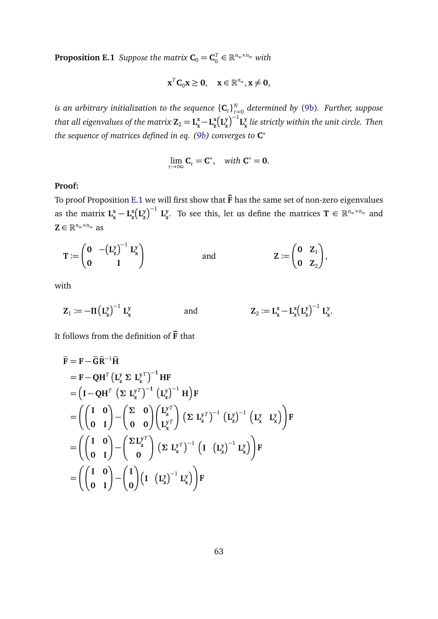<span id="page-63-0"></span>**Proposition E.1** *Suppose the matrix*  $\mathbf{C}_0 = \mathbf{C}_0^T$  $v_0^T \in \mathbb{R}^{n_w \times n_w}$  with

$$
\mathbf{x}^T \mathbf{C}_0 \mathbf{x} \geq \mathbf{0}, \quad \mathbf{x} \in \mathbb{R}^{n_w}, \mathbf{x} \neq \mathbf{0},
$$

is an arbitrary initialization to the sequence  $\{\mathbf{C}_t\}_{t:}^{N}$ *t*=0 *determined by* [\(9b\)](#page-13-2)*. Further, suppose that all eigenvalues of the matrix*  $Z_2 = L_x^x - L_z^x$  $\frac{x}{z}$ **L** $\frac{y}{z}$  $\left(\frac{y}{z}\right)^{-1} L_{x}^{y}$ **x** *lie strictly within the unit circle. Then the sequence of matrices defined in eq. [\(9b\)](#page-13-2) converges to* **C** ∗

$$
\lim_{t\to\infty} \mathbf{C}_t = \mathbf{C}^*, \quad \text{with } \mathbf{C}^* = \mathbf{0}.
$$

## **Proof:**

To proof Proposition [E.1](#page-63-0) we will first show that **F** has the same set of non-zero eigenvalues as the matrix  $L_x^x - L_z^x$  $\frac{x}{z}$ **L** $\frac{y}{z}$  $\left[ \frac{y}{z} \right)^{-1} \mathbf{L}_{\mathbf{x}}^{y}$ **y**. To see this, let us define the matrices  $\mathbf{T} \in \mathbb{R}^{n_w \times n_w}$  and  $\mathbf{Z} \in \mathbb{R}^{n_w \times n_w}$  as

$$
T := \begin{pmatrix} 0 & -(\mathbf{L}_{z}^{y})^{-1} \mathbf{L}_{x}^{y} \\ 0 & I \end{pmatrix} \quad \text{and} \quad Z := \begin{pmatrix} 0 & Z_{1} \\ 0 & Z_{2} \end{pmatrix},
$$

with

$$
\mathbf{Z}_1 := -\Pi \left( \mathbf{L}_{\mathbf{z}}^{\mathbf{y}} \right)^{-1} \mathbf{L}_{\mathbf{x}}^{\mathbf{y}} \hspace{1.5cm} \text{and} \hspace{1.5cm} \mathbf{Z}_2 := \mathbf{L}_{\mathbf{x}}^{\mathbf{x}} - \mathbf{L}_{\mathbf{z}}^{\mathbf{x}} \left( \mathbf{L}_{\mathbf{z}}^{\mathbf{y}} \right)^{-1} \mathbf{L}_{\mathbf{x}}^{\mathbf{y}}.
$$

It follows from the definition of **F** that

$$
\bar{F} = F - \bar{G}\bar{R}^{-1}\bar{H}
$$
\n
$$
= F - QH^{T} (L_{z}^{y} \Sigma L_{z}^{y^{T}})^{-1} HF
$$
\n
$$
= (I - QH^{T} ( \Sigma L_{z}^{y^{T}})^{-1} (L_{z}^{y})^{-1} H)F
$$
\n
$$
= ((\begin{pmatrix} I & 0 \\ 0 & I \end{pmatrix} - (\begin{pmatrix} \Sigma & 0 \\ 0 & 0 \end{pmatrix} (\begin{pmatrix} L_{z}^{y^{T}} \\ L_{x}^{y^{T}} \end{pmatrix} (\Sigma L_{z}^{y^{T}})^{-1} (L_{z}^{y})^{-1} (L_{z}^{y} L_{x}^{y})F
$$
\n
$$
= ((\begin{pmatrix} I & 0 \\ 0 & I \end{pmatrix} - (\begin{pmatrix} \Sigma L_{z}^{y^{T}} \\ 0 \end{pmatrix} (\Sigma L_{z}^{y^{T}})^{-1} (I (L_{z}^{y})^{-1} L_{x}^{y})F
$$
\n
$$
= ((\begin{pmatrix} I & 0 \\ 0 & I \end{pmatrix} - (\begin{pmatrix} I \\ 0 \end{pmatrix} (I (L_{z}^{y})^{-1} L_{x}^{y})F
$$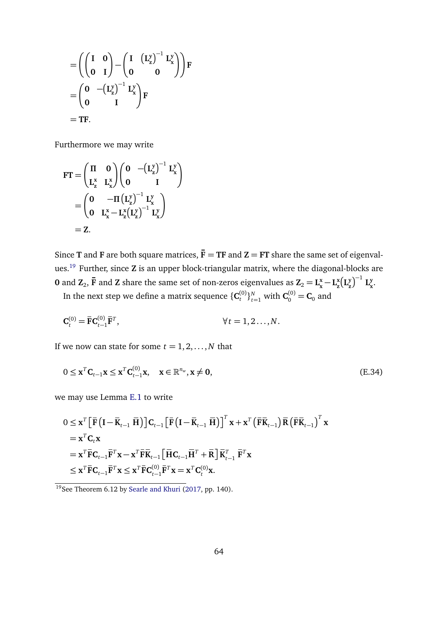$$
= \left( \begin{pmatrix} I & 0 \\ 0 & I \end{pmatrix} - \begin{pmatrix} I & \left( L_z^y \right)^{-1} L_x^y \\ 0 & 0 \end{pmatrix} \right) F
$$

$$
= \begin{pmatrix} 0 & -\left( L_z^y \right)^{-1} L_x^y \\ 0 & I \end{pmatrix} F
$$

$$
= TF.
$$

Furthermore we may write

$$
FT = \begin{pmatrix} \Pi & 0 \\ L_z^x & L_x^x \end{pmatrix} \begin{pmatrix} 0 & -(L_z^y)^{-1} & L_x^y \\ 0 & I \end{pmatrix}
$$

$$
= \begin{pmatrix} 0 & -\Pi (L_z^y)^{-1} & L_x^y \\ 0 & L_x^x - L_z^x (L_z^y)^{-1} & L_x^y \end{pmatrix}
$$

$$
= Z.
$$

Since **T** and **F** are both square matrices,  $\bar{F} = TF$  and  $Z = FT$  share the same set of eigenvalues.[19](#page-0-0) Further, since **Z** is an upper block-triangular matrix, where the diagonal-blocks are **0** and  $\mathbf{Z}_2$ ,  $\overline{\mathbf{F}}$  and  $\overline{\mathbf{Z}}$  share the same set of non-zeros eigenvalues as  $\mathbf{Z}_2 = \mathbf{L}_{\mathbf{x}}^{\mathbf{x}} - \mathbf{L}_{\mathbf{z}}^{\mathbf{x}}$  $\frac{x}{z}$ **L** $\frac{y}{z}$  $\left(\frac{y}{z}\right)^{-1}$  **L**<sup>y</sup><sub>x</sub> **x** .

In the next step we define a matrix sequence  $\{C_t^{(0)}\}_{t=1}^N$  with  $C_0^{(0)} = C_0$  and

$$
\mathbf{C}_t^{(0)} = \bar{\mathbf{F}} \mathbf{C}_{t-1}^{(0)} \bar{\mathbf{F}}^T, \qquad \forall t = 1, 2..., N.
$$

If we now can state for some  $t = 1, 2, \dots, N$  that

<span id="page-64-0"></span>
$$
0 \leq \mathbf{x}^T \mathbf{C}_{t-1} \mathbf{x} \leq \mathbf{x}^T \mathbf{C}_{t-1}^{(0)} \mathbf{x}, \quad \mathbf{x} \in \mathbb{R}^{n_w}, \mathbf{x} \neq \mathbf{0},
$$
\n(E.34)

we may use Lemma [E.1](#page-60-1) to write

$$
0 \leq \mathbf{x}^{T} \left[ \bar{\mathbf{F}} \left( \mathbf{I} - \bar{\mathbf{K}}_{t-1} \ \bar{\mathbf{H}} \right) \right] \mathbf{C}_{t-1} \left[ \bar{\mathbf{F}} \left( \mathbf{I} - \bar{\mathbf{K}}_{t-1} \ \bar{\mathbf{H}} \right) \right]^{T} \mathbf{x} + \mathbf{x}^{T} \left( \bar{\mathbf{F}} \bar{\mathbf{K}}_{t-1} \right) \bar{\mathbf{R}} \left( \bar{\mathbf{F}} \bar{\mathbf{K}}_{t-1} \right)^{T} \mathbf{x} \n= \mathbf{x}^{T} \mathbf{C}_{t} \mathbf{x} \n= \mathbf{x}^{T} \bar{\mathbf{F}} \mathbf{C}_{t-1} \bar{\mathbf{F}}^{T} \mathbf{x} - \mathbf{x}^{T} \bar{\mathbf{F}} \bar{\mathbf{K}}_{t-1} \left[ \bar{\mathbf{H}} \mathbf{C}_{t-1} \bar{\mathbf{H}}^{T} + \bar{\mathbf{R}} \right] \bar{\mathbf{K}}_{t-1}^{T} \ \bar{\mathbf{F}}^{T} \mathbf{x} \n\leq \mathbf{x}^{T} \bar{\mathbf{F}} \mathbf{C}_{t-1} \bar{\mathbf{F}}^{T} \mathbf{x} \leq \mathbf{x}^{T} \bar{\mathbf{F}} \mathbf{C}_{t-1}^{(0)} \bar{\mathbf{F}}^{T} \mathbf{x} = \mathbf{x}^{T} \mathbf{C}_{t}^{(0)} \mathbf{x}.
$$

<sup>&</sup>lt;sup>19</sup>See Theorem 6.12 by [Searle and Khuri](#page-42-4) [\(2017,](#page-42-4) pp. 140).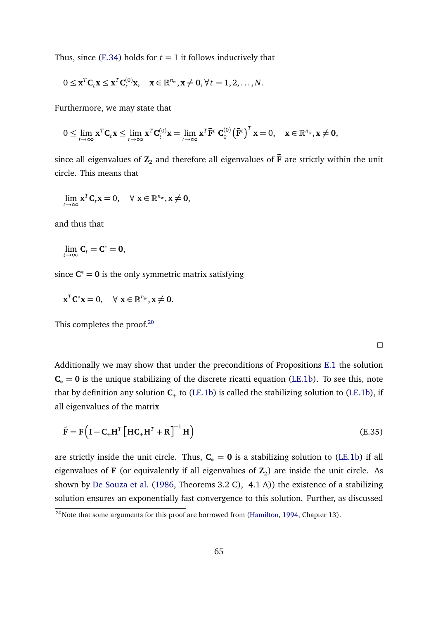Thus, since  $(E.34)$  holds for  $t = 1$  it follows inductively that

$$
0 \leq \mathbf{x}^T \mathbf{C}_t \mathbf{x} \leq \mathbf{x}^T \mathbf{C}_t^{(0)} \mathbf{x}, \quad \mathbf{x} \in \mathbb{R}^{n_w}, \mathbf{x} \neq \mathbf{0}, \forall t = 1, 2, ..., N.
$$

Furthermore, we may state that

$$
0 \leq \lim_{t \to \infty} \mathbf{x}^T \mathbf{C}_t \mathbf{x} \leq \lim_{t \to \infty} \mathbf{x}^T \mathbf{C}_t^{(0)} \mathbf{x} = \lim_{t \to \infty} \mathbf{x}^T \overline{\mathbf{F}}^t \ \mathbf{C}_0^{(0)} \big(\overline{\mathbf{F}}^t\big)^T \mathbf{x} = 0, \quad \mathbf{x} \in \mathbb{R}^{n_w}, \mathbf{x} \neq \mathbf{0},
$$

since all eigenvalues of  $\mathbb{Z}_2$  and therefore all eigenvalues of  $\bar{\mathbf{F}}$  are strictly within the unit circle. This means that

$$
\lim_{t\to\infty}\mathbf{x}^T\mathbf{C}_t\mathbf{x}=0, \quad \forall \mathbf{x}\in\mathbb{R}^{n_w}, \mathbf{x}\neq\mathbf{0},
$$

and thus that

$$
\lim_{t\to\infty} \mathbf{C}_t = \mathbf{C}^* = \mathbf{0},
$$

since  $C^* = 0$  is the only symmetric matrix satisfying

$$
\mathbf{x}^T \mathbf{C}^* \mathbf{x} = 0, \quad \forall \ \mathbf{x} \in \mathbb{R}^{n_w}, \mathbf{x} \neq \mathbf{0}.
$$

This completes the proof.<sup>[20](#page-0-0)</sup>

 $\Box$ 

Additionally we may show that under the preconditions of Propositions [E.1](#page-63-0) the solution  $C_* = 0$  is the unique stabilizing of the discrete ricatti equation [\(LE.1b\)](#page-60-0). To see this, note that by definition any solution  $C_+$  to [\(LE.1b\)](#page-60-0) is called the stabilizing solution to (LE.1b), if all eigenvalues of the matrix

$$
\tilde{\mathbf{F}} = \bar{\mathbf{F}} \left( \mathbf{I} - \mathbf{C}_{+} \bar{\mathbf{H}}^{T} \left[ \bar{\mathbf{H}} \mathbf{C}_{+} \bar{\mathbf{H}}^{T} + \bar{\mathbf{R}} \right]^{-1} \bar{\mathbf{H}} \right)
$$
(E.35)

are strictly inside the unit circle. Thus,  $C_* = 0$  is a stabilizing solution to [\(LE.1b\)](#page-60-0) if all eigenvalues of **F** (or equivalently if all eigenvalues of  $\mathbf{Z}_2$ ) are inside the unit circle. As shown by [De Souza et al.](#page-38-11) [\(1986,](#page-38-11) Theorems 3.2 C), 4.1 A)) the existence of a stabilizing solution ensures an exponentially fast convergence to this solution. Further, as discussed

 $\frac{1}{20}$ Note that some arguments for this proof are borrowed from [\(Hamilton,](#page-39-5) [1994,](#page-39-5) Chapter 13).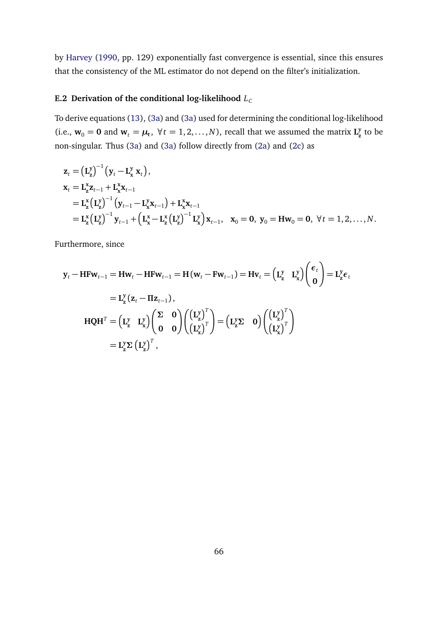by [Harvey](#page-40-12) [\(1990,](#page-40-12) pp. 129) exponentially fast convergence is essential, since this ensures that the consistency of the ML estimator do not depend on the filter's initialization.

## E.2 Derivation of the conditional log-likelihood  $L_C$

To derive equations [\(13\)](#page-14-1), [\(3a\)](#page-9-4) and [\(3a\)](#page-9-4) used for determining the conditional log-likelihood (i.e.,  $\mathbf{w}_0 = \mathbf{0}$  and  $\mathbf{w}_t = \boldsymbol{\mu}_t$ ,  $\forall t = 1, 2, ..., N$ ), recall that we assumed the matrix  $\mathbf{L}_\mathbf{z}^{\mathbf{y}}$ **z** to be non-singular. Thus [\(3a\)](#page-9-4) and [\(3a\)](#page-9-4) follow directly from [\(2a\)](#page-9-0) and [\(2c\)](#page-9-1) as

$$
z_{t} = (L_{z}^{y})^{-1} (y_{t} - L_{x}^{y} x_{t}),
$$
  
\n
$$
x_{t} = L_{z}^{x} z_{t-1} + L_{x}^{x} x_{t-1}
$$
  
\n
$$
= L_{z}^{x} (L_{z}^{y})^{-1} (y_{t-1} - L_{x}^{y} x_{t-1}) + L_{x}^{x} x_{t-1}
$$
  
\n
$$
= L_{z}^{x} (L_{z}^{y})^{-1} y_{t-1} + (L_{x}^{x} - L_{z}^{x} (L_{z}^{y})^{-1} L_{x}^{y}) x_{t-1}, \quad x_{0} = 0, y_{0} = H w_{0} = 0, \forall t = 1, 2, ..., N.
$$

Furthermore, since

$$
\mathbf{y}_{t} - \mathbf{H} \mathbf{F} \mathbf{w}_{t-1} = \mathbf{H} \mathbf{w}_{t} - \mathbf{H} \mathbf{F} \mathbf{w}_{t-1} = \mathbf{H} (\mathbf{w}_{t} - \mathbf{F} \mathbf{w}_{t-1}) = \mathbf{H} \mathbf{v}_{t} = (\mathbf{L}_{\mathbf{z}}^{y} \ \mathbf{L}_{\mathbf{x}}^{y}) \begin{pmatrix} \epsilon_{t} \\ \mathbf{0} \end{pmatrix} = \mathbf{L}_{\mathbf{z}}^{y} \epsilon_{t}
$$
\n
$$
= \mathbf{L}_{\mathbf{z}}^{y} (\mathbf{z}_{t} - \mathbf{\Pi} \mathbf{z}_{t-1}),
$$
\n
$$
\mathbf{H} \mathbf{Q} \mathbf{H}^{T} = (\mathbf{L}_{\mathbf{z}}^{y} \ \mathbf{L}_{\mathbf{x}}^{y}) \begin{pmatrix} \Sigma & \mathbf{0} \\ \mathbf{0} & \mathbf{0} \end{pmatrix} \begin{pmatrix} (\mathbf{L}_{\mathbf{z}}^{y})^{T} \\ (\mathbf{L}_{\mathbf{x}}^{y})^{T} \end{pmatrix} = (\mathbf{L}_{\mathbf{z}}^{y} \mathbf{\Sigma} \ \mathbf{0}) \begin{pmatrix} (\mathbf{L}_{\mathbf{z}}^{y})^{T} \\ (\mathbf{L}_{\mathbf{x}}^{y})^{T} \end{pmatrix}
$$
\n
$$
= \mathbf{L}_{\mathbf{z}}^{y} \mathbf{\Sigma} (\mathbf{L}_{\mathbf{z}}^{y})^{T},
$$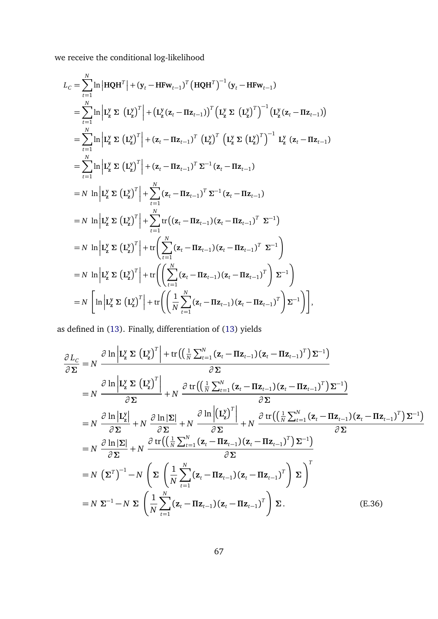we receive the conditional log-likelihood

$$
L_{C} = \sum_{t=1}^{N} \ln |\mathbf{HQH}^{T}| + (\mathbf{y}_{t} - \mathbf{H}\mathbf{Fw}_{t-1})^{T} (\mathbf{HQH}^{T})^{-1} (\mathbf{y}_{t} - \mathbf{H}\mathbf{Fw}_{t-1})
$$
  
\n
$$
= \sum_{t=1}^{N} \ln |\mathbf{L}_{z}^{y} \Sigma (\mathbf{L}_{z}^{y})^{T}| + (\mathbf{L}_{z}^{y} (\mathbf{z}_{t} - \mathbf{H}\mathbf{z}_{t-1}))^{T} (\mathbf{L}_{z}^{y} \Sigma (\mathbf{L}_{z}^{y})^{T})^{-1} (\mathbf{L}_{z}^{y} (\mathbf{z}_{t} - \mathbf{H}\mathbf{z}_{t-1}))
$$
  
\n
$$
= \sum_{t=1}^{N} \ln |\mathbf{L}_{z}^{y} \Sigma (\mathbf{L}_{z}^{y})^{T}| + (\mathbf{z}_{t} - \mathbf{H}\mathbf{z}_{t-1})^{T} (\mathbf{L}_{z}^{y})^{T} (\mathbf{L}_{z}^{y} \Sigma (\mathbf{L}_{z}^{y})^{T})^{-1} \mathbf{L}_{z}^{y} (\mathbf{z}_{t} - \mathbf{H}\mathbf{z}_{t-1})
$$
  
\n
$$
= \sum_{t=1}^{N} \ln |\mathbf{L}_{z}^{y} \Sigma (\mathbf{L}_{z}^{y})^{T}| + (\mathbf{z}_{t} - \mathbf{H}\mathbf{z}_{t-1})^{T} \Sigma^{-1} (\mathbf{z}_{t} - \mathbf{H}\mathbf{z}_{t-1})
$$
  
\n
$$
= N \ln |\mathbf{L}_{z}^{y} \Sigma (\mathbf{L}_{z}^{y})^{T}| + \sum_{t=1}^{N} (\mathbf{z}_{t} - \mathbf{H}\mathbf{z}_{t-1})^{T} \Sigma^{-1} (\mathbf{z}_{t} - \mathbf{H}\mathbf{z}_{t-1})
$$
  
\n
$$
= N \ln |\mathbf{L}_{z}^{y} \Sigma (\mathbf{L}_{z}^{y})^{T}| + \sum_{t=1}^{N} \text{tr}((\mathbf{z}_{t} - \mathbf{H}\mathbf{z}_{t-1})(\mathbf{z}_{t} - \mathbf{H}\mathbf{z}_{t-1})^{T} \Sigma^{-1})
$$
  
\n
$$
=
$$

as defined in [\(13\)](#page-14-1). Finally, differentiation of [\(13\)](#page-14-1) yields

<span id="page-67-0"></span>
$$
\frac{\partial L_{C}}{\partial \Sigma} = N \frac{\partial \ln \left| \mathbf{L}_{z}^{y} \Sigma \left( \mathbf{L}_{z}^{y} \right)^{T} \right| + \text{tr} \left( \left( \frac{1}{N} \sum_{t=1}^{N} (\mathbf{z}_{t} - \mathbf{\Pi} \mathbf{z}_{t-1}) (\mathbf{z}_{t} - \mathbf{\Pi} \mathbf{z}_{t-1})^{T} \right) \Sigma^{-1} \right)}{\partial \Sigma}
$$
\n
$$
= N \frac{\partial \ln \left| \mathbf{L}_{z}^{y} \Sigma \left( \mathbf{L}_{z}^{y} \right)^{T} \right|}{\partial \Sigma} + N \frac{\partial \text{tr} \left( \left( \frac{1}{N} \sum_{t=1}^{N} (\mathbf{z}_{t} - \mathbf{\Pi} \mathbf{z}_{t-1}) (\mathbf{z}_{t} - \mathbf{\Pi} \mathbf{z}_{t-1})^{T} \right) \Sigma^{-1} \right)}{\partial \Sigma}
$$
\n
$$
= N \frac{\partial \ln \left| \mathbf{L}_{z}^{y} \right|}{\partial \Sigma} + N \frac{\partial \ln |\Sigma|}{\partial \Sigma} + N \frac{\partial \ln \left| (\mathbf{L}_{z}^{y})^{T} \right|}{\partial \Sigma} + N \frac{\partial \text{tr} \left( \left( \frac{1}{N} \sum_{t=1}^{N} (\mathbf{z}_{t} - \mathbf{\Pi} \mathbf{z}_{t-1}) (\mathbf{z}_{t} - \mathbf{\Pi} \mathbf{z}_{t-1})^{T} \right) \Sigma^{-1} \right)}{\partial \Sigma}
$$
\n
$$
= N \frac{\partial \ln |\Sigma|}{\partial \Sigma} + N \frac{\partial \text{tr} \left( \left( \frac{1}{N} \sum_{t=1}^{N} (\mathbf{z}_{t} - \mathbf{\Pi} \mathbf{z}_{t-1}) (\mathbf{z}_{t} - \mathbf{\Pi} \mathbf{z}_{t-1})^{T} \right) \Sigma^{-1} \right)}{\partial \Sigma}
$$
\n
$$
= N \left( \Sigma^{T} \right)^{-1} - N \left( \Sigma \left( \frac{1}{N} \sum_{t=1}^{N} (\mathbf{z}_{t} - \mathbf{\Pi} \mathbf{z}_{t-1}) (\mathbf{z}_{t} - \mathbf{\Pi} \mathbf{z}_{t-1})^{T} \right) \Sigma \right)^{
$$